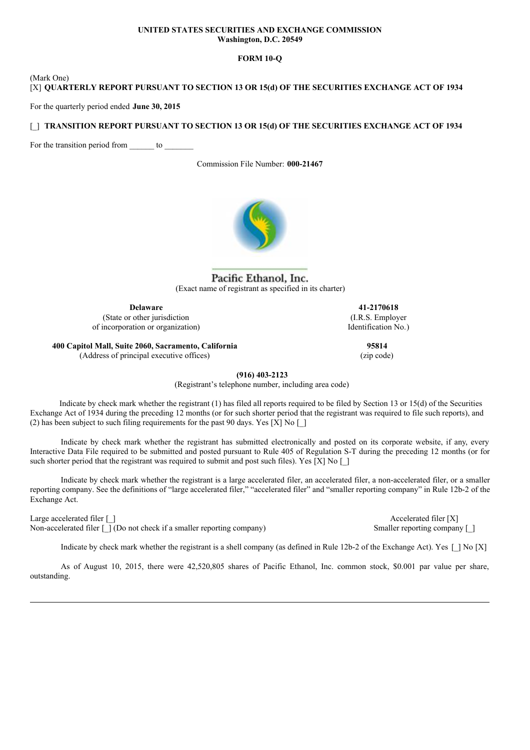### **UNITED STATES SECURITIES AND EXCHANGE COMMISSION Washington, D.C. 20549**

# **FORM 10-Q**

(Mark One) [X] **QUARTERLY REPORT PURSUANT TO SECTION 13 OR 15(d) OF THE SECURITIES EXCHANGE ACT OF 1934**

For the quarterly period ended **June 30, 2015**

# [\_] **TRANSITION REPORT PURSUANT TO SECTION 13 OR 15(d) OF THE SECURITIES EXCHANGE ACT OF 1934**

For the transition period from to

Commission File Number: **000-21467**



Pacific Ethanol, Inc. (Exact name of registrant as specified in its charter)

**Delaware** (State or other jurisdiction of incorporation or organization)

**41-2170618** (I.R.S. Employer Identification No.)

> **95814** (zip code)

**400 Capitol Mall, Suite 2060, Sacramento, California**

(Address of principal executive offices)

**(916) 403-2123**

(Registrant's telephone number, including area code)

Indicate by check mark whether the registrant (1) has filed all reports required to be filed by Section 13 or 15(d) of the Securities Exchange Act of 1934 during the preceding 12 months (or for such shorter period that the registrant was required to file such reports), and (2) has been subject to such filing requirements for the past 90 days. Yes [X] No  $\lceil$  ]

Indicate by check mark whether the registrant has submitted electronically and posted on its corporate website, if any, every Interactive Data File required to be submitted and posted pursuant to Rule 405 of Regulation S-T during the preceding 12 months (or for such shorter period that the registrant was required to submit and post such files). Yes  $[X]$  No  $[$ ]

Indicate by check mark whether the registrant is a large accelerated filer, an accelerated filer, a non-accelerated filer, or a smaller reporting company. See the definitions of "large accelerated filer," "accelerated filer" and "smaller reporting company" in Rule 12b-2 of the Exchange Act.

Large accelerated filer [ ] Accelerated filer [ X]

Non-accelerated filer [\_] (Do not check if a smaller reporting company) Smaller reporting company [\_]

Indicate by check mark whether the registrant is a shell company (as defined in Rule 12b-2 of the Exchange Act). Yes  $[$  | No  $[X]$ 

As of August 10, 2015, there were 42,520,805 shares of Pacific Ethanol, Inc. common stock, \$0.001 par value per share, outstanding.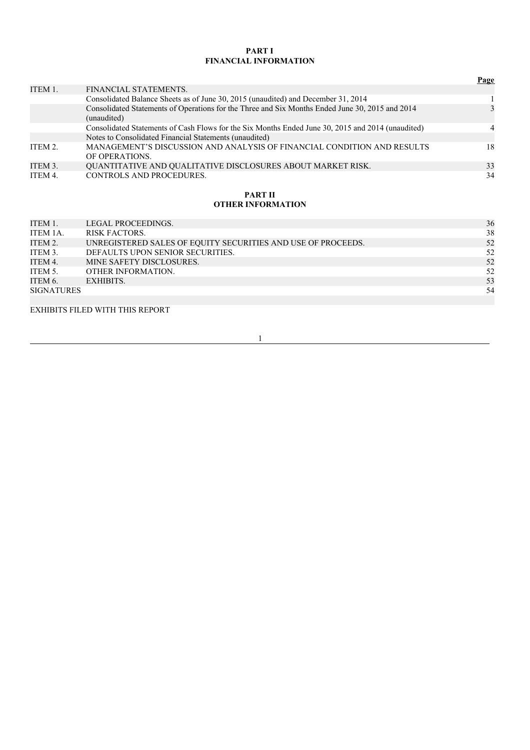# **PART I FINANCIAL INFORMATION**

|         |                                                                                                                | Page           |
|---------|----------------------------------------------------------------------------------------------------------------|----------------|
| ITEM 1. | FINANCIAL STATEMENTS.                                                                                          |                |
|         | Consolidated Balance Sheets as of June 30, 2015 (unaudited) and December 31, 2014                              |                |
|         | Consolidated Statements of Operations for the Three and Six Months Ended June 30, 2015 and 2014<br>(unaudited) | $\mathcal{E}$  |
|         | Consolidated Statements of Cash Flows for the Six Months Ended June 30, 2015 and 2014 (unaudited)              | $\overline{4}$ |
|         | Notes to Consolidated Financial Statements (unaudited)                                                         |                |
| ITEM 2. | MANAGEMENT'S DISCUSSION AND ANALYSIS OF FINANCIAL CONDITION AND RESULTS<br>OF OPERATIONS.                      | 18             |
| ITEM 3. | <b>OUANTITATIVE AND QUALITATIVE DISCLOSURES ABOUT MARKET RISK.</b>                                             | 33             |
| ITEM 4. | <b>CONTROLS AND PROCEDURES.</b>                                                                                | 34             |

# **PART II OTHER INFORMATION**

| ITEM 1.           | LEGAL PROCEEDINGS.                                           | 36 |
|-------------------|--------------------------------------------------------------|----|
| ITEM 1A.          | <b>RISK FACTORS.</b>                                         | 38 |
| ITEM 2.           | UNREGISTERED SALES OF EQUITY SECURITIES AND USE OF PROCEEDS. | 52 |
| ITEM 3.           | DEFAULTS UPON SENIOR SECURITIES.                             | 52 |
| ITEM 4.           | MINE SAFETY DISCLOSURES.                                     | 52 |
| ITEM 5.           | OTHER INFORMATION.                                           | 52 |
| ITEM 6.           | EXHIBITS.                                                    | 53 |
| <b>SIGNATURES</b> |                                                              | 54 |
|                   |                                                              |    |

EXHIBITS FILED WITH THIS REPORT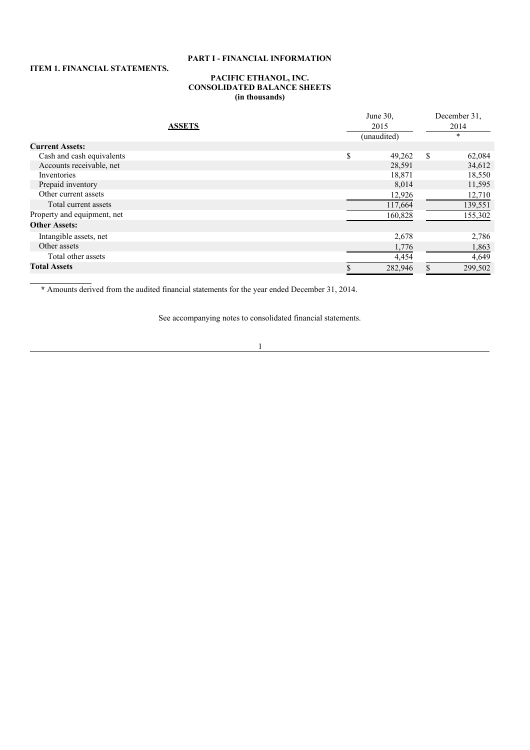# **PART I - FINANCIAL INFORMATION**

# **ITEM 1. FINANCIAL STATEMENTS.**

### **PACIFIC ETHANOL, INC. CONSOLIDATED BALANCE SHEETS (in thousands)**

| <b>ASSETS</b>               | June 30,<br>2015 |             |    | December 31.<br>2014 |  |  |
|-----------------------------|------------------|-------------|----|----------------------|--|--|
|                             |                  | (unaudited) |    | $\star$              |  |  |
| <b>Current Assets:</b>      |                  |             |    |                      |  |  |
| Cash and cash equivalents   | \$               | 49,262      | \$ | 62,084               |  |  |
| Accounts receivable, net    |                  | 28,591      |    | 34,612               |  |  |
| Inventories                 |                  | 18,871      |    | 18,550               |  |  |
| Prepaid inventory           |                  | 8,014       |    | 11,595               |  |  |
| Other current assets        |                  | 12,926      |    | 12,710               |  |  |
| Total current assets        |                  | 117,664     |    | 139,551              |  |  |
| Property and equipment, net |                  | 160,828     |    | 155,302              |  |  |
| <b>Other Assets:</b>        |                  |             |    |                      |  |  |
| Intangible assets, net      |                  | 2,678       |    | 2,786                |  |  |
| Other assets                |                  | 1,776       |    | 1,863                |  |  |
| Total other assets          |                  | 4,454       |    | 4,649                |  |  |
| <b>Total Assets</b>         |                  | 282,946     |    | 299,502              |  |  |

**\*** Amounts derived from the audited financial statements for the year ended December 31, 2014.

See accompanying notes to consolidated financial statements.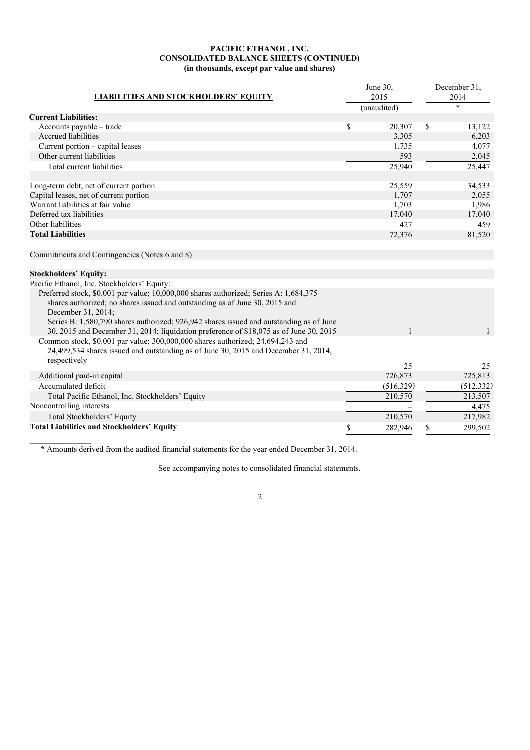# **PACIFIC ETHANOL, INC. CONSOLIDATED BALANCE SHEETS (CONTINUED) (in thousands, except par value and shares)**

|                                                                                                                                                                                                                                                                                                                                                                                                                                                                                                                                                                          |      | June 30,     |      | December 31, |  |
|--------------------------------------------------------------------------------------------------------------------------------------------------------------------------------------------------------------------------------------------------------------------------------------------------------------------------------------------------------------------------------------------------------------------------------------------------------------------------------------------------------------------------------------------------------------------------|------|--------------|------|--------------|--|
| <b>LIABILITIES AND STOCKHOLDERS' EQUITY</b>                                                                                                                                                                                                                                                                                                                                                                                                                                                                                                                              | 2015 |              | 2014 |              |  |
|                                                                                                                                                                                                                                                                                                                                                                                                                                                                                                                                                                          |      | (unaudited)  |      | $\ast$       |  |
| <b>Current Liabilities:</b>                                                                                                                                                                                                                                                                                                                                                                                                                                                                                                                                              |      |              |      |              |  |
| Accounts payable – trade                                                                                                                                                                                                                                                                                                                                                                                                                                                                                                                                                 | \$   | 20,307       | \$   | 13,122       |  |
| Accrued liabilities                                                                                                                                                                                                                                                                                                                                                                                                                                                                                                                                                      |      | 3,305        |      | 6,203        |  |
| Current portion – capital leases                                                                                                                                                                                                                                                                                                                                                                                                                                                                                                                                         |      | 1,735        |      | 4,077        |  |
| Other current liabilities                                                                                                                                                                                                                                                                                                                                                                                                                                                                                                                                                |      | 593          |      | 2,045        |  |
| Total current liabilities                                                                                                                                                                                                                                                                                                                                                                                                                                                                                                                                                |      | 25,940       |      | 25,447       |  |
| Long-term debt, net of current portion                                                                                                                                                                                                                                                                                                                                                                                                                                                                                                                                   |      | 25,559       |      | 34,533       |  |
| Capital leases, net of current portion                                                                                                                                                                                                                                                                                                                                                                                                                                                                                                                                   |      | 1,707        |      | 2,055        |  |
| Warrant liabilities at fair value                                                                                                                                                                                                                                                                                                                                                                                                                                                                                                                                        |      | 1,703        |      | 1,986        |  |
| Deferred tax liabilities                                                                                                                                                                                                                                                                                                                                                                                                                                                                                                                                                 |      | 17,040       |      | 17,040       |  |
| Other liabilities                                                                                                                                                                                                                                                                                                                                                                                                                                                                                                                                                        |      | 427          |      | 459          |  |
| <b>Total Liabilities</b>                                                                                                                                                                                                                                                                                                                                                                                                                                                                                                                                                 |      | 72,376       |      | 81,520       |  |
| Commitments and Contingencies (Notes 6 and 8)                                                                                                                                                                                                                                                                                                                                                                                                                                                                                                                            |      |              |      |              |  |
| <b>Stockholders' Equity:</b>                                                                                                                                                                                                                                                                                                                                                                                                                                                                                                                                             |      |              |      |              |  |
| Pacific Ethanol, Inc. Stockholders' Equity:                                                                                                                                                                                                                                                                                                                                                                                                                                                                                                                              |      |              |      |              |  |
| Preferred stock, \$0.001 par value; 10,000,000 shares authorized; Series A: 1,684,375<br>shares authorized; no shares issued and outstanding as of June 30, 2015 and<br>December 31, 2014;<br>Series B: 1,580,790 shares authorized; 926,942 shares issued and outstanding as of June<br>30, 2015 and December 31, 2014; liquidation preference of \$18,075 as of June 30, 2015<br>Common stock, \$0.001 par value; 300,000,000 shares authorized; 24,694,243 and<br>24,499,534 shares issued and outstanding as of June 30, 2015 and December 31, 2014,<br>respectively |      | $\mathbf{1}$ |      |              |  |
|                                                                                                                                                                                                                                                                                                                                                                                                                                                                                                                                                                          |      | 25           |      | 25           |  |
| Additional paid-in capital                                                                                                                                                                                                                                                                                                                                                                                                                                                                                                                                               |      | 726,873      |      | 725,813      |  |
| Accumulated deficit                                                                                                                                                                                                                                                                                                                                                                                                                                                                                                                                                      |      | (516, 329)   |      | (512, 332)   |  |
| Total Pacific Ethanol, Inc. Stockholders' Equity                                                                                                                                                                                                                                                                                                                                                                                                                                                                                                                         |      | 210,570      |      | 213,507      |  |
| Noncontrolling interests                                                                                                                                                                                                                                                                                                                                                                                                                                                                                                                                                 |      |              |      | 4,475        |  |
| Total Stockholders' Equity                                                                                                                                                                                                                                                                                                                                                                                                                                                                                                                                               |      | 210,570      |      | 217,982      |  |
| <b>Total Liabilities and Stockholders' Equity</b>                                                                                                                                                                                                                                                                                                                                                                                                                                                                                                                        | S    | 282,946      | S    | 299,502      |  |

**\*** Amounts derived from the audited financial statements for the year ended December 31, 2014.

See accompanying notes to consolidated financial statements.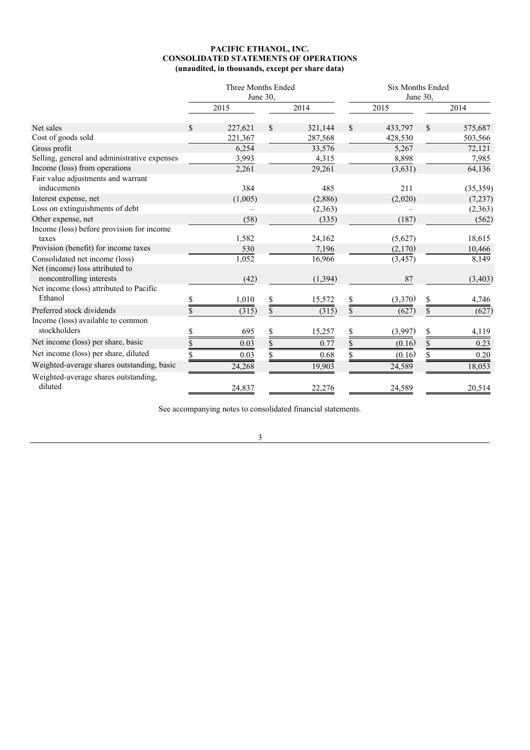### **PACIFIC ETHANOL, INC. CONSOLIDATED STATEMENTS OF OPERATIONS (unaudited, in thousands, except per share data)**

|                                                             | Three Months Ended<br>June 30, |               | <b>Six Months Ended</b><br>June 30, |          |    |           |
|-------------------------------------------------------------|--------------------------------|---------------|-------------------------------------|----------|----|-----------|
|                                                             | 2015                           | 2014          |                                     | 2015     |    | 2014      |
| Net sales                                                   | 227,621                        | \$<br>321,144 | \$                                  | 433,797  | \$ | 575,687   |
| Cost of goods sold                                          | 221,367                        | 287,568       |                                     | 428,530  |    | 503,566   |
| Gross profit                                                | 6,254                          | 33,576        |                                     | 5,267    |    | 72,121    |
| Selling, general and administrative expenses                | 3,993                          | 4,315         |                                     | 8,898    |    | 7,985     |
| Income (loss) from operations                               | 2,261                          | 29,261        |                                     | (3,631)  |    | 64,136    |
| Fair value adjustments and warrant<br>inducements           | 384                            | 485           |                                     | 211      |    | (35, 359) |
| Interest expense, net                                       | (1,005)                        | (2,886)       |                                     | (2,020)  |    | (7,237)   |
| Loss on extinguishments of debt                             |                                | (2,363)       |                                     |          |    | (2,363)   |
| Other expense, net                                          | (58)                           | (335)         |                                     | (187)    |    | (562)     |
| Income (loss) before provision for income                   |                                |               |                                     |          |    |           |
| taxes                                                       | 1,582                          | 24,162        |                                     | (5,627)  |    | 18,615    |
| Provision (benefit) for income taxes                        | 530                            | 7,196         |                                     | (2,170)  |    | 10,466    |
| Consolidated net income (loss)                              | 1,052                          | 16,966        |                                     | (3, 457) |    | 8,149     |
| Net (income) loss attributed to<br>noncontrolling interests | (42)                           | (1, 394)      |                                     | 87       |    | (3, 403)  |
| Net income (loss) attributed to Pacific                     |                                |               |                                     |          |    |           |
| Ethanol                                                     | 1,010                          | 15,572        |                                     | (3,370)  |    | 4,746     |
| Preferred stock dividends                                   | (315)                          | \$<br>(315)   | \$                                  | (627)    | \$ | (627)     |
| Income (loss) available to common                           |                                |               |                                     |          |    |           |
| stockholders                                                | 695                            | \$<br>15,257  | \$                                  | (3,997)  | \$ | 4,119     |
| Net income (loss) per share, basic                          | \$<br>0.03                     | \$<br>0.77    | \$                                  | (0.16)   | \$ | 0.23      |
| Net income (loss) per share, diluted                        | 0.03                           | 0.68          |                                     | (0.16)   | \$ | 0.20      |
| Weighted-average shares outstanding, basic                  | 24,268                         | 19,903        |                                     | 24,589   |    | 18,053    |
| Weighted-average shares outstanding,<br>diluted             | 24,837                         | 22,276        |                                     | 24,589   |    | 20,514    |

See accompanying notes to consolidated financial statements.

3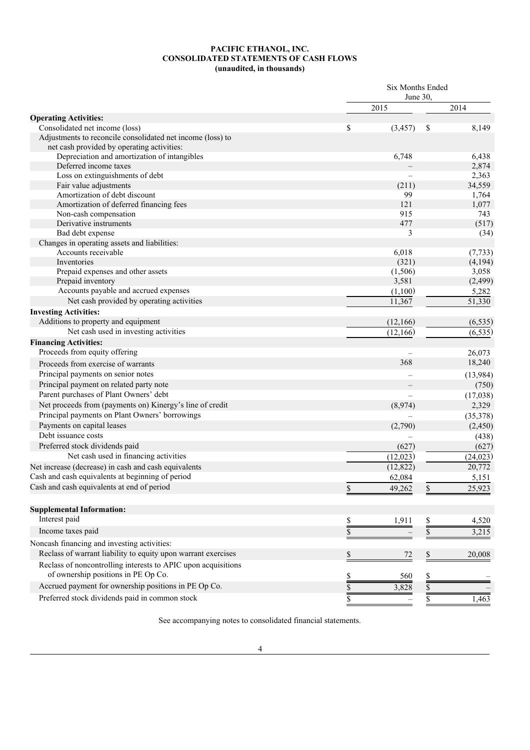### **PACIFIC ETHANOL, INC. CONSOLIDATED STATEMENTS OF CASH FLOWS (unaudited, in thousands)**

|                                                                                                          | Six Months Ended |                          |               |           |
|----------------------------------------------------------------------------------------------------------|------------------|--------------------------|---------------|-----------|
|                                                                                                          |                  | June 30.                 |               |           |
|                                                                                                          |                  | 2015                     |               | 2014      |
| <b>Operating Activities:</b>                                                                             |                  |                          |               |           |
| Consolidated net income (loss)                                                                           | \$               | (3, 457)                 | \$            | 8,149     |
| Adjustments to reconcile consolidated net income (loss) to<br>net cash provided by operating activities: |                  |                          |               |           |
| Depreciation and amortization of intangibles                                                             |                  | 6,748                    |               | 6,438     |
| Deferred income taxes                                                                                    |                  |                          |               | 2,874     |
| Loss on extinguishments of debt                                                                          |                  |                          |               | 2,363     |
| Fair value adjustments                                                                                   |                  | (211)                    |               | 34,559    |
| Amortization of debt discount                                                                            |                  | 99                       |               | 1,764     |
| Amortization of deferred financing fees                                                                  |                  | 121                      |               | 1,077     |
| Non-cash compensation                                                                                    |                  | 915                      |               | 743       |
| Derivative instruments                                                                                   |                  | 477                      |               | (517)     |
| Bad debt expense                                                                                         |                  | 3                        |               | (34)      |
| Changes in operating assets and liabilities:                                                             |                  |                          |               |           |
| Accounts receivable                                                                                      |                  | 6,018                    |               | (7, 733)  |
| Inventories                                                                                              |                  | (321)                    |               | (4, 194)  |
| Prepaid expenses and other assets                                                                        |                  | (1,506)                  |               | 3,058     |
| Prepaid inventory                                                                                        |                  | 3,581                    |               | (2, 499)  |
| Accounts payable and accrued expenses                                                                    |                  | (1,100)                  |               | 5,282     |
| Net cash provided by operating activities                                                                |                  | 11,367                   |               | 51,330    |
| <b>Investing Activities:</b>                                                                             |                  |                          |               |           |
| Additions to property and equipment                                                                      |                  | (12, 166)                |               | (6, 535)  |
| Net cash used in investing activities                                                                    |                  | (12, 166)                |               | (6, 535)  |
| <b>Financing Activities:</b>                                                                             |                  |                          |               |           |
| Proceeds from equity offering                                                                            |                  |                          |               | 26,073    |
| Proceeds from exercise of warrants                                                                       |                  | 368                      |               | 18,240    |
|                                                                                                          |                  |                          |               |           |
| Principal payments on senior notes                                                                       |                  |                          |               | (13,984)  |
| Principal payment on related party note                                                                  |                  |                          |               | (750)     |
| Parent purchases of Plant Owners' debt                                                                   |                  | $\overline{\phantom{0}}$ |               | (17,038)  |
| Net proceeds from (payments on) Kinergy's line of credit                                                 |                  | (8,974)                  |               | 2,329     |
| Principal payments on Plant Owners' borrowings                                                           |                  |                          |               | (35,378)  |
| Payments on capital leases                                                                               |                  | (2,790)                  |               | (2, 450)  |
| Debt issuance costs                                                                                      |                  |                          |               | (438)     |
| Preferred stock dividends paid                                                                           |                  | (627)                    |               | (627)     |
| Net cash used in financing activities                                                                    |                  | (12,023)                 |               | (24, 023) |
| Net increase (decrease) in cash and cash equivalents                                                     |                  | (12, 822)                |               | 20,772    |
| Cash and cash equivalents at beginning of period                                                         |                  | 62,084                   |               | 5,151     |
| Cash and cash equivalents at end of period                                                               | $\mathbb S$      | 49,262                   | \$            | 25,923    |
| <b>Supplemental Information:</b>                                                                         |                  |                          |               |           |
| Interest paid                                                                                            |                  | 1,911                    |               | 4,520     |
| Income taxes paid                                                                                        | $\frac{1}{2}$    |                          | $\frac{1}{2}$ |           |
|                                                                                                          | \$               |                          | \$            | 3,215     |
| Noncash financing and investing activities:                                                              |                  |                          |               |           |
| Reclass of warrant liability to equity upon warrant exercises                                            | \$               | 72                       | \$            | 20,008    |
| Reclass of noncontrolling interests to APIC upon acquisitions                                            |                  |                          |               |           |
| of ownership positions in PE Op Co.                                                                      | \$               | 560                      | \$            |           |
| Accrued payment for ownership positions in PE Op Co.                                                     | \$               | 3,828                    | \$            |           |
| Preferred stock dividends paid in common stock                                                           | \$               |                          | \$            | 1,463     |
|                                                                                                          |                  |                          |               |           |

See accompanying notes to consolidated financial statements.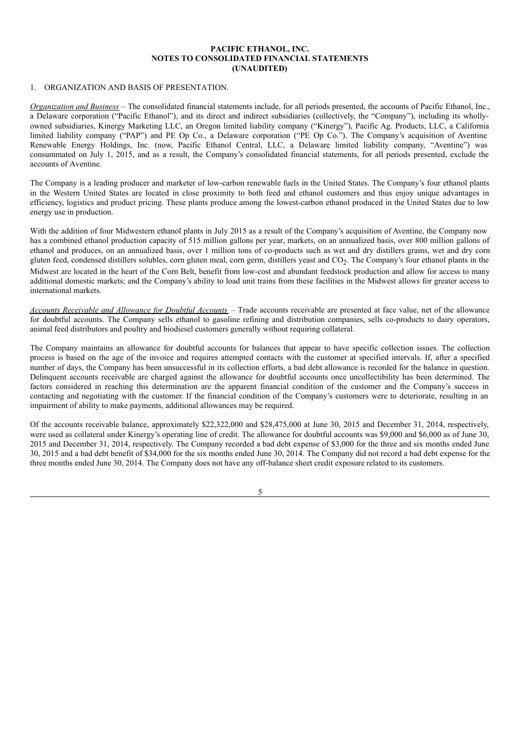### **PACIFIC ETHANOL, INC. NOTES TO CONSOLIDATED FINANCIAL STATEMENTS (UNAUDITED)**

### 1. ORGANIZATION AND BASIS OF PRESENTATION.

*Organization and Business* – The consolidated financial statements include, for all periods presented, the accounts of Pacific Ethanol, Inc., a Delaware corporation ("Pacific Ethanol"), and its direct and indirect subsidiaries (collectively, the "Company"), including its whollyowned subsidiaries, Kinergy Marketing LLC, an Oregon limited liability company ("Kinergy"), Pacific Ag. Products, LLC, a California limited liability company ("PAP") and PE Op Co., a Delaware corporation ("PE Op Co."). The Company's acquisition of Aventine Renewable Energy Holdings, Inc. (now, Pacific Ethanol Central, LLC, a Delaware limited liability company, "Aventine") was consummated on July 1, 2015, and as a result, the Company's consolidated financial statements, for all periods presented, exclude the accounts of Aventine.

The Company is a leading producer and marketer of low-carbon renewable fuels in the United States. The Company's four ethanol plants in the Western United States are located in close proximity to both feed and ethanol customers and thus enjoy unique advantages in efficiency, logistics and product pricing. These plants produce among the lowest-carbon ethanol produced in the United States due to low energy use in production.

With the addition of four Midwestern ethanol plants in July 2015 as a result of the Company's acquisition of Aventine, the Company now has a combined ethanol production capacity of 515 million gallons per year, markets, on an annualized basis, over 800 million gallons of ethanol and produces, on an annualized basis, over 1 million tons of co-products such as wet and dry distillers grains, wet and dry corn gluten feed, condensed distillers solubles, corn gluten meal, corn germ, distillers yeast and  $CO_2$ . The Company's four ethanol plants in the Midwest are located in the heart of the Corn Belt, benefit from low-cost and abundant feedstock production and allow for access to many additional domestic markets; and the Company's ability to load unit trains from these facilities in the Midwest allows for greater access to international markets.

*Accounts Receivable and Allowance for Doubtful Accounts* – Trade accounts receivable are presented at face value, net of the allowance for doubtful accounts. The Company sells ethanol to gasoline refining and distribution companies, sells co-products to dairy operators, animal feed distributors and poultry and biodiesel customers generally without requiring collateral.

The Company maintains an allowance for doubtful accounts for balances that appear to have specific collection issues. The collection process is based on the age of the invoice and requires attempted contacts with the customer at specified intervals. If, after a specified number of days, the Company has been unsuccessful in its collection efforts, a bad debt allowance is recorded for the balance in question. Delinquent accounts receivable are charged against the allowance for doubtful accounts once uncollectibility has been determined. The factors considered in reaching this determination are the apparent financial condition of the customer and the Company's success in contacting and negotiating with the customer. If the financial condition of the Company's customers were to deteriorate, resulting in an impairment of ability to make payments, additional allowances may be required.

Of the accounts receivable balance, approximately \$22,322,000 and \$28,475,000 at June 30, 2015 and December 31, 2014, respectively, were used as collateral under Kinergy's operating line of credit. The allowance for doubtful accounts was \$9,000 and \$6,000 as of June 30, 2015 and December 31, 2014, respectively. The Company recorded a bad debt expense of \$3,000 for the three and six months ended June 30, 2015 and a bad debt benefit of \$34,000 for the six months ended June 30, 2014. The Company did not record a bad debt expense for the three months ended June 30, 2014. The Company does not have any off-balance sheet credit exposure related to its customers.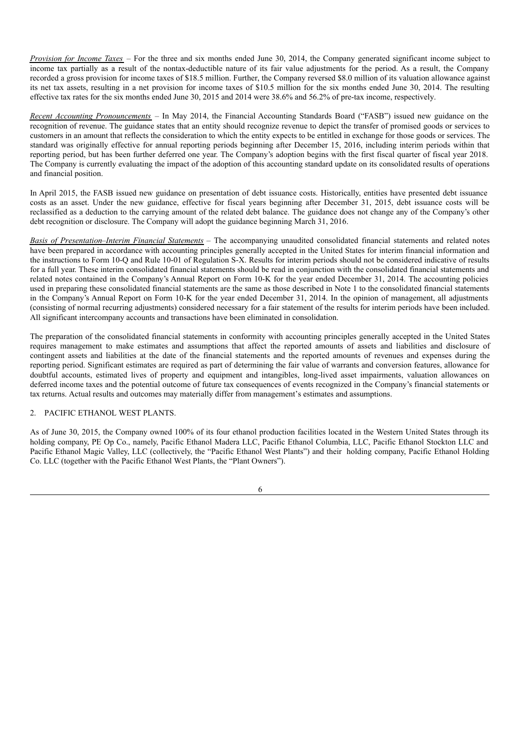*Provision for Income Taxes* – For the three and six months ended June 30, 2014, the Company generated significant income subject to income tax partially as a result of the nontax-deductible nature of its fair value adjustments for the period. As a result, the Company recorded a gross provision for income taxes of \$18.5 million. Further, the Company reversed \$8.0 million of its valuation allowance against its net tax assets, resulting in a net provision for income taxes of \$10.5 million for the six months ended June 30, 2014. The resulting effective tax rates for the six months ended June 30, 2015 and 2014 were 38.6% and 56.2% of pre-tax income, respectively.

*Recent Accounting Pronouncements* – In May 2014, the Financial Accounting Standards Board ("FASB") issued new guidance on the recognition of revenue. The guidance states that an entity should recognize revenue to depict the transfer of promised goods or services to customers in an amount that reflects the consideration to which the entity expects to be entitled in exchange for those goods or services. The standard was originally effective for annual reporting periods beginning after December 15, 2016, including interim periods within that reporting period, but has been further deferred one year. The Company's adoption begins with the first fiscal quarter of fiscal year 2018. The Company is currently evaluating the impact of the adoption of this accounting standard update on its consolidated results of operations and financial position.

In April 2015, the FASB issued new guidance on presentation of debt issuance costs. Historically, entities have presented debt issuance costs as an asset. Under the new guidance, effective for fiscal years beginning after December 31, 2015, debt issuance costs will be reclassified as a deduction to the carrying amount of the related debt balance. The guidance does not change any of the Company's other debt recognition or disclosure. The Company will adopt the guidance beginning March 31, 2016.

*Basis of Presentation*–*Interim Financial Statements* – The accompanying unaudited consolidated financial statements and related notes have been prepared in accordance with accounting principles generally accepted in the United States for interim financial information and the instructions to Form 10-Q and Rule 10-01 of Regulation S-X. Results for interim periods should not be considered indicative of results for a full year. These interim consolidated financial statements should be read in conjunction with the consolidated financial statements and related notes contained in the Company's Annual Report on Form 10-K for the year ended December 31, 2014. The accounting policies used in preparing these consolidated financial statements are the same as those described in Note 1 to the consolidated financial statements in the Company's Annual Report on Form 10-K for the year ended December 31, 2014. In the opinion of management, all adjustments (consisting of normal recurring adjustments) considered necessary for a fair statement of the results for interim periods have been included. All significant intercompany accounts and transactions have been eliminated in consolidation.

The preparation of the consolidated financial statements in conformity with accounting principles generally accepted in the United States requires management to make estimates and assumptions that affect the reported amounts of assets and liabilities and disclosure of contingent assets and liabilities at the date of the financial statements and the reported amounts of revenues and expenses during the reporting period. Significant estimates are required as part of determining the fair value of warrants and conversion features, allowance for doubtful accounts, estimated lives of property and equipment and intangibles, long-lived asset impairments, valuation allowances on deferred income taxes and the potential outcome of future tax consequences of events recognized in the Company's financial statements or tax returns. Actual results and outcomes may materially differ from management's estimates and assumptions.

# 2. PACIFIC ETHANOL WEST PLANTS.

As of June 30, 2015, the Company owned 100% of its four ethanol production facilities located in the Western United States through its holding company, PE Op Co., namely, Pacific Ethanol Madera LLC, Pacific Ethanol Columbia, LLC, Pacific Ethanol Stockton LLC and Pacific Ethanol Magic Valley, LLC (collectively, the "Pacific Ethanol West Plants") and their holding company, Pacific Ethanol Holding Co. LLC (together with the Pacific Ethanol West Plants, the "Plant Owners").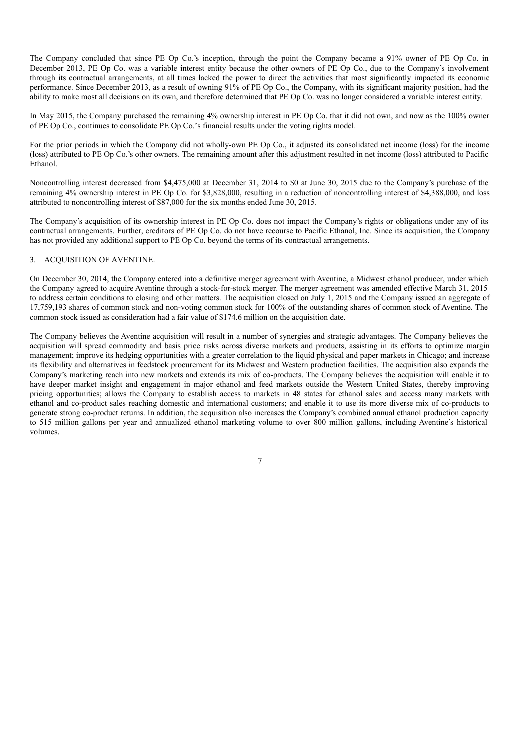The Company concluded that since PE Op Co.'s inception, through the point the Company became a 91% owner of PE Op Co. in December 2013, PE Op Co. was a variable interest entity because the other owners of PE Op Co., due to the Company's involvement through its contractual arrangements, at all times lacked the power to direct the activities that most significantly impacted its economic performance. Since December 2013, as a result of owning 91% of PE Op Co., the Company, with its significant majority position, had the ability to make most all decisions on its own, and therefore determined that PE Op Co. was no longer considered a variable interest entity.

In May 2015, the Company purchased the remaining 4% ownership interest in PE Op Co. that it did not own, and now as the 100% owner of PE Op Co., continues to consolidate PE Op Co.'s financial results under the voting rights model.

For the prior periods in which the Company did not wholly-own PE Op Co., it adjusted its consolidated net income (loss) for the income (loss) attributed to PE Op Co.'s other owners. The remaining amount after this adjustment resulted in net income (loss) attributed to Pacific Ethanol.

Noncontrolling interest decreased from \$4,475,000 at December 31, 2014 to \$0 at June 30, 2015 due to the Company's purchase of the remaining 4% ownership interest in PE Op Co. for \$3,828,000, resulting in a reduction of noncontrolling interest of \$4,388,000, and loss attributed to noncontrolling interest of \$87,000 for the six months ended June 30, 2015.

The Company's acquisition of its ownership interest in PE Op Co. does not impact the Company's rights or obligations under any of its contractual arrangements. Further, creditors of PE Op Co. do not have recourse to Pacific Ethanol, Inc. Since its acquisition, the Company has not provided any additional support to PE Op Co. beyond the terms of its contractual arrangements.

# 3. ACQUISITION OF AVENTINE.

On December 30, 2014, the Company entered into a definitive merger agreement with Aventine, a Midwest ethanol producer, under which the Company agreed to acquire Aventine through a stock-for-stock merger. The merger agreement was amended effective March 31, 2015 to address certain conditions to closing and other matters. The acquisition closed on July 1, 2015 and the Company issued an aggregate of 17,759,193 shares of common stock and non-voting common stock for 100% of the outstanding shares of common stock of Aventine. The common stock issued as consideration had a fair value of \$174.6 million on the acquisition date.

The Company believes the Aventine acquisition will result in a number of synergies and strategic advantages. The Company believes the acquisition will spread commodity and basis price risks across diverse markets and products, assisting in its efforts to optimize margin management; improve its hedging opportunities with a greater correlation to the liquid physical and paper markets in Chicago; and increase its flexibility and alternatives in feedstock procurement for its Midwest and Western production facilities. The acquisition also expands the Company's marketing reach into new markets and extends its mix of co-products. The Company believes the acquisition will enable it to have deeper market insight and engagement in major ethanol and feed markets outside the Western United States, thereby improving pricing opportunities; allows the Company to establish access to markets in 48 states for ethanol sales and access many markets with ethanol and co-product sales reaching domestic and international customers; and enable it to use its more diverse mix of co-products to generate strong co-product returns. In addition, the acquisition also increases the Company's combined annual ethanol production capacity to 515 million gallons per year and annualized ethanol marketing volume to over 800 million gallons, including Aventine's historical volumes.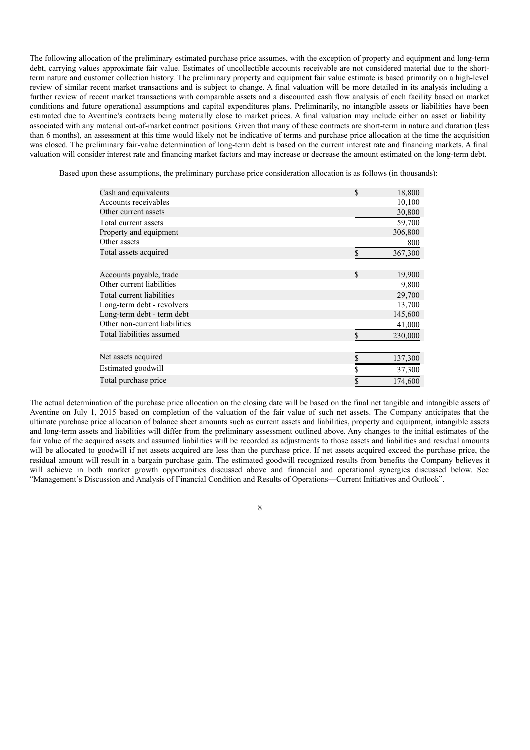The following allocation of the preliminary estimated purchase price assumes, with the exception of property and equipment and long-term debt, carrying values approximate fair value. Estimates of uncollectible accounts receivable are not considered material due to the shortterm nature and customer collection history. The preliminary property and equipment fair value estimate is based primarily on a high-level review of similar recent market transactions and is subject to change. A final valuation will be more detailed in its analysis including a further review of recent market transactions with comparable assets and a discounted cash flow analysis of each facility based on market conditions and future operational assumptions and capital expenditures plans. Preliminarily, no intangible assets or liabilities have been estimated due to Aventine's contracts being materially close to market prices. A final valuation may include either an asset or liability associated with any material out-of-market contract positions. Given that many of these contracts are short-term in nature and duration (less than 6 months), an assessment at this time would likely not be indicative of terms and purchase price allocation at the time the acquisition was closed. The preliminary fair-value determination of long-term debt is based on the current interest rate and financing markets. A final valuation will consider interest rate and financing market factors and may increase or decrease the amount estimated on the long-term debt.

Based upon these assumptions, the preliminary purchase price consideration allocation is as follows (in thousands):

| Cash and equivalents          | \$<br>18,800  |
|-------------------------------|---------------|
| Accounts receivables          | 10,100        |
| Other current assets          | 30,800        |
| Total current assets          | 59,700        |
| Property and equipment        | 306,800       |
| Other assets                  | 800           |
| Total assets acquired         | 367,300       |
|                               |               |
| Accounts payable, trade       | \$<br>19,900  |
| Other current liabilities     | 9,800         |
| Total current liabilities     | 29,700        |
| Long-term debt - revolvers    | 13,700        |
| Long-term debt - term debt    | 145,600       |
| Other non-current liabilities | 41,000        |
| Total liabilities assumed     | 230,000       |
|                               |               |
| Net assets acquired           | 137,300<br>\$ |
| Estimated goodwill            | 37,300        |
| Total purchase price          | \$<br>174,600 |

The actual determination of the purchase price allocation on the closing date will be based on the final net tangible and intangible assets of Aventine on July 1, 2015 based on completion of the valuation of the fair value of such net assets. The Company anticipates that the ultimate purchase price allocation of balance sheet amounts such as current assets and liabilities, property and equipment, intangible assets and long-term assets and liabilities will differ from the preliminary assessment outlined above. Any changes to the initial estimates of the fair value of the acquired assets and assumed liabilities will be recorded as adjustments to those assets and liabilities and residual amounts will be allocated to goodwill if net assets acquired are less than the purchase price. If net assets acquired exceed the purchase price, the residual amount will result in a bargain purchase gain. The estimated goodwill recognized results from benefits the Company believes it will achieve in both market growth opportunities discussed above and financial and operational synergies discussed below. See "Management's Discussion and Analysis of Financial Condition and Results of Operations—Current Initiatives and Outlook".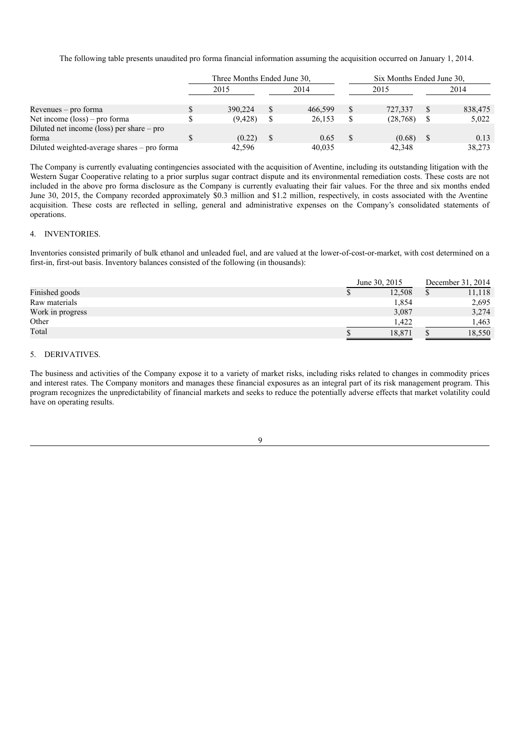The following table presents unaudited pro forma financial information assuming the acquisition occurred on January 1, 2014.

|                                             | Three Months Ended June 30, |          |      |         | Six Months Ended June 30, |           |      |         |
|---------------------------------------------|-----------------------------|----------|------|---------|---------------------------|-----------|------|---------|
|                                             | 2015                        |          | 2014 |         | 2015                      |           | 2014 |         |
| $Re$ venues – pro forma                     |                             | 390,224  |      | 466.599 | <sup>S</sup>              | 727,337   |      | 838,475 |
| Net income $(\text{loss})$ – pro forma      |                             | (9, 428) |      | 26,153  | S                         | (28, 768) |      | 5,022   |
| Diluted net income (loss) per share $-$ pro |                             |          |      |         |                           |           |      |         |
| forma                                       |                             | (0.22)   |      | 0.65    |                           | (0.68)    |      | 0.13    |
| Diluted weighted-average shares - pro forma |                             | 42.596   |      | 40.035  |                           | 42,348    |      | 38,273  |

The Company is currently evaluating contingencies associated with the acquisition of Aventine, including its outstanding litigation with the Western Sugar Cooperative relating to a prior surplus sugar contract dispute and its environmental remediation costs. These costs are not included in the above pro forma disclosure as the Company is currently evaluating their fair values. For the three and six months ended June 30, 2015, the Company recorded approximately \$0.3 million and \$1.2 million, respectively, in costs associated with the Aventine acquisition. These costs are reflected in selling, general and administrative expenses on the Company's consolidated statements of operations.

## 4. INVENTORIES.

Inventories consisted primarily of bulk ethanol and unleaded fuel, and are valued at the lower-of-cost-or-market, with cost determined on a first-in, first-out basis. Inventory balances consisted of the following (in thousands):

|                  | June 30, 2015 | December 31, 2014 |        |  |
|------------------|---------------|-------------------|--------|--|
| Finished goods   | 12,508        |                   | 11,118 |  |
| Raw materials    | 1,854         |                   | 2,695  |  |
| Work in progress | 3,087         |                   | 3,274  |  |
| Other            | 1.422         |                   | 1.463  |  |
| Total            | 18.871        |                   | 18,550 |  |

# 5. DERIVATIVES.

The business and activities of the Company expose it to a variety of market risks, including risks related to changes in commodity prices and interest rates. The Company monitors and manages these financial exposures as an integral part of its risk management program. This program recognizes the unpredictability of financial markets and seeks to reduce the potentially adverse effects that market volatility could have on operating results.

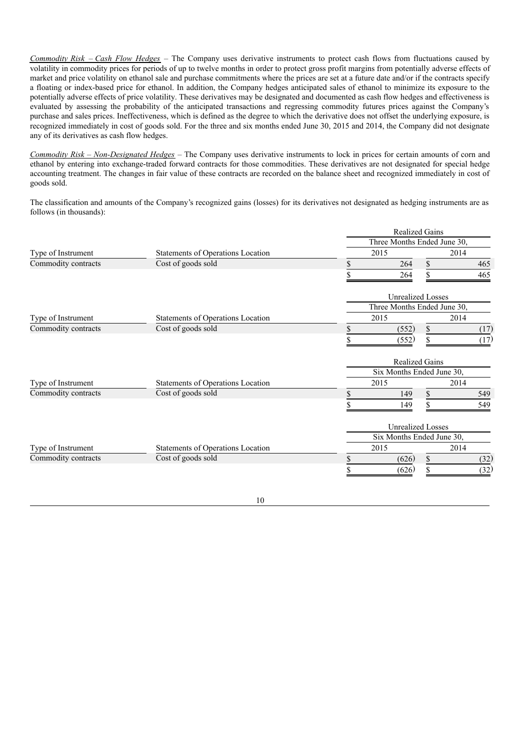*Commodity Risk* – *Cash Flow Hedges* – The Company uses derivative instruments to protect cash flows from fluctuations caused by volatility in commodity prices for periods of up to twelve months in order to protect gross profit margins from potentially adverse effects of market and price volatility on ethanol sale and purchase commitments where the prices are set at a future date and/or if the contracts specify a floating or index-based price for ethanol. In addition, the Company hedges anticipated sales of ethanol to minimize its exposure to the potentially adverse effects of price volatility. These derivatives may be designated and documented as cash flow hedges and effectiveness is evaluated by assessing the probability of the anticipated transactions and regressing commodity futures prices against the Company's purchase and sales prices. Ineffectiveness, which is defined as the degree to which the derivative does not offset the underlying exposure, is recognized immediately in cost of goods sold. For the three and six months ended June 30, 2015 and 2014, the Company did not designate any of its derivatives as cash flow hedges.

*Commodity Risk – Non-Designated Hedges* – The Company uses derivative instruments to lock in prices for certain amounts of corn and ethanol by entering into exchange-traded forward contracts for those commodities. These derivatives are not designated for special hedge accounting treatment. The changes in fair value of these contracts are recorded on the balance sheet and recognized immediately in cost of goods sold.

The classification and amounts of the Company's recognized gains (losses) for its derivatives not designated as hedging instruments are as follows (in thousands):

|                                           |                                   | <b>Realized Gains</b>       |                             |      |      |  |  |
|-------------------------------------------|-----------------------------------|-----------------------------|-----------------------------|------|------|--|--|
|                                           |                                   | Three Months Ended June 30, |                             |      |      |  |  |
| Type of Instrument<br>Commodity contracts | Statements of Operations Location |                             | 2015                        | 2014 |      |  |  |
|                                           | Cost of goods sold                | S                           | 264                         | \$   | 465  |  |  |
|                                           |                                   |                             | 264                         |      | 465  |  |  |
|                                           |                                   |                             | <b>Unrealized Losses</b>    |      |      |  |  |
|                                           |                                   |                             | Three Months Ended June 30, |      |      |  |  |
| Type of Instrument                        | Statements of Operations Location |                             | 2015                        |      | 2014 |  |  |
| Commodity contracts                       | Cost of goods sold                | \$                          | (552)                       | \$   | (17) |  |  |
|                                           |                                   |                             | (552)                       |      | (17) |  |  |
|                                           |                                   |                             | <b>Realized Gains</b>       |      |      |  |  |
|                                           |                                   |                             | Six Months Ended June 30,   |      |      |  |  |
| Type of Instrument                        | Statements of Operations Location |                             | 2015                        |      | 2014 |  |  |
| Commodity contracts                       | Cost of goods sold                | \$                          | 149                         | \$   | 549  |  |  |
|                                           |                                   |                             | 149                         |      | 549  |  |  |
|                                           |                                   |                             | <b>Unrealized Losses</b>    |      |      |  |  |
|                                           |                                   |                             | Six Months Ended June 30,   |      |      |  |  |
| Type of Instrument                        | Statements of Operations Location |                             | 2015                        |      | 2014 |  |  |
| Commodity contracts                       | Cost of goods sold                |                             | (626)                       | \$   | (32) |  |  |
|                                           |                                   |                             | (626)                       | \$   | (32) |  |  |
|                                           |                                   |                             |                             |      |      |  |  |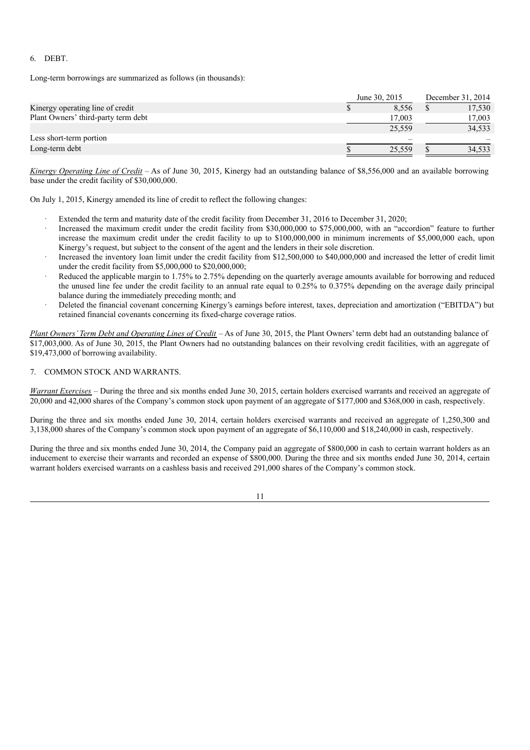# 6. DEBT.

Long-term borrowings are summarized as follows (in thousands):

|                                     | June 30, 2015 | December 31, 2014 |        |  |
|-------------------------------------|---------------|-------------------|--------|--|
| Kinergy operating line of credit    | 8.556         |                   | 17,530 |  |
| Plant Owners' third-party term debt | 17,003        |                   | 17,003 |  |
|                                     | 25,559        |                   | 34,533 |  |
| Less short-term portion             |               |                   |        |  |
| Long-term debt                      | 25.559        |                   | 34,533 |  |

*Kinergy Operating Line of Credit* – As of June 30, 2015, Kinergy had an outstanding balance of \$8,556,000 and an available borrowing base under the credit facility of \$30,000,000.

On July 1, 2015, Kinergy amended its line of credit to reflect the following changes:

- Extended the term and maturity date of the credit facility from December 31, 2016 to December 31, 2020;
- Increased the maximum credit under the credit facility from \$30,000,000 to \$75,000,000, with an "accordion" feature to further increase the maximum credit under the credit facility to up to \$100,000,000 in minimum increments of \$5,000,000 each, upon Kinergy's request, but subject to the consent of the agent and the lenders in their sole discretion.
- Increased the inventory loan limit under the credit facility from \$12,500,000 to \$40,000,000 and increased the letter of credit limit under the credit facility from \$5,000,000 to \$20,000,000;
- Reduced the applicable margin to 1.75% to 2.75% depending on the quarterly average amounts available for borrowing and reduced the unused line fee under the credit facility to an annual rate equal to 0.25% to 0.375% depending on the average daily principal balance during the immediately preceding month; and
- Deleted the financial covenant concerning Kinergy's earnings before interest, taxes, depreciation and amortization ("EBITDA") but retained financial covenants concerning its fixed-charge coverage ratios.

*Plant Owners' Term Debt and Operating Lines of Credit* – As of June 30, 2015, the Plant Owners' term debt had an outstanding balance of \$17,003,000. As of June 30, 2015, the Plant Owners had no outstanding balances on their revolving credit facilities, with an aggregate of \$19,473,000 of borrowing availability.

# 7. COMMON STOCK AND WARRANTS.

*Warrant Exercises* – During the three and six months ended June 30, 2015, certain holders exercised warrants and received an aggregate of 20,000 and 42,000 shares of the Company's common stock upon payment of an aggregate of \$177,000 and \$368,000 in cash, respectively.

During the three and six months ended June 30, 2014, certain holders exercised warrants and received an aggregate of 1,250,300 and 3,138,000 shares of the Company's common stock upon payment of an aggregate of \$6,110,000 and \$18,240,000 in cash, respectively.

During the three and six months ended June 30, 2014, the Company paid an aggregate of \$800,000 in cash to certain warrant holders as an inducement to exercise their warrants and recorded an expense of \$800,000. During the three and six months ended June 30, 2014, certain warrant holders exercised warrants on a cashless basis and received 291,000 shares of the Company's common stock.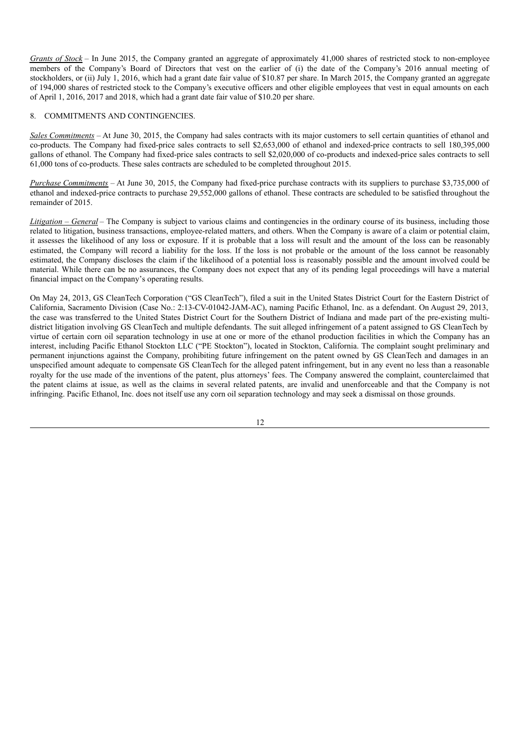*Grants of Stock* – In June 2015, the Company granted an aggregate of approximately 41,000 shares of restricted stock to non-employee members of the Company's Board of Directors that vest on the earlier of (i) the date of the Company's 2016 annual meeting of stockholders, or (ii) July 1, 2016, which had a grant date fair value of \$10.87 per share. In March 2015, the Company granted an aggregate of 194,000 shares of restricted stock to the Company's executive officers and other eligible employees that vest in equal amounts on each of April 1, 2016, 2017 and 2018, which had a grant date fair value of \$10.20 per share.

# 8. COMMITMENTS AND CONTINGENCIES.

*Sales Commitments* – At June 30, 2015, the Company had sales contracts with its major customers to sell certain quantities of ethanol and co-products. The Company had fixed-price sales contracts to sell \$2,653,000 of ethanol and indexed-price contracts to sell 180,395,000 gallons of ethanol. The Company had fixed-price sales contracts to sell \$2,020,000 of co-products and indexed-price sales contracts to sell 61,000 tons of co-products. These sales contracts are scheduled to be completed throughout 2015.

*Purchase Commitments* – At June 30, 2015, the Company had fixed-price purchase contracts with its suppliers to purchase \$3,735,000 of ethanol and indexed-price contracts to purchase 29,552,000 gallons of ethanol. These contracts are scheduled to be satisfied throughout the remainder of 2015.

*Litigation* – *General* – The Company is subject to various claims and contingencies in the ordinary course of its business, including those related to litigation, business transactions, employee-related matters, and others. When the Company is aware of a claim or potential claim, it assesses the likelihood of any loss or exposure. If it is probable that a loss will result and the amount of the loss can be reasonably estimated, the Company will record a liability for the loss. If the loss is not probable or the amount of the loss cannot be reasonably estimated, the Company discloses the claim if the likelihood of a potential loss is reasonably possible and the amount involved could be material. While there can be no assurances, the Company does not expect that any of its pending legal proceedings will have a material financial impact on the Company's operating results.

On May 24, 2013, GS CleanTech Corporation ("GS CleanTech"), filed a suit in the United States District Court for the Eastern District of California, Sacramento Division (Case No.: 2:13-CV-01042-JAM-AC), naming Pacific Ethanol, Inc. as a defendant. On August 29, 2013, the case was transferred to the United States District Court for the Southern District of Indiana and made part of the pre-existing multidistrict litigation involving GS CleanTech and multiple defendants. The suit alleged infringement of a patent assigned to GS CleanTech by virtue of certain corn oil separation technology in use at one or more of the ethanol production facilities in which the Company has an interest, including Pacific Ethanol Stockton LLC ("PE Stockton"), located in Stockton, California. The complaint sought preliminary and permanent injunctions against the Company, prohibiting future infringement on the patent owned by GS CleanTech and damages in an unspecified amount adequate to compensate GS CleanTech for the alleged patent infringement, but in any event no less than a reasonable royalty for the use made of the inventions of the patent, plus attorneys' fees. The Company answered the complaint, counterclaimed that the patent claims at issue, as well as the claims in several related patents, are invalid and unenforceable and that the Company is not infringing. Pacific Ethanol, Inc. does not itself use any corn oil separation technology and may seek a dismissal on those grounds.

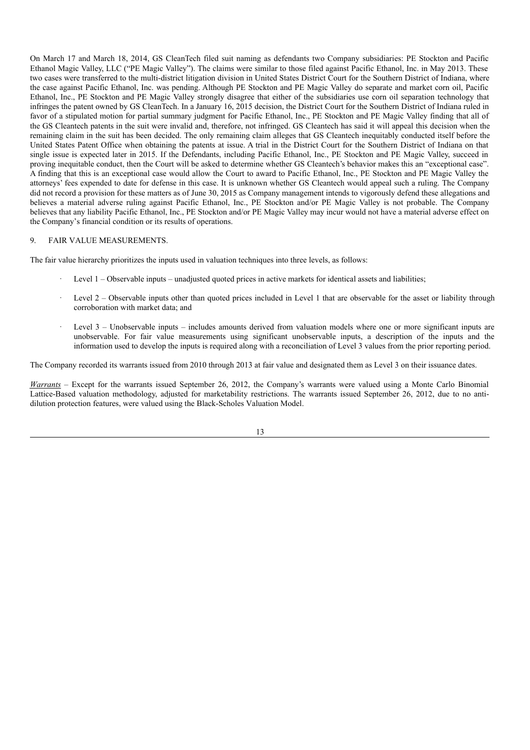On March 17 and March 18, 2014, GS CleanTech filed suit naming as defendants two Company subsidiaries: PE Stockton and Pacific Ethanol Magic Valley, LLC ("PE Magic Valley"). The claims were similar to those filed against Pacific Ethanol, Inc. in May 2013. These two cases were transferred to the multi-district litigation division in United States District Court for the Southern District of Indiana, where the case against Pacific Ethanol, Inc. was pending. Although PE Stockton and PE Magic Valley do separate and market corn oil, Pacific Ethanol, Inc., PE Stockton and PE Magic Valley strongly disagree that either of the subsidiaries use corn oil separation technology that infringes the patent owned by GS CleanTech. In a January 16, 2015 decision, the District Court for the Southern District of Indiana ruled in favor of a stipulated motion for partial summary judgment for Pacific Ethanol, Inc., PE Stockton and PE Magic Valley finding that all of the GS Cleantech patents in the suit were invalid and, therefore, not infringed. GS Cleantech has said it will appeal this decision when the remaining claim in the suit has been decided. The only remaining claim alleges that GS Cleantech inequitably conducted itself before the United States Patent Office when obtaining the patents at issue. A trial in the District Court for the Southern District of Indiana on that single issue is expected later in 2015. If the Defendants, including Pacific Ethanol, Inc., PE Stockton and PE Magic Valley, succeed in proving inequitable conduct, then the Court will be asked to determine whether GS Cleantech's behavior makes this an "exceptional case". A finding that this is an exceptional case would allow the Court to award to Pacific Ethanol, Inc., PE Stockton and PE Magic Valley the attorneys' fees expended to date for defense in this case. It is unknown whether GS Cleantech would appeal such a ruling. The Company did not record a provision for these matters as of June 30, 2015 as Company management intends to vigorously defend these allegations and believes a material adverse ruling against Pacific Ethanol, Inc., PE Stockton and/or PE Magic Valley is not probable. The Company believes that any liability Pacific Ethanol, Inc., PE Stockton and/or PE Magic Valley may incur would not have a material adverse effect on the Company's financial condition or its results of operations.

# 9. FAIR VALUE MEASUREMENTS.

The fair value hierarchy prioritizes the inputs used in valuation techniques into three levels, as follows:

- Level  $1 -$ Observable inputs unadjusted quoted prices in active markets for identical assets and liabilities;
- Level 2 Observable inputs other than quoted prices included in Level 1 that are observable for the asset or liability through corroboration with market data; and
- Level 3 Unobservable inputs includes amounts derived from valuation models where one or more significant inputs are unobservable. For fair value measurements using significant unobservable inputs, a description of the inputs and the information used to develop the inputs is required along with a reconciliation of Level 3 values from the prior reporting period.

The Company recorded its warrants issued from 2010 through 2013 at fair value and designated them as Level 3 on their issuance dates.

*Warrants* – Except for the warrants issued September 26, 2012, the Company's warrants were valued using a Monte Carlo Binomial Lattice-Based valuation methodology, adjusted for marketability restrictions. The warrants issued September 26, 2012, due to no antidilution protection features, were valued using the Black-Scholes Valuation Model.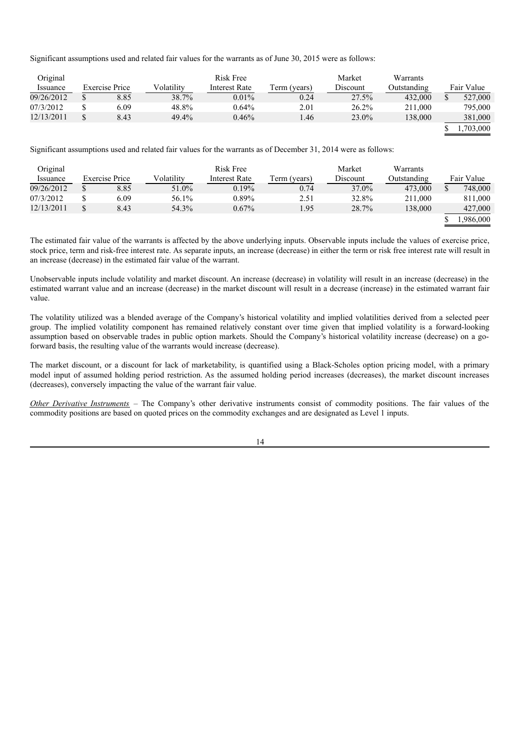Significant assumptions used and related fair values for the warrants as of June 30, 2015 were as follows:

| Original   |                |            | Risk Free     |              | Market   | Warrants    |            |
|------------|----------------|------------|---------------|--------------|----------|-------------|------------|
| Issuance   | Exercise Price | Volatilitv | Interest Rate | Term (years) | Discount | Outstanding | Fair Value |
| 09/26/2012 | 8.85           | 38.7%      | $0.01\%$      | 0.24         | 27.5%    | 432,000     | 527,000    |
| 07/3/2012  | 6.09           | 48.8%      | 0.64%         | 2.01         | $26.2\%$ | 211,000     | 795,000    |
| 12/13/2011 | 8.43           | 49.4%      | 0.46%         | l.46         | 23.0%    | 138,000     | 381,000    |
|            |                |            |               |              |          |             | 1,703,000  |

Significant assumptions used and related fair values for the warrants as of December 31, 2014 were as follows:

| Original   |                       |            | Risk Free     |              | Market   | Warrants    |            |
|------------|-----------------------|------------|---------------|--------------|----------|-------------|------------|
| Issuance   | <b>Exercise Price</b> | Volatilitv | Interest Rate | Term (years) | Discount | Outstanding | Fair Value |
| 09/26/2012 | 8.85                  | 51.0%      | 0.19%         | 0.74         | 37.0%    | 473,000     | 748,000    |
| 07/3/2012  | 6.09                  | 56.1%      | $0.89\%$      | 2.51         | 32.8%    | 211,000     | 811,000    |
| 12/13/2011 | 8.43                  | 54.3%      | $0.67\%$      | 1.95         | 28.7%    | 138,000     | 427,000    |
|            |                       |            |               |              |          |             | .986,000   |

The estimated fair value of the warrants is affected by the above underlying inputs. Observable inputs include the values of exercise price, stock price, term and risk-free interest rate. As separate inputs, an increase (decrease) in either the term or risk free interest rate will result in an increase (decrease) in the estimated fair value of the warrant.

Unobservable inputs include volatility and market discount. An increase (decrease) in volatility will result in an increase (decrease) in the estimated warrant value and an increase (decrease) in the market discount will result in a decrease (increase) in the estimated warrant fair value.

The volatility utilized was a blended average of the Company's historical volatility and implied volatilities derived from a selected peer group. The implied volatility component has remained relatively constant over time given that implied volatility is a forward-looking assumption based on observable trades in public option markets. Should the Company's historical volatility increase (decrease) on a goforward basis, the resulting value of the warrants would increase (decrease).

The market discount, or a discount for lack of marketability, is quantified using a Black-Scholes option pricing model, with a primary model input of assumed holding period restriction. As the assumed holding period increases (decreases), the market discount increases (decreases), conversely impacting the value of the warrant fair value.

*Other Derivative Instruments* – The Company's other derivative instruments consist of commodity positions. The fair values of the commodity positions are based on quoted prices on the commodity exchanges and are designated as Level 1 inputs.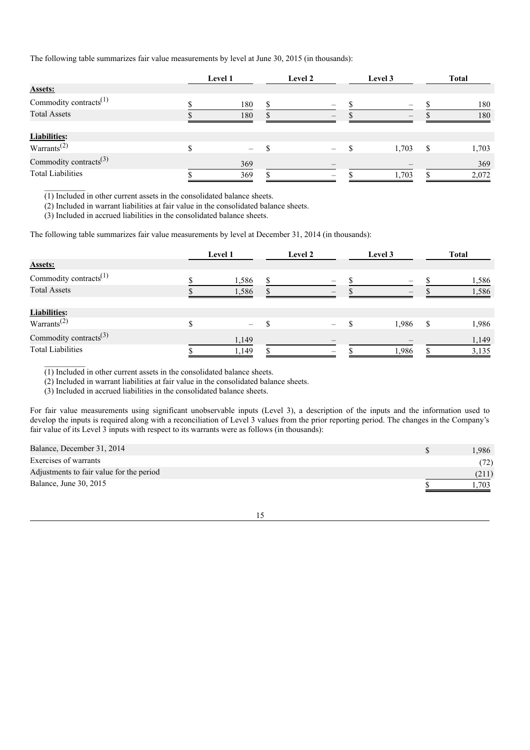The following table summarizes fair value measurements by level at June 30, 2015 (in thousands):

|                                    | Level 1 |     | Level 2 | Level 3 | Total |       |  |
|------------------------------------|---------|-----|---------|---------|-------|-------|--|
| <b>Assets:</b>                     |         |     |         |         |       |       |  |
| Commodity contracts <sup>(1)</sup> |         | 180 | $\sim$  |         |       | 180   |  |
| <b>Total Assets</b>                |         | 180 |         |         |       | 180   |  |
|                                    |         |     |         |         |       |       |  |
| <b>Liabilities:</b>                |         |     |         |         |       |       |  |
| Warrants <sup>(2)</sup>            |         |     |         | 1,703   | S     | 1,703 |  |
| Commodity contracts <sup>(3)</sup> |         | 369 |         |         |       | 369   |  |
| <b>Total Liabilities</b>           |         | 369 |         | 1,703   |       | 2,072 |  |

(1) Included in other current assets in the consolidated balance sheets.

(2) Included in warrant liabilities at fair value in the consolidated balance sheets.

(3) Included in accrued liabilities in the consolidated balance sheets.

The following table summarizes fair value measurements by level at December 31, 2014 (in thousands):

|                                    | <b>Level 1</b>           | Level 2                  | Level 3                  | Total         |       |  |
|------------------------------------|--------------------------|--------------------------|--------------------------|---------------|-------|--|
| <b>Assets:</b>                     |                          |                          |                          |               |       |  |
| Commodity contracts <sup>(1)</sup> | 1,586                    | $\hspace{0.05cm}$        | $\overline{\phantom{a}}$ |               | 1,586 |  |
| <b>Total Assets</b>                | 1,586                    |                          |                          |               | 1,586 |  |
|                                    |                          |                          |                          |               |       |  |
| <b>Liabilities:</b>                |                          |                          |                          |               |       |  |
| Warrants <sup>(2)</sup>            | $\overline{\phantom{0}}$ |                          | 1,986                    | <sup>\$</sup> | 1,986 |  |
| Commodity contracts <sup>(3)</sup> | 1,149                    | $\overline{\phantom{a}}$ |                          |               | 1,149 |  |
| <b>Total Liabilities</b>           | 1.149                    | $\overline{\phantom{a}}$ | 1.986                    |               | 3,135 |  |

(1) Included in other current assets in the consolidated balance sheets.

(2) Included in warrant liabilities at fair value in the consolidated balance sheets.

(3) Included in accrued liabilities in the consolidated balance sheets.

For fair value measurements using significant unobservable inputs (Level 3), a description of the inputs and the information used to develop the inputs is required along with a reconciliation of Level 3 values from the prior reporting period. The changes in the Company's fair value of its Level 3 inputs with respect to its warrants were as follows (in thousands):

| Balance, December 31, 2014               | .986  |
|------------------------------------------|-------|
| Exercises of warrants                    | (72)  |
| Adjustments to fair value for the period | (211) |
| Balance, June 30, 2015                   | .703  |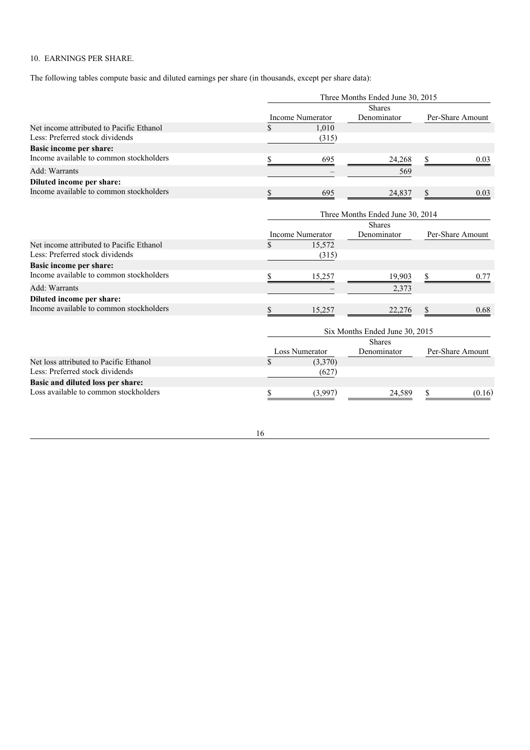# 10. EARNINGS PER SHARE.

The following tables compute basic and diluted earnings per share (in thousands, except per share data):

|                                          |                    |                         | Three Months Ended June 30, 2015 |                  |                  |  |
|------------------------------------------|--------------------|-------------------------|----------------------------------|------------------|------------------|--|
|                                          |                    |                         | <b>Shares</b>                    |                  |                  |  |
|                                          |                    | <b>Income Numerator</b> | Denominator                      | Per-Share Amount |                  |  |
| Net income attributed to Pacific Ethanol | $\mathcal{S}$      | 1,010                   |                                  |                  |                  |  |
| Less: Preferred stock dividends          |                    | (315)                   |                                  |                  |                  |  |
| Basic income per share:                  |                    |                         |                                  |                  |                  |  |
| Income available to common stockholders  | \$                 | 695                     | 24,268                           | \$               | 0.03             |  |
| Add: Warrants                            |                    |                         | 569                              |                  |                  |  |
| Diluted income per share:                |                    |                         |                                  |                  |                  |  |
| Income available to common stockholders  | S                  | 695                     | 24,837                           | \$               | 0.03             |  |
|                                          |                    |                         | Three Months Ended June 30, 2014 |                  |                  |  |
|                                          |                    |                         | <b>Shares</b>                    |                  |                  |  |
|                                          |                    | Income Numerator        | Denominator                      |                  | Per-Share Amount |  |
| Net income attributed to Pacific Ethanol | $\mathbf{\hat{S}}$ | 15,572                  |                                  |                  |                  |  |
| Less: Preferred stock dividends          |                    | (315)                   |                                  |                  |                  |  |
| Basic income per share:                  |                    |                         |                                  |                  |                  |  |
| Income available to common stockholders  | \$                 | 15,257                  | 19,903                           | \$               | 0.77             |  |
| Add: Warrants                            |                    |                         | 2,373                            |                  |                  |  |
| Diluted income per share:                |                    |                         |                                  |                  |                  |  |
| Income available to common stockholders  | S                  | 15,257                  | 22,276                           | \$               | 0.68             |  |
|                                          |                    |                         | Six Months Ended June 30, 2015   |                  |                  |  |
|                                          |                    |                         | <b>Shares</b>                    |                  |                  |  |
|                                          |                    | <b>Loss Numerator</b>   | Denominator                      |                  | Per-Share Amount |  |
| Net loss attributed to Pacific Ethanol   | \$                 | (3,370)                 |                                  |                  |                  |  |
| Less: Preferred stock dividends          |                    | (627)                   |                                  |                  |                  |  |
| Basic and diluted loss per share:        |                    |                         |                                  |                  |                  |  |
| Loss available to common stockholders    | \$                 | (3,997)                 | 24,589                           | \$               | (0.16)           |  |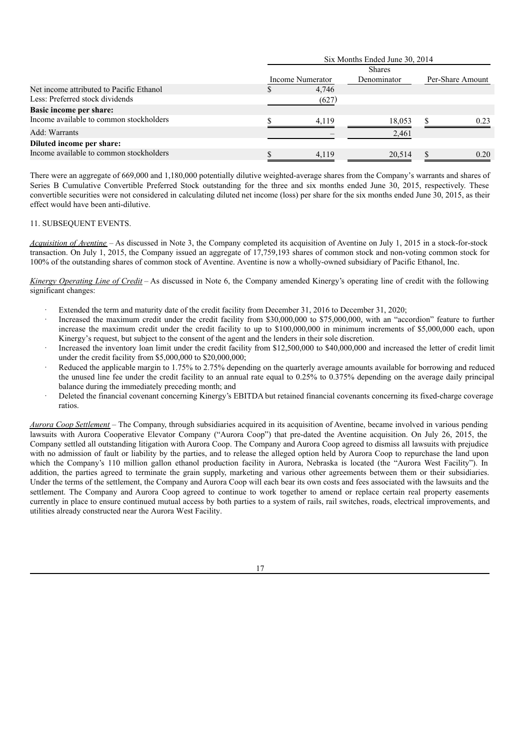|                                          | Six Months Ended June 30, 2014 |                  |             |  |                  |  |  |  |  |  |  |
|------------------------------------------|--------------------------------|------------------|-------------|--|------------------|--|--|--|--|--|--|
|                                          | <b>Shares</b>                  |                  |             |  |                  |  |  |  |  |  |  |
|                                          |                                | Income Numerator | Denominator |  | Per-Share Amount |  |  |  |  |  |  |
| Net income attributed to Pacific Ethanol |                                | 4,746            |             |  |                  |  |  |  |  |  |  |
| Less: Preferred stock dividends          |                                | (627)            |             |  |                  |  |  |  |  |  |  |
| <b>Basic income per share:</b>           |                                |                  |             |  |                  |  |  |  |  |  |  |
| Income available to common stockholders  |                                | 4.119            | 18,053      |  | 0.23             |  |  |  |  |  |  |
| Add: Warrants                            |                                |                  | 2,461       |  |                  |  |  |  |  |  |  |
| Diluted income per share:                |                                |                  |             |  |                  |  |  |  |  |  |  |
| Income available to common stockholders  |                                | 4,119            | 20,514      |  | 0.20             |  |  |  |  |  |  |

There were an aggregate of 669,000 and 1,180,000 potentially dilutive weighted-average shares from the Company's warrants and shares of Series B Cumulative Convertible Preferred Stock outstanding for the three and six months ended June 30, 2015, respectively. These convertible securities were not considered in calculating diluted net income (loss) per share for the six months ended June 30, 2015, as their effect would have been anti-dilutive.

### 11. SUBSEQUENT EVENTS.

*Acquisition of Aventine* – As discussed in Note 3, the Company completed its acquisition of Aventine on July 1, 2015 in a stock-for-stock transaction. On July 1, 2015, the Company issued an aggregate of 17,759,193 shares of common stock and non-voting common stock for 100% of the outstanding shares of common stock of Aventine. Aventine is now a wholly-owned subsidiary of Pacific Ethanol, Inc.

*Kinergy Operating Line of Credit* – As discussed in Note 6, the Company amended Kinergy's operating line of credit with the following significant changes:

- Extended the term and maturity date of the credit facility from December 31, 2016 to December 31, 2020;
- Increased the maximum credit under the credit facility from \$30,000,000 to \$75,000,000, with an "accordion" feature to further increase the maximum credit under the credit facility to up to \$100,000,000 in minimum increments of \$5,000,000 each, upon Kinergy's request, but subject to the consent of the agent and the lenders in their sole discretion.
- Increased the inventory loan limit under the credit facility from \$12,500,000 to \$40,000,000 and increased the letter of credit limit under the credit facility from \$5,000,000 to \$20,000,000;
- Reduced the applicable margin to 1.75% to 2.75% depending on the quarterly average amounts available for borrowing and reduced the unused line fee under the credit facility to an annual rate equal to 0.25% to 0.375% depending on the average daily principal balance during the immediately preceding month; and
- Deleted the financial covenant concerning Kinergy's EBITDA but retained financial covenants concerning its fixed-charge coverage ratios.

*Aurora Coop Settlement –* The Company, through subsidiaries acquired in its acquisition of Aventine, became involved in various pending lawsuits with Aurora Cooperative Elevator Company ("Aurora Coop") that pre-dated the Aventine acquisition. On July 26, 2015, the Company settled all outstanding litigation with Aurora Coop. The Company and Aurora Coop agreed to dismiss all lawsuits with prejudice with no admission of fault or liability by the parties, and to release the alleged option held by Aurora Coop to repurchase the land upon which the Company's 110 million gallon ethanol production facility in Aurora, Nebraska is located (the "Aurora West Facility"). In addition, the parties agreed to terminate the grain supply, marketing and various other agreements between them or their subsidiaries. Under the terms of the settlement, the Company and Aurora Coop will each bear its own costs and fees associated with the lawsuits and the settlement. The Company and Aurora Coop agreed to continue to work together to amend or replace certain real property easements currently in place to ensure continued mutual access by both parties to a system of rails, rail switches, roads, electrical improvements, and utilities already constructed near the Aurora West Facility.

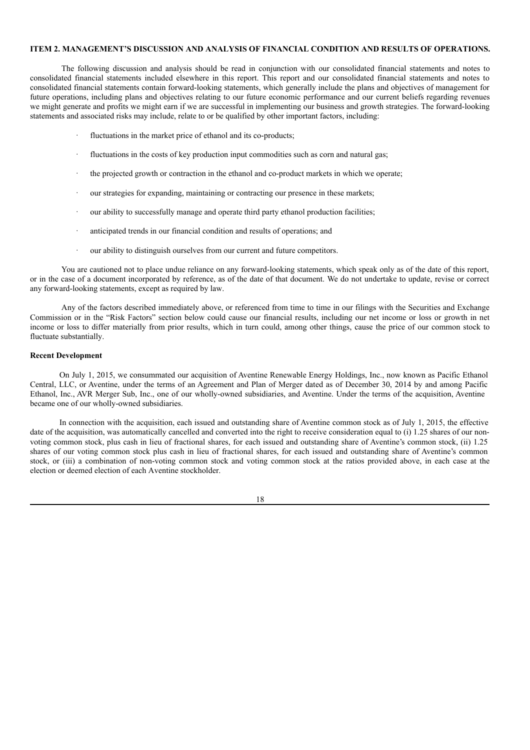# **ITEM 2. MANAGEMENT'S DISCUSSION AND ANALYSIS OF FINANCIAL CONDITION AND RESULTS OF OPERATIONS.**

The following discussion and analysis should be read in conjunction with our consolidated financial statements and notes to consolidated financial statements included elsewhere in this report. This report and our consolidated financial statements and notes to consolidated financial statements contain forward-looking statements, which generally include the plans and objectives of management for future operations, including plans and objectives relating to our future economic performance and our current beliefs regarding revenues we might generate and profits we might earn if we are successful in implementing our business and growth strategies. The forward-looking statements and associated risks may include, relate to or be qualified by other important factors, including:

- fluctuations in the market price of ethanol and its co-products;
- fluctuations in the costs of key production input commodities such as corn and natural gas;
- · the projected growth or contraction in the ethanol and co-product markets in which we operate;
- our strategies for expanding, maintaining or contracting our presence in these markets;
- our ability to successfully manage and operate third party ethanol production facilities;
- anticipated trends in our financial condition and results of operations; and
- our ability to distinguish ourselves from our current and future competitors.

You are cautioned not to place undue reliance on any forward-looking statements, which speak only as of the date of this report, or in the case of a document incorporated by reference, as of the date of that document. We do not undertake to update, revise or correct any forward-looking statements, except as required by law.

Any of the factors described immediately above, or referenced from time to time in our filings with the Securities and Exchange Commission or in the "Risk Factors" section below could cause our financial results, including our net income or loss or growth in net income or loss to differ materially from prior results, which in turn could, among other things, cause the price of our common stock to fluctuate substantially.

# **Recent Development**

On July 1, 2015, we consummated our acquisition of Aventine Renewable Energy Holdings, Inc., now known as Pacific Ethanol Central, LLC, or Aventine, under the terms of an Agreement and Plan of Merger dated as of December 30, 2014 by and among Pacific Ethanol, Inc., AVR Merger Sub, Inc., one of our wholly-owned subsidiaries, and Aventine. Under the terms of the acquisition, Aventine became one of our wholly-owned subsidiaries.

In connection with the acquisition, each issued and outstanding share of Aventine common stock as of July 1, 2015, the effective date of the acquisition, was automatically cancelled and converted into the right to receive consideration equal to (i) 1.25 shares of our nonvoting common stock, plus cash in lieu of fractional shares, for each issued and outstanding share of Aventine's common stock, (ii) 1.25 shares of our voting common stock plus cash in lieu of fractional shares, for each issued and outstanding share of Aventine's common stock, or (iii) a combination of non-voting common stock and voting common stock at the ratios provided above, in each case at the election or deemed election of each Aventine stockholder.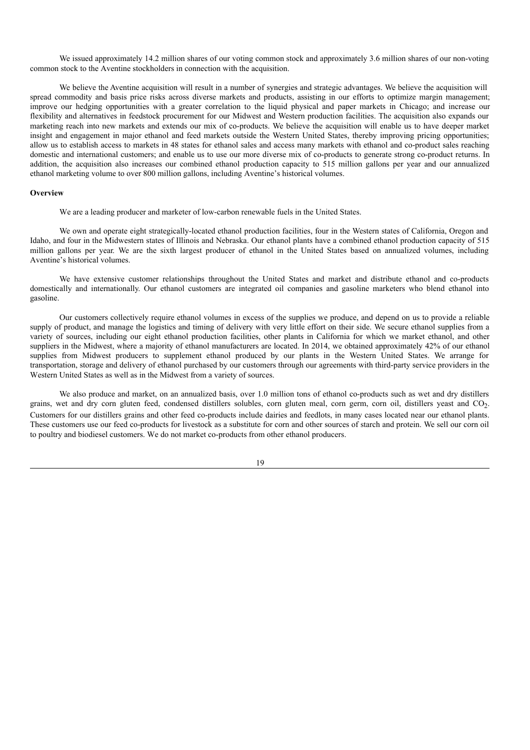We issued approximately 14.2 million shares of our voting common stock and approximately 3.6 million shares of our non-voting common stock to the Aventine stockholders in connection with the acquisition.

We believe the Aventine acquisition will result in a number of synergies and strategic advantages. We believe the acquisition will spread commodity and basis price risks across diverse markets and products, assisting in our efforts to optimize margin management; improve our hedging opportunities with a greater correlation to the liquid physical and paper markets in Chicago; and increase our flexibility and alternatives in feedstock procurement for our Midwest and Western production facilities. The acquisition also expands our marketing reach into new markets and extends our mix of co-products. We believe the acquisition will enable us to have deeper market insight and engagement in major ethanol and feed markets outside the Western United States, thereby improving pricing opportunities; allow us to establish access to markets in 48 states for ethanol sales and access many markets with ethanol and co-product sales reaching domestic and international customers; and enable us to use our more diverse mix of co-products to generate strong co-product returns. In addition, the acquisition also increases our combined ethanol production capacity to 515 million gallons per year and our annualized ethanol marketing volume to over 800 million gallons, including Aventine's historical volumes.

#### **Overview**

We are a leading producer and marketer of low-carbon renewable fuels in the United States.

We own and operate eight strategically-located ethanol production facilities, four in the Western states of California, Oregon and Idaho, and four in the Midwestern states of Illinois and Nebraska. Our ethanol plants have a combined ethanol production capacity of 515 million gallons per year. We are the sixth largest producer of ethanol in the United States based on annualized volumes, including Aventine's historical volumes.

We have extensive customer relationships throughout the United States and market and distribute ethanol and co-products domestically and internationally. Our ethanol customers are integrated oil companies and gasoline marketers who blend ethanol into gasoline.

Our customers collectively require ethanol volumes in excess of the supplies we produce, and depend on us to provide a reliable supply of product, and manage the logistics and timing of delivery with very little effort on their side. We secure ethanol supplies from a variety of sources, including our eight ethanol production facilities, other plants in California for which we market ethanol, and other suppliers in the Midwest, where a majority of ethanol manufacturers are located. In 2014, we obtained approximately 42% of our ethanol supplies from Midwest producers to supplement ethanol produced by our plants in the Western United States. We arrange for transportation, storage and delivery of ethanol purchased by our customers through our agreements with third-party service providers in the Western United States as well as in the Midwest from a variety of sources.

We also produce and market, on an annualized basis, over 1.0 million tons of ethanol co-products such as wet and dry distillers grains, wet and dry corn gluten feed, condensed distillers solubles, corn gluten meal, corn germ, corn oil, distillers yeast and CO<sub>2</sub>. Customers for our distillers grains and other feed co-products include dairies and feedlots, in many cases located near our ethanol plants. These customers use our feed co-products for livestock as a substitute for corn and other sources of starch and protein. We sell our corn oil to poultry and biodiesel customers. We do not market co-products from other ethanol producers.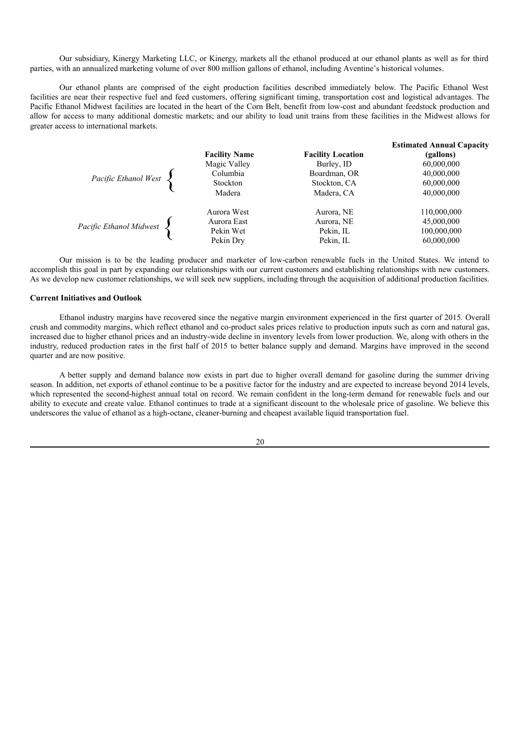Our subsidiary, Kinergy Marketing LLC, or Kinergy, markets all the ethanol produced at our ethanol plants as well as for third parties, with an annualized marketing volume of over 800 million gallons of ethanol, including Aventine's historical volumes.

Our ethanol plants are comprised of the eight production facilities described immediately below. The Pacific Ethanol West facilities are near their respective fuel and feed customers, offering significant timing, transportation cost and logistical advantages. The Pacific Ethanol Midwest facilities are located in the heart of the Corn Belt, benefit from low-cost and abundant feedstock production and allow for access to many additional domestic markets; and our ability to load unit trains from these facilities in the Midwest allows for greater access to international markets.

|                         | <b>Facility Name</b> | <b>Facility Location</b>     | <b>Estimated Annual Capacity</b><br>(gallons) |
|-------------------------|----------------------|------------------------------|-----------------------------------------------|
|                         | Magic Valley         | Burley, ID                   | 60,000,000                                    |
| Pacific Ethanol West    | Columbia<br>Stockton | Boardman, OR<br>Stockton, CA | 40,000,000<br>60,000,000                      |
|                         | Madera               | Madera, CA                   | 40,000,000                                    |
|                         | Aurora West          | Aurora, NE                   | 110,000,000                                   |
| Pacific Ethanol Midwest | Aurora East          | Aurora, NE                   | 45,000,000                                    |
|                         | Pekin Wet            | Pekin, IL                    | 100,000,000                                   |
|                         | Pekin Dry            | Pekin, IL                    | 60,000,000                                    |

Our mission is to be the leading producer and marketer of low-carbon renewable fuels in the United States. We intend to accomplish this goal in part by expanding our relationships with our current customers and establishing relationships with new customers. As we develop new customer relationships, we will seek new suppliers, including through the acquisition of additional production facilities.

# **Current Initiatives and Outlook**

Ethanol industry margins have recovered since the negative margin environment experienced in the first quarter of 2015. Overall crush and commodity margins, which reflect ethanol and co-product sales prices relative to production inputs such as corn and natural gas, increased due to higher ethanol prices and an industry-wide decline in inventory levels from lower production. We, along with others in the industry, reduced production rates in the first half of 2015 to better balance supply and demand. Margins have improved in the second quarter and are now positive.

A better supply and demand balance now exists in part due to higher overall demand for gasoline during the summer driving season. In addition, net exports of ethanol continue to be a positive factor for the industry and are expected to increase beyond 2014 levels, which represented the second-highest annual total on record. We remain confident in the long-term demand for renewable fuels and our ability to execute and create value. Ethanol continues to trade at a significant discount to the wholesale price of gasoline. We believe this underscores the value of ethanol as a high-octane, cleaner-burning and cheapest available liquid transportation fuel.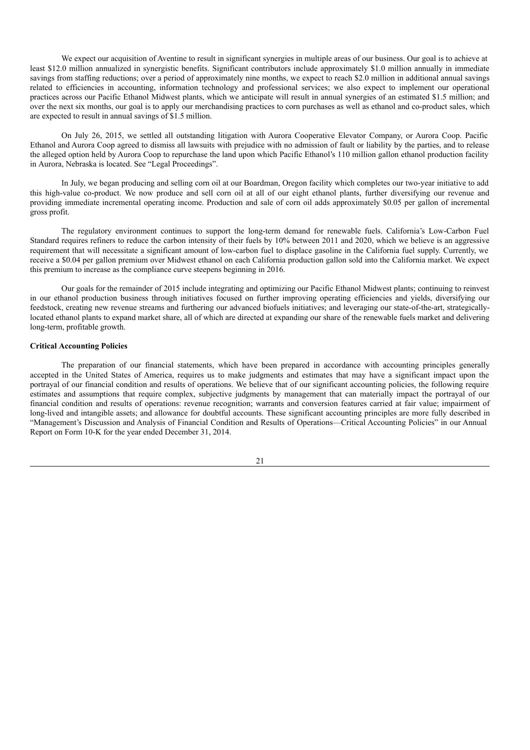We expect our acquisition of Aventine to result in significant synergies in multiple areas of our business. Our goal is to achieve at least \$12.0 million annualized in synergistic benefits. Significant contributors include approximately \$1.0 million annually in immediate savings from staffing reductions; over a period of approximately nine months, we expect to reach \$2.0 million in additional annual savings related to efficiencies in accounting, information technology and professional services; we also expect to implement our operational practices across our Pacific Ethanol Midwest plants, which we anticipate will result in annual synergies of an estimated \$1.5 million; and over the next six months, our goal is to apply our merchandising practices to corn purchases as well as ethanol and co-product sales, which are expected to result in annual savings of \$1.5 million.

On July 26, 2015, we settled all outstanding litigation with Aurora Cooperative Elevator Company, or Aurora Coop. Pacific Ethanol and Aurora Coop agreed to dismiss all lawsuits with prejudice with no admission of fault or liability by the parties, and to release the alleged option held by Aurora Coop to repurchase the land upon which Pacific Ethanol's 110 million gallon ethanol production facility in Aurora, Nebraska is located. See "Legal Proceedings".

In July, we began producing and selling corn oil at our Boardman, Oregon facility which completes our two-year initiative to add this high-value co-product. We now produce and sell corn oil at all of our eight ethanol plants, further diversifying our revenue and providing immediate incremental operating income. Production and sale of corn oil adds approximately \$0.05 per gallon of incremental gross profit.

The regulatory environment continues to support the long-term demand for renewable fuels. California's Low-Carbon Fuel Standard requires refiners to reduce the carbon intensity of their fuels by 10% between 2011 and 2020, which we believe is an aggressive requirement that will necessitate a significant amount of low-carbon fuel to displace gasoline in the California fuel supply. Currently, we receive a \$0.04 per gallon premium over Midwest ethanol on each California production gallon sold into the California market. We expect this premium to increase as the compliance curve steepens beginning in 2016.

Our goals for the remainder of 2015 include integrating and optimizing our Pacific Ethanol Midwest plants; continuing to reinvest in our ethanol production business through initiatives focused on further improving operating efficiencies and yields, diversifying our feedstock, creating new revenue streams and furthering our advanced biofuels initiatives; and leveraging our state-of-the-art, strategicallylocated ethanol plants to expand market share, all of which are directed at expanding our share of the renewable fuels market and delivering long-term, profitable growth.

# **Critical Accounting Policies**

The preparation of our financial statements, which have been prepared in accordance with accounting principles generally accepted in the United States of America, requires us to make judgments and estimates that may have a significant impact upon the portrayal of our financial condition and results of operations. We believe that of our significant accounting policies, the following require estimates and assumptions that require complex, subjective judgments by management that can materially impact the portrayal of our financial condition and results of operations: revenue recognition; warrants and conversion features carried at fair value; impairment of long-lived and intangible assets; and allowance for doubtful accounts. These significant accounting principles are more fully described in "Management's Discussion and Analysis of Financial Condition and Results of Operations—Critical Accounting Policies" in our Annual Report on Form 10-K for the year ended December 31, 2014.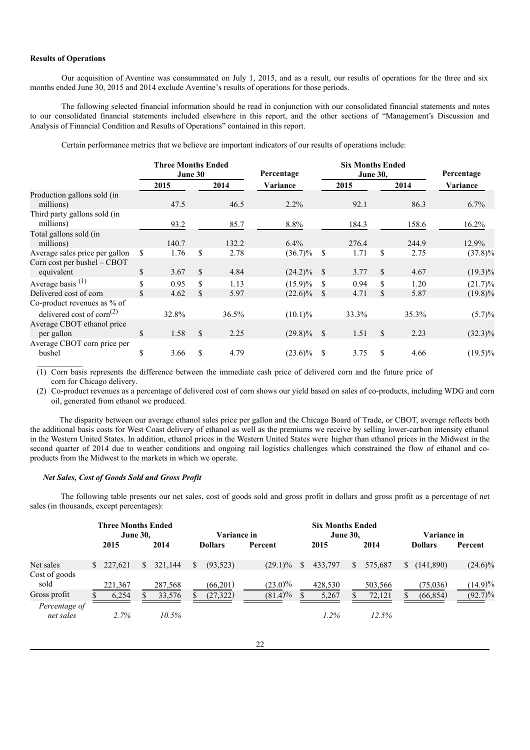### **Results of Operations**

Our acquisition of Aventine was consummated on July 1, 2015, and as a result, our results of operations for the three and six months ended June 30, 2015 and 2014 exclude Aventine's results of operations for those periods.

The following selected financial information should be read in conjunction with our consolidated financial statements and notes to our consolidated financial statements included elsewhere in this report, and the other sections of "Management's Discussion and Analysis of Financial Condition and Results of Operations" contained in this report.

Certain performance metrics that we believe are important indicators of our results of operations include:

|                                                    | <b>Three Months Ended</b><br>June 30 |              |       | Percentage    |               | <b>Six Months Ended</b><br><b>June 30,</b> | Percentage |       |            |
|----------------------------------------------------|--------------------------------------|--------------|-------|---------------|---------------|--------------------------------------------|------------|-------|------------|
|                                                    | 2015                                 |              | 2014  | Variance      |               | 2015                                       |            | 2014  | Variance   |
| Production gallons sold (in<br>millions)           | 47.5                                 |              | 46.5  | $2.2\%$       |               | 92.1                                       |            | 86.3  | $6.7\%$    |
| Third party gallons sold (in<br>millions)          | 93.2                                 |              | 85.7  | 8.8%          |               | 184.3                                      |            | 158.6 | $16.2\%$   |
| Total gallons sold (in<br>millions)                | 140.7                                |              | 132.2 | $6.4\%$       |               | 276.4                                      |            | 244.9 | 12.9%      |
| Average sales price per gallon                     | \$<br>1.76                           | S            | 2.78  | $(36.7)\%$    | -S            | 1.71                                       | S          | 2.75  | $(37.8)\%$ |
| Corn cost per bushel $-$ CBOT<br>equivalent        | \$<br>3.67                           | \$           | 4.84  | $(24.2)\%$ \$ |               | 3.77                                       | \$         | 4.67  | $(19.3)\%$ |
| Average basis <sup>(1)</sup>                       | \$<br>0.95                           | S            | 1.13  | $(15.9)\%$    | <sup>\$</sup> | 0.94                                       | \$         | 1.20  | $(21.7)\%$ |
| Delivered cost of corn                             | \$<br>4.62                           | \$           | 5.97  | $(22.6)\%$    | <sup>S</sup>  | 4.71                                       | \$         | 5.87  | $(19.8)\%$ |
| Co-product revenues as % of                        |                                      |              |       |               |               |                                            |            |       |            |
| delivered cost of corn <sup><math>(2)</math></sup> | 32.8%                                |              | 36.5% | $(10.1)\%$    |               | 33.3%                                      |            | 35.3% | $(5.7)\%$  |
| Average CBOT ethanol price<br>per gallon           | \$<br>1.58                           | $\mathbb{S}$ | 2.25  | $(29.8)\%$ \$ |               | 1.51                                       | \$         | 2.23  | $(32.3)\%$ |
| Average CBOT corn price per<br>bushel              | \$<br>3.66                           | \$           | 4.79  | $(23.6)\%$    | S             | 3.75                                       | S          | 4.66  | $(19.5)\%$ |

(1) Corn basis represents the difference between the immediate cash price of delivered corn and the future price of corn for Chicago delivery.

(2) Co-product revenues as a percentage of delivered cost of corn shows our yield based on sales of co-products, including WDG and corn oil, generated from ethanol we produced.

The disparity between our average ethanol sales price per gallon and the Chicago Board of Trade, or CBOT, average reflects both the additional basis costs for West Coast delivery of ethanol as well as the premiums we receive by selling lower-carbon intensity ethanol in the Western United States. In addition, ethanol prices in the Western United States were higher than ethanol prices in the Midwest in the second quarter of 2014 due to weather conditions and ongoing rail logistics challenges which constrained the flow of ethanol and coproducts from the Midwest to the markets in which we operate.

### *Net Sales, Cost of Goods Sold and Gross Profit*

The following table presents our net sales, cost of goods sold and gross profit in dollars and gross profit as a percentage of net sales (in thousands, except percentages):

|                            | <b>Three Months Ended</b><br><b>June 30,</b> |    |          | Variance in    |           |  | <b>Six Months Ended</b><br><b>June 30,</b> |    |         |    |                | <b>Variance in</b> |                |            |
|----------------------------|----------------------------------------------|----|----------|----------------|-----------|--|--------------------------------------------|----|---------|----|----------------|--------------------|----------------|------------|
|                            | 2015<br>2014                                 |    |          | <b>Dollars</b> | Percent   |  | 2015                                       |    | 2014    |    | <b>Dollars</b> |                    | <b>Percent</b> |            |
| Net sales                  | \$227,621                                    | S. | 321,144  |                | (93, 523) |  | $(29.1)\%$                                 | -S | 433,797 | S. | 575,687        | S                  | (141,890)      | $(24.6)\%$ |
| Cost of goods<br>sold      | 221,367                                      |    | 287,568  |                | (66,201)  |  | $(23.0)\%$                                 |    | 428,530 |    | 503,566        |                    | (75,036)       | $(14.9)\%$ |
| Gross profit               | 6,254                                        |    | 33,576   |                | (27, 322) |  | $(81.4)\%$                                 |    | 5,267   |    | 72,121         |                    | (66, 854)      | $(92.7)\%$ |
| Percentage of<br>net sales | 2.7%                                         |    | $10.5\%$ |                |           |  |                                            |    | $1.2\%$ |    | 12.5%          |                    |                |            |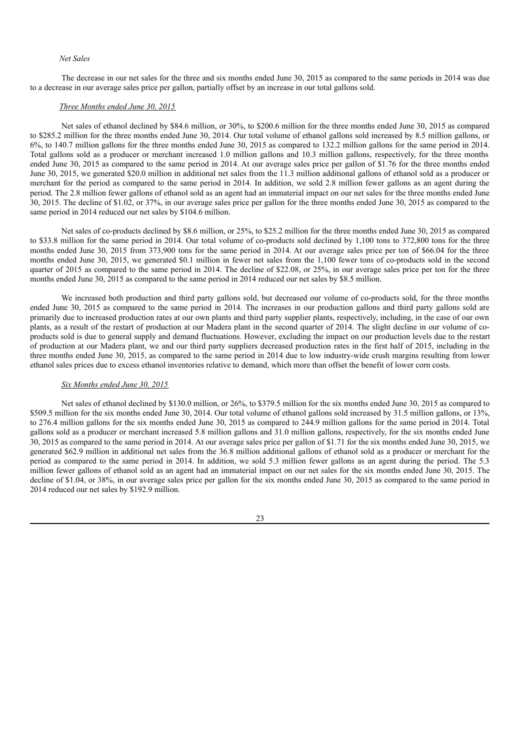### *Net Sales*

The decrease in our net sales for the three and six months ended June 30, 2015 as compared to the same periods in 2014 was due to a decrease in our average sales price per gallon, partially offset by an increase in our total gallons sold.

### *Three Months ended June 30, 2015*

Net sales of ethanol declined by \$84.6 million, or 30%, to \$200.6 million for the three months ended June 30, 2015 as compared to \$285.2 million for the three months ended June 30, 2014. Our total volume of ethanol gallons sold increased by 8.5 million gallons, or 6%, to 140.7 million gallons for the three months ended June 30, 2015 as compared to 132.2 million gallons for the same period in 2014. Total gallons sold as a producer or merchant increased 1.0 million gallons and 10.3 million gallons, respectively, for the three months ended June 30, 2015 as compared to the same period in 2014. At our average sales price per gallon of \$1.76 for the three months ended June 30, 2015, we generated \$20.0 million in additional net sales from the 11.3 million additional gallons of ethanol sold as a producer or merchant for the period as compared to the same period in 2014. In addition, we sold 2.8 million fewer gallons as an agent during the period. The 2.8 million fewer gallons of ethanol sold as an agent had an immaterial impact on our net sales for the three months ended June 30, 2015. The decline of \$1.02, or 37%, in our average sales price per gallon for the three months ended June 30, 2015 as compared to the same period in 2014 reduced our net sales by \$104.6 million.

Net sales of co-products declined by \$8.6 million, or 25%, to \$25.2 million for the three months ended June 30, 2015 as compared to \$33.8 million for the same period in 2014. Our total volume of co-products sold declined by 1,100 tons to 372,800 tons for the three months ended June 30, 2015 from 373,900 tons for the same period in 2014. At our average sales price per ton of \$66.04 for the three months ended June 30, 2015, we generated \$0.1 million in fewer net sales from the 1,100 fewer tons of co-products sold in the second quarter of 2015 as compared to the same period in 2014. The decline of \$22.08, or 25%, in our average sales price per ton for the three months ended June 30, 2015 as compared to the same period in 2014 reduced our net sales by \$8.5 million.

We increased both production and third party gallons sold, but decreased our volume of co-products sold, for the three months ended June 30, 2015 as compared to the same period in 2014. The increases in our production gallons and third party gallons sold are primarily due to increased production rates at our own plants and third party supplier plants, respectively, including, in the case of our own plants, as a result of the restart of production at our Madera plant in the second quarter of 2014. The slight decline in our volume of coproducts sold is due to general supply and demand fluctuations. However, excluding the impact on our production levels due to the restart of production at our Madera plant, we and our third party suppliers decreased production rates in the first half of 2015, including in the three months ended June 30, 2015, as compared to the same period in 2014 due to low industry-wide crush margins resulting from lower ethanol sales prices due to excess ethanol inventories relative to demand, which more than offset the benefit of lower corn costs.

#### *Six Months ended June 30, 2015*

Net sales of ethanol declined by \$130.0 million, or 26%, to \$379.5 million for the six months ended June 30, 2015 as compared to \$509.5 million for the six months ended June 30, 2014. Our total volume of ethanol gallons sold increased by 31.5 million gallons, or 13%, to 276.4 million gallons for the six months ended June 30, 2015 as compared to 244.9 million gallons for the same period in 2014. Total gallons sold as a producer or merchant increased 5.8 million gallons and 31.0 million gallons, respectively, for the six months ended June 30, 2015 as compared to the same period in 2014. At our average sales price per gallon of \$1.71 for the six months ended June 30, 2015, we generated \$62.9 million in additional net sales from the 36.8 million additional gallons of ethanol sold as a producer or merchant for the period as compared to the same period in 2014. In addition, we sold 5.3 million fewer gallons as an agent during the period. The 5.3 million fewer gallons of ethanol sold as an agent had an immaterial impact on our net sales for the six months ended June 30, 2015. The decline of \$1.04, or 38%, in our average sales price per gallon for the six months ended June 30, 2015 as compared to the same period in 2014 reduced our net sales by \$192.9 million.

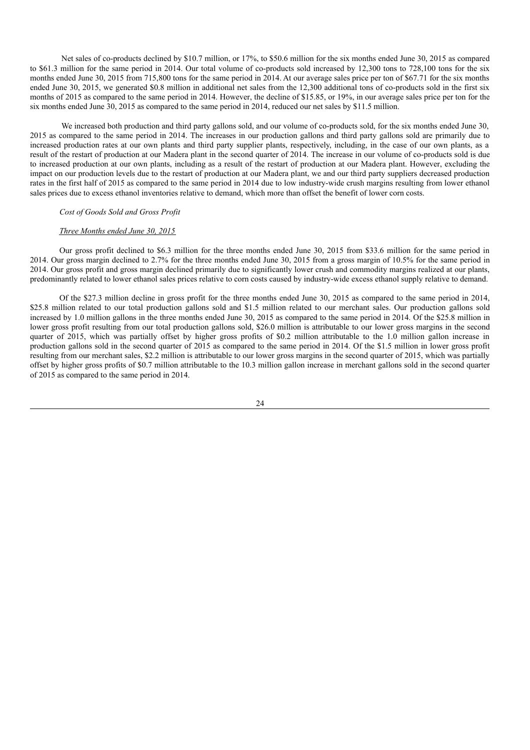Net sales of co-products declined by \$10.7 million, or 17%, to \$50.6 million for the six months ended June 30, 2015 as compared to \$61.3 million for the same period in 2014. Our total volume of co-products sold increased by 12,300 tons to 728,100 tons for the six months ended June 30, 2015 from 715,800 tons for the same period in 2014. At our average sales price per ton of \$67.71 for the six months ended June 30, 2015, we generated \$0.8 million in additional net sales from the 12,300 additional tons of co-products sold in the first six months of 2015 as compared to the same period in 2014. However, the decline of \$15.85, or 19%, in our average sales price per ton for the six months ended June 30, 2015 as compared to the same period in 2014, reduced our net sales by \$11.5 million.

We increased both production and third party gallons sold, and our volume of co-products sold, for the six months ended June 30, 2015 as compared to the same period in 2014. The increases in our production gallons and third party gallons sold are primarily due to increased production rates at our own plants and third party supplier plants, respectively, including, in the case of our own plants, as a result of the restart of production at our Madera plant in the second quarter of 2014. The increase in our volume of co-products sold is due to increased production at our own plants, including as a result of the restart of production at our Madera plant. However, excluding the impact on our production levels due to the restart of production at our Madera plant, we and our third party suppliers decreased production rates in the first half of 2015 as compared to the same period in 2014 due to low industry-wide crush margins resulting from lower ethanol sales prices due to excess ethanol inventories relative to demand, which more than offset the benefit of lower corn costs.

### *Cost of Goods Sold and Gross Profit*

## *Three Months ended June 30, 2015*

Our gross profit declined to \$6.3 million for the three months ended June 30, 2015 from \$33.6 million for the same period in 2014. Our gross margin declined to 2.7% for the three months ended June 30, 2015 from a gross margin of 10.5% for the same period in 2014. Our gross profit and gross margin declined primarily due to significantly lower crush and commodity margins realized at our plants, predominantly related to lower ethanol sales prices relative to corn costs caused by industry-wide excess ethanol supply relative to demand.

Of the \$27.3 million decline in gross profit for the three months ended June 30, 2015 as compared to the same period in 2014, \$25.8 million related to our total production gallons sold and \$1.5 million related to our merchant sales. Our production gallons sold increased by 1.0 million gallons in the three months ended June 30, 2015 as compared to the same period in 2014. Of the \$25.8 million in lower gross profit resulting from our total production gallons sold, \$26.0 million is attributable to our lower gross margins in the second quarter of 2015, which was partially offset by higher gross profits of \$0.2 million attributable to the 1.0 million gallon increase in production gallons sold in the second quarter of 2015 as compared to the same period in 2014. Of the \$1.5 million in lower gross profit resulting from our merchant sales, \$2.2 million is attributable to our lower gross margins in the second quarter of 2015, which was partially offset by higher gross profits of \$0.7 million attributable to the 10.3 million gallon increase in merchant gallons sold in the second quarter of 2015 as compared to the same period in 2014.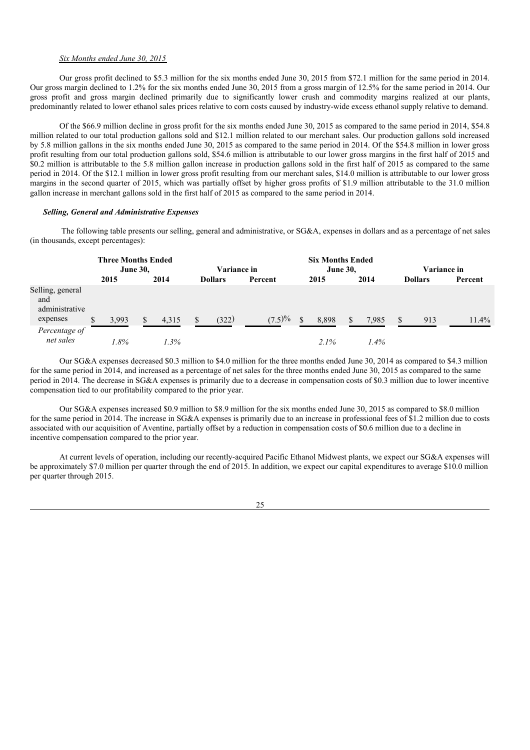### *Six Months ended June 30, 2015*

Our gross profit declined to \$5.3 million for the six months ended June 30, 2015 from \$72.1 million for the same period in 2014. Our gross margin declined to 1.2% for the six months ended June 30, 2015 from a gross margin of 12.5% for the same period in 2014. Our gross profit and gross margin declined primarily due to significantly lower crush and commodity margins realized at our plants, predominantly related to lower ethanol sales prices relative to corn costs caused by industry-wide excess ethanol supply relative to demand.

Of the \$66.9 million decline in gross profit for the six months ended June 30, 2015 as compared to the same period in 2014, \$54.8 million related to our total production gallons sold and \$12.1 million related to our merchant sales. Our production gallons sold increased by 5.8 million gallons in the six months ended June 30, 2015 as compared to the same period in 2014. Of the \$54.8 million in lower gross profit resulting from our total production gallons sold, \$54.6 million is attributable to our lower gross margins in the first half of 2015 and \$0.2 million is attributable to the 5.8 million gallon increase in production gallons sold in the first half of 2015 as compared to the same period in 2014. Of the \$12.1 million in lower gross profit resulting from our merchant sales, \$14.0 million is attributable to our lower gross margins in the second quarter of 2015, which was partially offset by higher gross profits of \$1.9 million attributable to the 31.0 million gallon increase in merchant gallons sold in the first half of 2015 as compared to the same period in 2014.

#### *Selling, General and Administrative Expenses*

The following table presents our selling, general and administrative, or SG&A, expenses in dollars and as a percentage of net sales (in thousands, except percentages):

|                                                       | <b>Three Months Ended</b><br><b>June 30,</b> |       |  | Variance in |  |                | <b>Six Months Ended</b> | <b>June 30,</b> |  | <b>Variance in</b> |  |                |          |
|-------------------------------------------------------|----------------------------------------------|-------|--|-------------|--|----------------|-------------------------|-----------------|--|--------------------|--|----------------|----------|
|                                                       |                                              | 2015  |  | 2014        |  | <b>Dollars</b> | Percent                 | 2015            |  | 2014               |  | <b>Dollars</b> | Percent  |
| Selling, general<br>and<br>administrative<br>expenses |                                              | 3,993 |  | 4,315       |  | (322)          | $(7.5)\%$               | 8,898           |  | 7,985              |  | 913            | $11.4\%$ |
| Percentage of<br>net sales                            |                                              | !.8%  |  | 1.3%        |  |                |                         | $2.1\%$         |  | 1.4%               |  |                |          |

Our SG&A expenses decreased \$0.3 million to \$4.0 million for the three months ended June 30, 2014 as compared to \$4.3 million for the same period in 2014, and increased as a percentage of net sales for the three months ended June 30, 2015 as compared to the same period in 2014. The decrease in SG&A expenses is primarily due to a decrease in compensation costs of \$0.3 million due to lower incentive compensation tied to our profitability compared to the prior year.

Our SG&A expenses increased \$0.9 million to \$8.9 million for the six months ended June 30, 2015 as compared to \$8.0 million for the same period in 2014. The increase in SG&A expenses is primarily due to an increase in professional fees of \$1.2 million due to costs associated with our acquisition of Aventine, partially offset by a reduction in compensation costs of \$0.6 million due to a decline in incentive compensation compared to the prior year.

At current levels of operation, including our recently-acquired Pacific Ethanol Midwest plants, we expect our SG&A expenses will be approximately \$7.0 million per quarter through the end of 2015. In addition, we expect our capital expenditures to average \$10.0 million per quarter through 2015.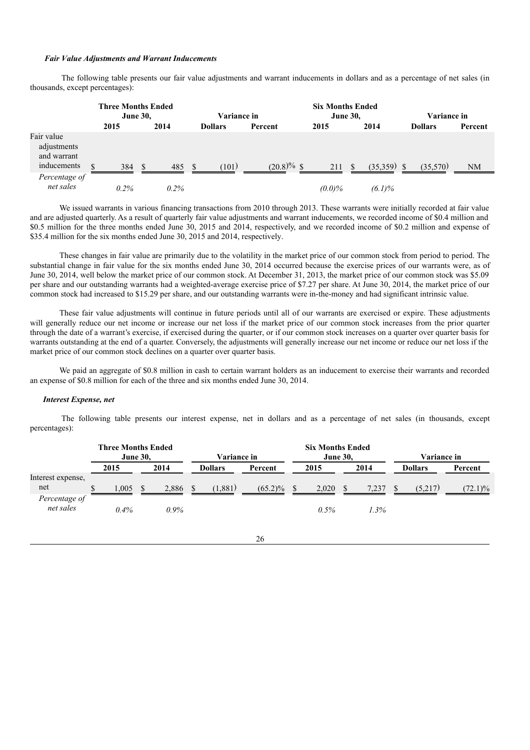#### *Fair Value Adjustments and Warrant Inducements*

The following table presents our fair value adjustments and warrant inducements in dollars and as a percentage of net sales (in thousands, except percentages):

|                                                         | <b>Three Months Ended</b><br><b>June 30,</b> |      |    | <b>Variance in</b> |  |                | <b>Six Months Ended</b><br><b>June 30,</b> |           |               | Variance in   |                |           |
|---------------------------------------------------------|----------------------------------------------|------|----|--------------------|--|----------------|--------------------------------------------|-----------|---------------|---------------|----------------|-----------|
|                                                         |                                              | 2015 |    | 2014               |  | <b>Dollars</b> | Percent                                    | 2015      |               | 2014          | <b>Dollars</b> | Percent   |
| Fair value<br>adjustments<br>and warrant<br>inducements | \$                                           | 384  | -S | 485                |  | (101)          | $(20.8)\%$ \$                              | 211       | <sup>\$</sup> | $(35.359)$ \$ | (35,570)       | <b>NM</b> |
| Percentage of<br>net sales                              |                                              | 0.2% |    | $0.2\%$            |  |                |                                            | $(0.0)\%$ |               | $(6.1)\%$     |                |           |

We issued warrants in various financing transactions from 2010 through 2013. These warrants were initially recorded at fair value and are adjusted quarterly. As a result of quarterly fair value adjustments and warrant inducements, we recorded income of \$0.4 million and \$0.5 million for the three months ended June 30, 2015 and 2014, respectively, and we recorded income of \$0.2 million and expense of \$35.4 million for the six months ended June 30, 2015 and 2014, respectively.

These changes in fair value are primarily due to the volatility in the market price of our common stock from period to period. The substantial change in fair value for the six months ended June 30, 2014 occurred because the exercise prices of our warrants were, as of June 30, 2014, well below the market price of our common stock. At December 31, 2013, the market price of our common stock was \$5.09 per share and our outstanding warrants had a weighted-average exercise price of \$7.27 per share. At June 30, 2014, the market price of our common stock had increased to \$15.29 per share, and our outstanding warrants were in-the-money and had significant intrinsic value.

These fair value adjustments will continue in future periods until all of our warrants are exercised or expire. These adjustments will generally reduce our net income or increase our net loss if the market price of our common stock increases from the prior quarter through the date of a warrant's exercise, if exercised during the quarter, or if our common stock increases on a quarter over quarter basis for warrants outstanding at the end of a quarter. Conversely, the adjustments will generally increase our net income or reduce our net loss if the market price of our common stock declines on a quarter over quarter basis.

We paid an aggregate of \$0.8 million in cash to certain warrant holders as an inducement to exercise their warrants and recorded an expense of \$0.8 million for each of the three and six months ended June 30, 2014.

#### *Interest Expense, net*

The following table presents our interest expense, net in dollars and as a percentage of net sales (in thousands, except percentages):

|                            |            | <b>Three Months Ended</b><br><b>June 30.</b> | <b>Variance in</b> | <b>Six Months Ended</b><br><b>June 30.</b> |       | Variance in |  |                |            |
|----------------------------|------------|----------------------------------------------|--------------------|--------------------------------------------|-------|-------------|--|----------------|------------|
|                            | 2015       | 2014                                         | <b>Dollars</b>     | Percent                                    | 2015  | 2014        |  | <b>Dollars</b> | Percent    |
| Interest expense,<br>net   | 1.005<br>S | 2,886                                        | (1,881)<br>-S      | $(65.2)\%$                                 | 2,020 | 7.237       |  | (5,217)        | $(72.1)\%$ |
| Percentage of<br>net sales | 0.4%       | $0.9\%$                                      |                    |                                            | 0.5%  | 1.3%        |  |                |            |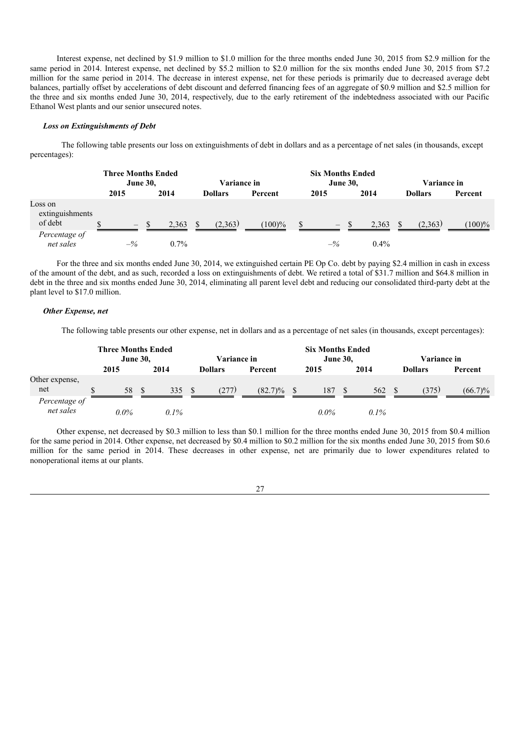Interest expense, net declined by \$1.9 million to \$1.0 million for the three months ended June 30, 2015 from \$2.9 million for the same period in 2014. Interest expense, net declined by \$5.2 million to \$2.0 million for the six months ended June 30, 2015 from \$7.2 million for the same period in 2014. The decrease in interest expense, net for these periods is primarily due to decreased average debt balances, partially offset by accelerations of debt discount and deferred financing fees of an aggregate of \$0.9 million and \$2.5 million for the three and six months ended June 30, 2014, respectively, due to the early retirement of the indebtedness associated with our Pacific Ethanol West plants and our senior unsecured notes.

### *Loss on Extinguishments of Debt*

The following table presents our loss on extinguishments of debt in dollars and as a percentage of net sales (in thousands, except percentages):

|                                       | <b>Three Months Ended</b><br><b>June 30,</b> |      |         | <b>Variance in</b> |                |           | <b>Six Months Ended</b><br><b>June 30,</b> |                |       |         | <b>Variance in</b> |                |           |
|---------------------------------------|----------------------------------------------|------|---------|--------------------|----------------|-----------|--------------------------------------------|----------------|-------|---------|--------------------|----------------|-----------|
|                                       | 2015                                         |      | 2014    |                    | <b>Dollars</b> | Percent   |                                            | 2015           |       | 2014    |                    | <b>Dollars</b> | Percent   |
| Loss on<br>extinguishments<br>of debt | $\hspace{0.1mm}-\hspace{0.1mm}$              | - \$ | 2.363   | \$.                | (2,363)        | $(100)\%$ |                                            |                | $-$ S | 2.363   |                    | (2.363)        | $(100)\%$ |
| Percentage of<br>net sales            | $-\frac{9}{6}$                               |      | $0.7\%$ |                    |                |           |                                            | $-\frac{9}{6}$ |       | $0.4\%$ |                    |                |           |

For the three and six months ended June 30, 2014, we extinguished certain PE Op Co. debt by paying \$2.4 million in cash in excess of the amount of the debt, and as such, recorded a loss on extinguishments of debt. We retired a total of \$31.7 million and \$64.8 million in debt in the three and six months ended June 30, 2014, eliminating all parent level debt and reducing our consolidated third-party debt at the plant level to \$17.0 million.

#### *Other Expense, net*

The following table presents our other expense, net in dollars and as a percentage of net sales (in thousands, except percentages):

|                            | <b>Three Months Ended</b><br><b>June 30,</b> |         |  | Variance in |  |                | <b>Six Months Ended</b><br><b>June 30,</b> |         |    |         | Variance in |                |            |
|----------------------------|----------------------------------------------|---------|--|-------------|--|----------------|--------------------------------------------|---------|----|---------|-------------|----------------|------------|
|                            |                                              | 2015    |  | 2014        |  | <b>Dollars</b> | Percent                                    | 2015    |    | 2014    |             | <b>Dollars</b> | Percent    |
| Other expense,<br>net      | S                                            | 58      |  | 335         |  | (277)          | $(82.7)\%$                                 | 187     | S. | 562     |             | (375)          | $(66.7)\%$ |
| Percentage of<br>net sales |                                              | $0.0\%$ |  | $0.1\%$     |  |                |                                            | $0.0\%$ |    | $0.1\%$ |             |                |            |

Other expense, net decreased by \$0.3 million to less than \$0.1 million for the three months ended June 30, 2015 from \$0.4 million for the same period in 2014. Other expense, net decreased by \$0.4 million to \$0.2 million for the six months ended June 30, 2015 from \$0.6 million for the same period in 2014. These decreases in other expense, net are primarily due to lower expenditures related to nonoperational items at our plants.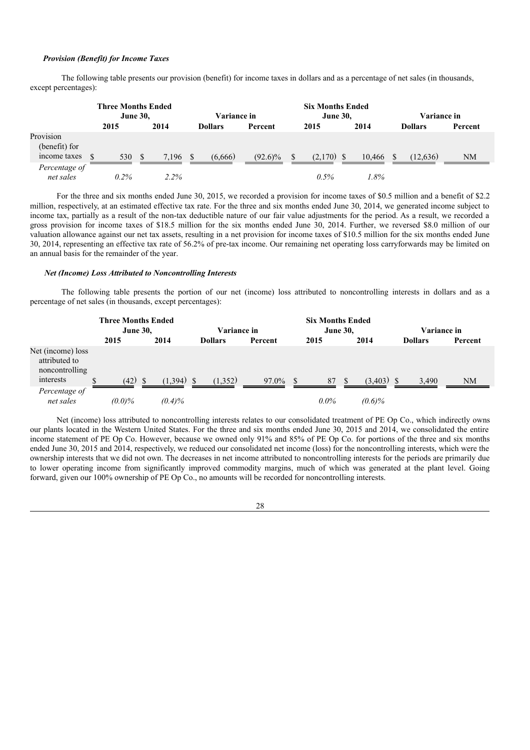#### *Provision (Benefit) for Income Taxes*

The following table presents our provision (benefit) for income taxes in dollars and as a percentage of net sales (in thousands, except percentages):

|                                            | <b>Three Months Ended</b> | <b>June 30,</b> |              | <b>Variance in</b> |            |  | <b>Six Months Ended</b><br><b>June 30,</b> |        | <b>Variance in</b> |                |           |
|--------------------------------------------|---------------------------|-----------------|--------------|--------------------|------------|--|--------------------------------------------|--------|--------------------|----------------|-----------|
|                                            | 2015                      | 2014            |              | <b>Dollars</b>     | Percent    |  | 2015                                       | 2014   |                    | <b>Dollars</b> | Percent   |
| Provision<br>(benefit) for<br>income taxes | 530                       | 7.196           | <sup>S</sup> | (6.666)            | $(92.6)\%$ |  | $(2,170)$ \$                               | 10.466 |                    | (12.636)       | <b>NM</b> |
| Percentage of<br>net sales                 | 0.2%                      | 2.2%            |              |                    |            |  | 0.5%                                       | 1.8%   |                    |                |           |

For the three and six months ended June 30, 2015, we recorded a provision for income taxes of \$0.5 million and a benefit of \$2.2 million, respectively, at an estimated effective tax rate. For the three and six months ended June 30, 2014, we generated income subject to income tax, partially as a result of the non-tax deductible nature of our fair value adjustments for the period. As a result, we recorded a gross provision for income taxes of \$18.5 million for the six months ended June 30, 2014. Further, we reversed \$8.0 million of our valuation allowance against our net tax assets, resulting in a net provision for income taxes of \$10.5 million for the six months ended June 30, 2014, representing an effective tax rate of 56.2% of pre-tax income. Our remaining net operating loss carryforwards may be limited on an annual basis for the remainder of the year.

### *Net (Income) Loss Attributed to Noncontrolling Interests*

The following table presents the portion of our net (income) loss attributed to noncontrolling interests in dollars and as a percentage of net sales (in thousands, except percentages):

|                                                                   | <b>Three Months Ended</b><br><b>June 30,</b> |              | <b>Variance in</b> |         |         | <b>Six Months Ended</b><br><b>June 30,</b> | Variance in    |                |  |
|-------------------------------------------------------------------|----------------------------------------------|--------------|--------------------|---------|---------|--------------------------------------------|----------------|----------------|--|
|                                                                   | 2015                                         | 2014         | <b>Dollars</b>     | Percent | 2015    | 2014                                       | <b>Dollars</b> | <b>Percent</b> |  |
| Net (income) loss<br>attributed to<br>noncontrolling<br>interests | $(42)$ \$<br>\$                              | $(1.394)$ \$ | (1.352)            | 97.0%   | 87      | $(3.403)$ \$<br><b>S</b>                   | 3.490          | NM             |  |
| Percentage of<br>net sales                                        | $(0.0)\%$                                    | $(0.4)\%$    |                    |         | $0.0\%$ | $(0.6)\%$                                  |                |                |  |

Net (income) loss attributed to noncontrolling interests relates to our consolidated treatment of PE Op Co., which indirectly owns our plants located in the Western United States. For the three and six months ended June 30, 2015 and 2014, we consolidated the entire income statement of PE Op Co. However, because we owned only 91% and 85% of PE Op Co. for portions of the three and six months ended June 30, 2015 and 2014, respectively, we reduced our consolidated net income (loss) for the noncontrolling interests, which were the ownership interests that we did not own. The decreases in net income attributed to noncontrolling interests for the periods are primarily due to lower operating income from significantly improved commodity margins, much of which was generated at the plant level. Going forward, given our 100% ownership of PE Op Co., no amounts will be recorded for noncontrolling interests.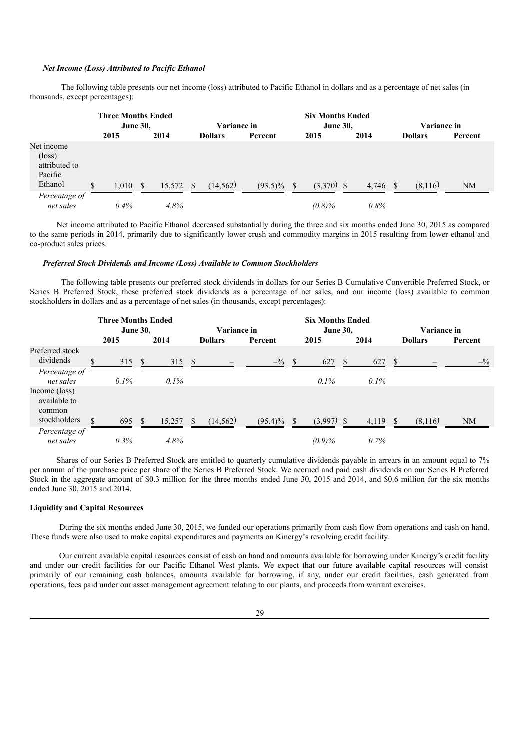# *Net Income (Loss) Attributed to Pacific Ethanol*

The following table presents our net income (loss) attributed to Pacific Ethanol in dollars and as a percentage of net sales (in thousands, except percentages):

|                                                                      | <b>Three Months Ended</b><br><b>June 30,</b> |               |        | <b>Variance in</b> |                |            |     | <b>Six Months Ended</b><br><b>June 30,</b> |       | <b>Variance in</b> |                |         |
|----------------------------------------------------------------------|----------------------------------------------|---------------|--------|--------------------|----------------|------------|-----|--------------------------------------------|-------|--------------------|----------------|---------|
|                                                                      | 2015                                         |               | 2014   |                    | <b>Dollars</b> | Percent    |     | 2015                                       | 2014  |                    | <b>Dollars</b> | Percent |
| Net income<br>$(\text{loss})$<br>attributed to<br>Pacific<br>Ethanol | \$<br>1,010                                  | <sup>\$</sup> | 15,572 | -S                 | (14, 562)      | $(93.5)\%$ | \$. | $(3.370)$ \$                               | 4,746 |                    | (8,116)        | NM      |
| Percentage of<br>net sales                                           | $0.4\%$                                      |               | 4.8%   |                    |                |            |     | $(0.8)\%$                                  | 0.8%  |                    |                |         |

Net income attributed to Pacific Ethanol decreased substantially during the three and six months ended June 30, 2015 as compared to the same periods in 2014, primarily due to significantly lower crush and commodity margins in 2015 resulting from lower ethanol and co-product sales prices.

#### *Preferred Stock Dividends and Income (Loss) Available to Common Stockholders*

The following table presents our preferred stock dividends in dollars for our Series B Cumulative Convertible Preferred Stock, or Series B Preferred Stock, these preferred stock dividends as a percentage of net sales, and our income (loss) available to common stockholders in dollars and as a percentage of net sales (in thousands, except percentages):

|                                                         | <b>Three Months Ended</b><br><b>June 30,</b> |              |         | Variance in   |                |                  |    | <b>Six Months Ended</b><br><b>June 30,</b> |    |         |               | <b>Variance in</b> |                 |  |
|---------------------------------------------------------|----------------------------------------------|--------------|---------|---------------|----------------|------------------|----|--------------------------------------------|----|---------|---------------|--------------------|-----------------|--|
|                                                         | 2015                                         |              | 2014    |               | <b>Dollars</b> | Percent          |    | 2015                                       |    | 2014    |               | <b>Dollars</b>     | Percent         |  |
| Preferred stock<br>dividends                            | \$<br>315                                    | <sup>S</sup> | 315     | -S            |                | $-^{0}\!\!/_{0}$ | -S | 627                                        | S. | 627     | S.            |                    | $- \frac{9}{6}$ |  |
| Percentage of<br>net sales                              | $0.1\%$                                      |              | $0.1\%$ |               |                |                  |    | $0.1\%$                                    |    | $0.1\%$ |               |                    |                 |  |
| Income (loss)<br>available to<br>common<br>stockholders | $\mathcal{S}$<br>695                         | -S           | 15,257  | $\mathcal{S}$ | (14, 562)      | $(95.4)\%$ \$    |    | $(3,997)$ \$                               |    | 4,119   | <sup>\$</sup> | (8,116)            | NM              |  |
| Percentage of<br>net sales                              | 0.3%                                         |              | 4.8%    |               |                |                  |    | $(0.9)\%$                                  |    | 0.7%    |               |                    |                 |  |

Shares of our Series B Preferred Stock are entitled to quarterly cumulative dividends payable in arrears in an amount equal to 7% per annum of the purchase price per share of the Series B Preferred Stock. We accrued and paid cash dividends on our Series B Preferred Stock in the aggregate amount of \$0.3 million for the three months ended June 30, 2015 and 2014, and \$0.6 million for the six months ended June 30, 2015 and 2014.

### **Liquidity and Capital Resources**

During the six months ended June 30, 2015, we funded our operations primarily from cash flow from operations and cash on hand. These funds were also used to make capital expenditures and payments on Kinergy's revolving credit facility.

Our current available capital resources consist of cash on hand and amounts available for borrowing under Kinergy's credit facility and under our credit facilities for our Pacific Ethanol West plants. We expect that our future available capital resources will consist primarily of our remaining cash balances, amounts available for borrowing, if any, under our credit facilities, cash generated from operations, fees paid under our asset management agreement relating to our plants, and proceeds from warrant exercises.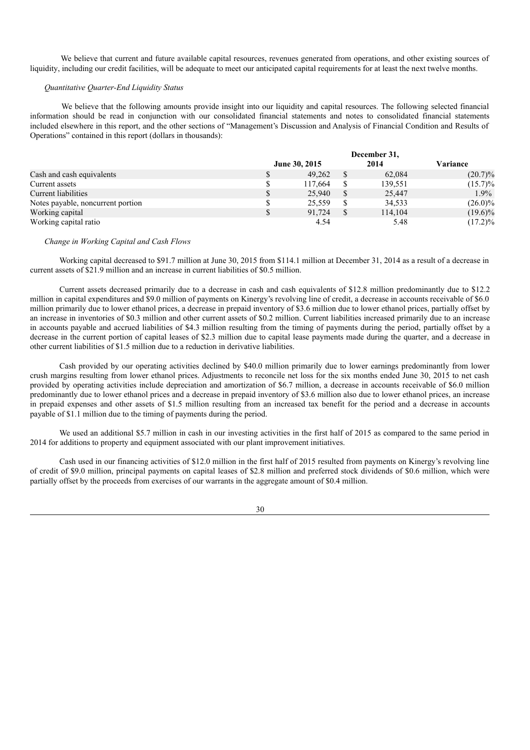We believe that current and future available capital resources, revenues generated from operations, and other existing sources of liquidity, including our credit facilities, will be adequate to meet our anticipated capital requirements for at least the next twelve months.

## *Quantitative Quarter-End Liquidity Status*

We believe that the following amounts provide insight into our liquidity and capital resources. The following selected financial information should be read in conjunction with our consolidated financial statements and notes to consolidated financial statements included elsewhere in this report, and the other sections of "Management's Discussion and Analysis of Financial Condition and Results of Operations" contained in this report (dollars in thousands):

|                                   | December 31,  |  |         |            |  |  |
|-----------------------------------|---------------|--|---------|------------|--|--|
|                                   | June 30, 2015 |  | 2014    | Variance   |  |  |
| Cash and cash equivalents         | \$<br>49.262  |  | 62,084  | $(20.7)\%$ |  |  |
| Current assets                    | \$<br>117,664 |  | 139,551 | $(15.7)\%$ |  |  |
| Current liabilities               | \$<br>25,940  |  | 25,447  | $1.9\%$    |  |  |
| Notes payable, noncurrent portion | \$<br>25.559  |  | 34,533  | $(26.0)\%$ |  |  |
| Working capital                   | \$<br>91.724  |  | 114.104 | $(19.6)\%$ |  |  |
| Working capital ratio             | 4.54          |  | 5.48    | $(17.2)\%$ |  |  |

#### *Change in Working Capital and Cash Flows*

Working capital decreased to \$91.7 million at June 30, 2015 from \$114.1 million at December 31, 2014 as a result of a decrease in current assets of \$21.9 million and an increase in current liabilities of \$0.5 million.

Current assets decreased primarily due to a decrease in cash and cash equivalents of \$12.8 million predominantly due to \$12.2 million in capital expenditures and \$9.0 million of payments on Kinergy's revolving line of credit, a decrease in accounts receivable of \$6.0 million primarily due to lower ethanol prices, a decrease in prepaid inventory of \$3.6 million due to lower ethanol prices, partially offset by an increase in inventories of \$0.3 million and other current assets of \$0.2 million. Current liabilities increased primarily due to an increase in accounts payable and accrued liabilities of \$4.3 million resulting from the timing of payments during the period, partially offset by a decrease in the current portion of capital leases of \$2.3 million due to capital lease payments made during the quarter, and a decrease in other current liabilities of \$1.5 million due to a reduction in derivative liabilities.

Cash provided by our operating activities declined by \$40.0 million primarily due to lower earnings predominantly from lower crush margins resulting from lower ethanol prices. Adjustments to reconcile net loss for the six months ended June 30, 2015 to net cash provided by operating activities include depreciation and amortization of \$6.7 million, a decrease in accounts receivable of \$6.0 million predominantly due to lower ethanol prices and a decrease in prepaid inventory of \$3.6 million also due to lower ethanol prices, an increase in prepaid expenses and other assets of \$1.5 million resulting from an increased tax benefit for the period and a decrease in accounts payable of \$1.1 million due to the timing of payments during the period.

We used an additional \$5.7 million in cash in our investing activities in the first half of 2015 as compared to the same period in 2014 for additions to property and equipment associated with our plant improvement initiatives.

Cash used in our financing activities of \$12.0 million in the first half of 2015 resulted from payments on Kinergy's revolving line of credit of \$9.0 million, principal payments on capital leases of \$2.8 million and preferred stock dividends of \$0.6 million, which were partially offset by the proceeds from exercises of our warrants in the aggregate amount of \$0.4 million.

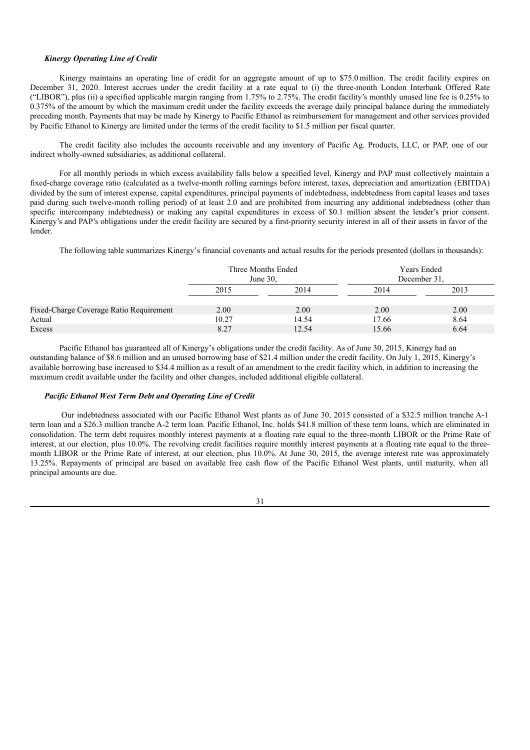#### *Kinergy Operating Line of Credit*

Kinergy maintains an operating line of credit for an aggregate amount of up to \$75.0 million. The credit facility expires on December 31, 2020. Interest accrues under the credit facility at a rate equal to (i) the three-month London Interbank Offered Rate ("LIBOR"), plus (ii) a specified applicable margin ranging from 1.75% to  $2.75$ %. The credit facility's monthly unused line fee is 0.25% to 0.375% of the amount by which the maximum credit under the facility exceeds the average daily principal balance during the immediately preceding month. Payments that may be made by Kinergy to Pacific Ethanol as reimbursement for management and other services provided by Pacific Ethanol to Kinergy are limited under the terms of the credit facility to \$1.5 million per fiscal quarter.

The credit facility also includes the accounts receivable and any inventory of Pacific Ag. Products, LLC, or PAP, one of our indirect wholly-owned subsidiaries, as additional collateral.

For all monthly periods in which excess availability falls below a specified level, Kinergy and PAP must collectively maintain a fixed-charge coverage ratio (calculated as a twelve-month rolling earnings before interest, taxes, depreciation and amortization (EBITDA) divided by the sum of interest expense, capital expenditures, principal payments of indebtedness, indebtedness from capital leases and taxes paid during such twelve-month rolling period) of at least 2.0 and are prohibited from incurring any additional indebtedness (other than specific intercompany indebtedness) or making any capital expenditures in excess of \$0.1 million absent the lender's prior consent. Kinergy's and PAP's obligations under the credit facility are secured by a first-priority security interest in all of their assets in favor of the lender.

The following table summarizes Kinergy's financial covenants and actual results for the periods presented (dollars in thousands):

|                                         |       | Three Months Ended<br>June $30$ . | <b>Years Ended</b><br>December 31, |      |  |
|-----------------------------------------|-------|-----------------------------------|------------------------------------|------|--|
|                                         | 2015  | 2014                              | 2014                               | 2013 |  |
| Fixed-Charge Coverage Ratio Requirement | 2.00  | 2.00                              | 2.00                               | 2.00 |  |
| Actual                                  | 10.27 | 14.54                             | 17.66                              | 8.64 |  |
| Excess                                  | 8.27  | 12.54                             | 15.66                              | 6.64 |  |

Pacific Ethanol has guaranteed all of Kinergy's obligations under the credit facility. As of June 30, 2015, Kinergy had an outstanding balance of \$8.6 million and an unused borrowing base of \$21.4 million under the credit facility. On July 1, 2015, Kinergy's available borrowing base increased to \$34.4 million as a result of an amendment to the credit facility which, in addition to increasing the maximum credit available under the facility and other changes, included additional eligible collateral.

# *Pacific Ethanol West Term Debt and Operating Line of Credit*

Our indebtedness associated with our Pacific Ethanol West plants as of June 30, 2015 consisted of a \$32.5 million tranche A-1 term loan and a \$26.3 million tranche A-2 term loan. Pacific Ethanol, Inc. holds \$41.8 million of these term loans, which are eliminated in consolidation. The term debt requires monthly interest payments at a floating rate equal to the three-month LIBOR or the Prime Rate of interest, at our election, plus 10.0%. The revolving credit facilities require monthly interest payments at a floating rate equal to the threemonth LIBOR or the Prime Rate of interest, at our election, plus 10.0%. At June 30, 2015, the average interest rate was approximately 13.25%. Repayments of principal are based on available free cash flow of the Pacific Ethanol West plants, until maturity, when all principal amounts are due.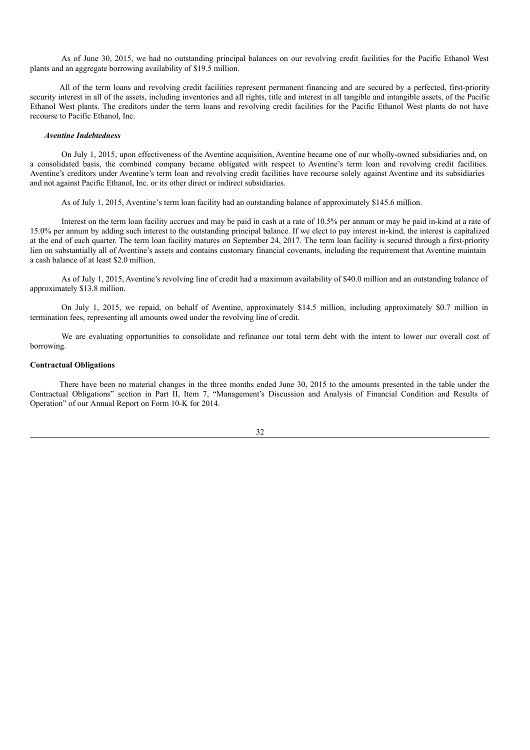As of June 30, 2015, we had no outstanding principal balances on our revolving credit facilities for the Pacific Ethanol West plants and an aggregate borrowing availability of \$19.5 million.

All of the term loans and revolving credit facilities represent permanent financing and are secured by a perfected, first-priority security interest in all of the assets, including inventories and all rights, title and interest in all tangible and intangible assets, of the Pacific Ethanol West plants. The creditors under the term loans and revolving credit facilities for the Pacific Ethanol West plants do not have recourse to Pacific Ethanol, Inc.

### *Aventine Indebtedness*

On July 1, 2015, upon effectiveness of the Aventine acquisition, Aventine became one of our wholly-owned subsidiaries and, on a consolidated basis, the combined company became obligated with respect to Aventine's term loan and revolving credit facilities. Aventine's creditors under Aventine's term loan and revolving credit facilities have recourse solely against Aventine and its subsidiaries and not against Pacific Ethanol, Inc. or its other direct or indirect subsidiaries.

As of July 1, 2015, Aventine's term loan facility had an outstanding balance of approximately \$145.6 million.

Interest on the term loan facility accrues and may be paid in cash at a rate of 10.5% per annum or may be paid in-kind at a rate of 15.0% per annum by adding such interest to the outstanding principal balance. If we elect to pay interest in-kind, the interest is capitalized at the end of each quarter. The term loan facility matures on September 24, 2017. The term loan facility is secured through a first-priority lien on substantially all of Aventine's assets and contains customary financial covenants, including the requirement that Aventine maintain a cash balance of at least \$2.0 million.

As of July 1, 2015, Aventine's revolving line of credit had a maximum availability of \$40.0 million and an outstanding balance of approximately \$13.8 million.

On July 1, 2015, we repaid, on behalf of Aventine, approximately \$14.5 million, including approximately \$0.7 million in termination fees, representing all amounts owed under the revolving line of credit.

We are evaluating opportunities to consolidate and refinance our total term debt with the intent to lower our overall cost of borrowing.

# **Contractual Obligations**

There have been no material changes in the three months ended June 30, 2015 to the amounts presented in the table under the Contractual Obligations" section in Part II, Item 7, "Management's Discussion and Analysis of Financial Condition and Results of Operation" of our Annual Report on Form 10-K for 2014.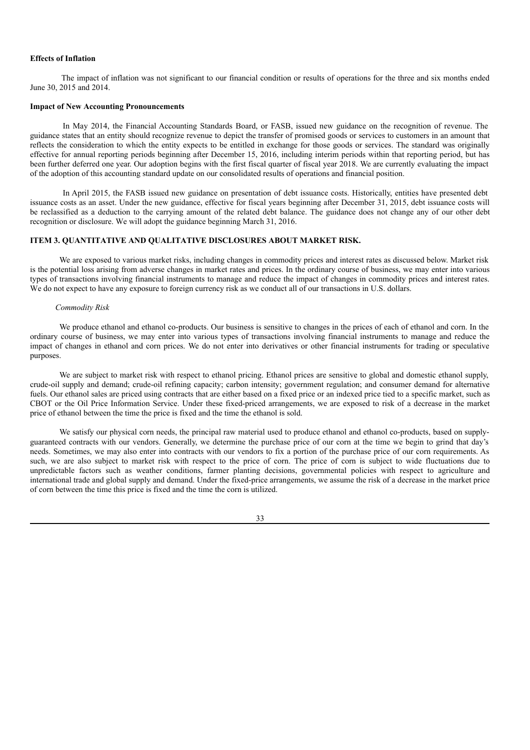### **Effects of Inflation**

The impact of inflation was not significant to our financial condition or results of operations for the three and six months ended June 30, 2015 and 2014.

# **Impact of New Accounting Pronouncements**

In May 2014, the Financial Accounting Standards Board, or FASB, issued new guidance on the recognition of revenue. The guidance states that an entity should recognize revenue to depict the transfer of promised goods or services to customers in an amount that reflects the consideration to which the entity expects to be entitled in exchange for those goods or services. The standard was originally effective for annual reporting periods beginning after December 15, 2016, including interim periods within that reporting period, but has been further deferred one year. Our adoption begins with the first fiscal quarter of fiscal year 2018. We are currently evaluating the impact of the adoption of this accounting standard update on our consolidated results of operations and financial position.

In April 2015, the FASB issued new guidance on presentation of debt issuance costs. Historically, entities have presented debt issuance costs as an asset. Under the new guidance, effective for fiscal years beginning after December 31, 2015, debt issuance costs will be reclassified as a deduction to the carrying amount of the related debt balance. The guidance does not change any of our other debt recognition or disclosure. We will adopt the guidance beginning March 31, 2016.

# **ITEM 3. QUANTITATIVE AND QUALITATIVE DISCLOSURES ABOUT MARKET RISK.**

We are exposed to various market risks, including changes in commodity prices and interest rates as discussed below. Market risk is the potential loss arising from adverse changes in market rates and prices. In the ordinary course of business, we may enter into various types of transactions involving financial instruments to manage and reduce the impact of changes in commodity prices and interest rates. We do not expect to have any exposure to foreign currency risk as we conduct all of our transactions in U.S. dollars.

# *Commodity Risk*

We produce ethanol and ethanol co-products. Our business is sensitive to changes in the prices of each of ethanol and corn. In the ordinary course of business, we may enter into various types of transactions involving financial instruments to manage and reduce the impact of changes in ethanol and corn prices. We do not enter into derivatives or other financial instruments for trading or speculative purposes.

We are subject to market risk with respect to ethanol pricing. Ethanol prices are sensitive to global and domestic ethanol supply, crude-oil supply and demand; crude-oil refining capacity; carbon intensity; government regulation; and consumer demand for alternative fuels. Our ethanol sales are priced using contracts that are either based on a fixed price or an indexed price tied to a specific market, such as CBOT or the Oil Price Information Service. Under these fixed-priced arrangements, we are exposed to risk of a decrease in the market price of ethanol between the time the price is fixed and the time the ethanol is sold.

We satisfy our physical corn needs, the principal raw material used to produce ethanol and ethanol co-products, based on supplyguaranteed contracts with our vendors. Generally, we determine the purchase price of our corn at the time we begin to grind that day's needs. Sometimes, we may also enter into contracts with our vendors to fix a portion of the purchase price of our corn requirements. As such, we are also subject to market risk with respect to the price of corn. The price of corn is subject to wide fluctuations due to unpredictable factors such as weather conditions, farmer planting decisions, governmental policies with respect to agriculture and international trade and global supply and demand. Under the fixed-price arrangements, we assume the risk of a decrease in the market price of corn between the time this price is fixed and the time the corn is utilized.

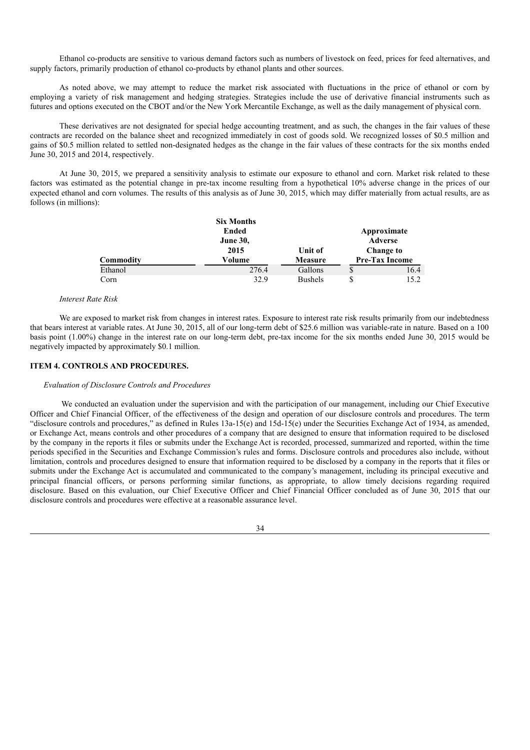Ethanol co-products are sensitive to various demand factors such as numbers of livestock on feed, prices for feed alternatives, and supply factors, primarily production of ethanol co-products by ethanol plants and other sources.

As noted above, we may attempt to reduce the market risk associated with fluctuations in the price of ethanol or corn by employing a variety of risk management and hedging strategies. Strategies include the use of derivative financial instruments such as futures and options executed on the CBOT and/or the New York Mercantile Exchange, as well as the daily management of physical corn.

These derivatives are not designated for special hedge accounting treatment, and as such, the changes in the fair values of these contracts are recorded on the balance sheet and recognized immediately in cost of goods sold. We recognized losses of \$0.5 million and gains of \$0.5 million related to settled non-designated hedges as the change in the fair values of these contracts for the six months ended June 30, 2015 and 2014, respectively.

At June 30, 2015, we prepared a sensitivity analysis to estimate our exposure to ethanol and corn. Market risk related to these factors was estimated as the potential change in pre-tax income resulting from a hypothetical 10% adverse change in the prices of our expected ethanol and corn volumes. The results of this analysis as of June 30, 2015, which may differ materially from actual results, are as follows (in millions):

|           | <b>Six Months</b> |                |    |                       |
|-----------|-------------------|----------------|----|-----------------------|
|           | Ended             |                |    | Approximate           |
|           | <b>June 30,</b>   |                |    | Adverse               |
|           | 2015              | Unit of        |    | <b>Change to</b>      |
| Commodity | Volume            | Measure        |    | <b>Pre-Tax Income</b> |
| Ethanol   | 276.4             | Gallons        | \$ | 16.4                  |
| Corn      | 32.9              | <b>Bushels</b> | S  | 15.2                  |

#### *Interest Rate Risk*

We are exposed to market risk from changes in interest rates. Exposure to interest rate risk results primarily from our indebtedness that bears interest at variable rates. At June 30, 2015, all of our long-term debt of \$25.6 million was variable-rate in nature. Based on a 100 basis point (1.00%) change in the interest rate on our long-term debt, pre-tax income for the six months ended June 30, 2015 would be negatively impacted by approximately \$0.1 million.

# **ITEM 4. CONTROLS AND PROCEDURES.**

# *Evaluation of Disclosure Controls and Procedures*

We conducted an evaluation under the supervision and with the participation of our management, including our Chief Executive Officer and Chief Financial Officer, of the effectiveness of the design and operation of our disclosure controls and procedures. The term "disclosure controls and procedures," as defined in Rules  $13a-15(e)$  and  $15d-15(e)$  under the Securities Exchange Act of 1934, as amended, or Exchange Act, means controls and other procedures of a company that are designed to ensure that information required to be disclosed by the company in the reports it files or submits under the Exchange Act is recorded, processed, summarized and reported, within the time periods specified in the Securities and Exchange Commission's rules and forms. Disclosure controls and procedures also include, without limitation, controls and procedures designed to ensure that information required to be disclosed by a company in the reports that it files or submits under the Exchange Act is accumulated and communicated to the company's management, including its principal executive and principal financial officers, or persons performing similar functions, as appropriate, to allow timely decisions regarding required disclosure. Based on this evaluation, our Chief Executive Officer and Chief Financial Officer concluded as of June 30, 2015 that our disclosure controls and procedures were effective at a reasonable assurance level.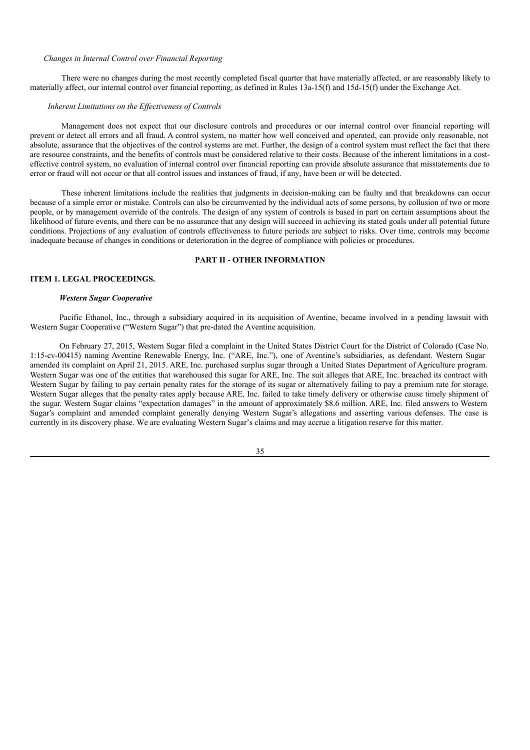#### *Changes in Internal Control over Financial Reporting*

There were no changes during the most recently completed fiscal quarter that have materially affected, or are reasonably likely to materially affect, our internal control over financial reporting, as defined in Rules 13a-15(f) and 15d-15(f) under the Exchange Act.

#### *Inherent Limitations on the Ef ectiveness of Controls*

Management does not expect that our disclosure controls and procedures or our internal control over financial reporting will prevent or detect all errors and all fraud. A control system, no matter how well conceived and operated, can provide only reasonable, not absolute, assurance that the objectives of the control systems are met. Further, the design of a control system must reflect the fact that there are resource constraints, and the benefits of controls must be considered relative to their costs. Because of the inherent limitations in a costeffective control system, no evaluation of internal control over financial reporting can provide absolute assurance that misstatements due to error or fraud will not occur or that all control issues and instances of fraud, if any, have been or will be detected.

These inherent limitations include the realities that judgments in decision-making can be faulty and that breakdowns can occur because of a simple error or mistake. Controls can also be circumvented by the individual acts of some persons, by collusion of two or more people, or by management override of the controls. The design of any system of controls is based in part on certain assumptions about the likelihood of future events, and there can be no assurance that any design will succeed in achieving its stated goals under all potential future conditions. Projections of any evaluation of controls effectiveness to future periods are subject to risks. Over time, controls may become inadequate because of changes in conditions or deterioration in the degree of compliance with policies or procedures.

# **PART II - OTHER INFORMATION**

# **ITEM 1. LEGAL PROCEEDINGS.**

## *Western Sugar Cooperative*

Pacific Ethanol, Inc., through a subsidiary acquired in its acquisition of Aventine, became involved in a pending lawsuit with Western Sugar Cooperative ("Western Sugar") that pre-dated the Aventine acquisition.

On February 27, 2015, Western Sugar filed a complaint in the United States District Court for the District of Colorado (Case No. 1:15-cv-00415) naming Aventine Renewable Energy, Inc. ("ARE, Inc."), one of Aventine's subsidiaries, as defendant. Western Sugar amended its complaint on April 21, 2015. ARE, Inc. purchased surplus sugar through a United States Department of Agriculture program. Western Sugar was one of the entities that warehoused this sugar for ARE, Inc. The suit alleges that ARE, Inc. breached its contract with Western Sugar by failing to pay certain penalty rates for the storage of its sugar or alternatively failing to pay a premium rate for storage. Western Sugar alleges that the penalty rates apply because ARE, Inc. failed to take timely delivery or otherwise cause timely shipment of the sugar. Western Sugar claims "expectation damages" in the amount of approximately \$8.6 million. ARE, Inc. filed answers to Western Sugar's complaint and amended complaint generally denying Western Sugar's allegations and asserting various defenses. The case is currently in its discovery phase. We are evaluating Western Sugar's claims and may accrue a litigation reserve for this matter.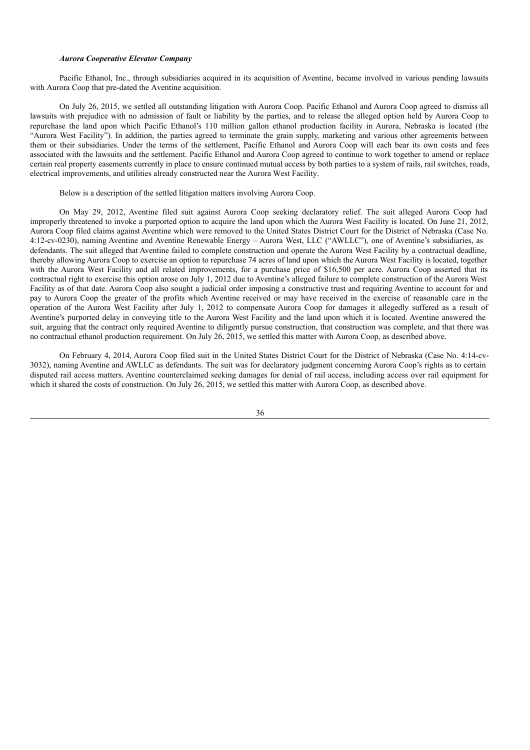#### *Aurora Cooperative Elevator Company*

Pacific Ethanol, Inc., through subsidiaries acquired in its acquisition of Aventine, became involved in various pending lawsuits with Aurora Coop that pre-dated the Aventine acquisition.

On July 26, 2015, we settled all outstanding litigation with Aurora Coop. Pacific Ethanol and Aurora Coop agreed to dismiss all lawsuits with prejudice with no admission of fault or liability by the parties, and to release the alleged option held by Aurora Coop to repurchase the land upon which Pacific Ethanol's 110 million gallon ethanol production facility in Aurora, Nebraska is located (the "Aurora West Facility"). In addition, the parties agreed to terminate the grain supply, marketing and various other agreements between them or their subsidiaries. Under the terms of the settlement, Pacific Ethanol and Aurora Coop will each bear its own costs and fees associated with the lawsuits and the settlement. Pacific Ethanol and Aurora Coop agreed to continue to work together to amend or replace certain real property easements currently in place to ensure continued mutual access by both parties to a system of rails, rail switches, roads, electrical improvements, and utilities already constructed near the Aurora West Facility.

Below is a description of the settled litigation matters involving Aurora Coop.

On May 29, 2012, Aventine filed suit against Aurora Coop seeking declaratory relief. The suit alleged Aurora Coop had improperly threatened to invoke a purported option to acquire the land upon which the Aurora West Facility is located. On June 21, 2012, Aurora Coop filed claims against Aventine which were removed to the United States District Court for the District of Nebraska (Case No. 4:12-cv-0230), naming Aventine and Aventine Renewable Energy – Aurora West, LLC ("AWLLC"), one of Aventine's subsidiaries, as defendants. The suit alleged that Aventine failed to complete construction and operate the Aurora West Facility by a contractual deadline, thereby allowing Aurora Coop to exercise an option to repurchase 74 acres of land upon which the Aurora West Facility is located, together with the Aurora West Facility and all related improvements, for a purchase price of \$16,500 per acre. Aurora Coop asserted that its contractual right to exercise this option arose on July 1, 2012 due to Aventine's alleged failure to complete construction of the Aurora West Facility as of that date. Aurora Coop also sought a judicial order imposing a constructive trust and requiring Aventine to account for and pay to Aurora Coop the greater of the profits which Aventine received or may have received in the exercise of reasonable care in the operation of the Aurora West Facility after July 1, 2012 to compensate Aurora Coop for damages it allegedly suffered as a result of Aventine's purported delay in conveying title to the Aurora West Facility and the land upon which it is located. Aventine answered the suit, arguing that the contract only required Aventine to diligently pursue construction, that construction was complete, and that there was no contractual ethanol production requirement. On July 26, 2015, we settled this matter with Aurora Coop, as described above.

On February 4, 2014, Aurora Coop filed suit in the United States District Court for the District of Nebraska (Case No. 4:14-cv-3032), naming Aventine and AWLLC as defendants. The suit was for declaratory judgment concerning Aurora Coop's rights as to certain disputed rail access matters. Aventine counterclaimed seeking damages for denial of rail access, including access over rail equipment for which it shared the costs of construction. On July 26, 2015, we settled this matter with Aurora Coop, as described above.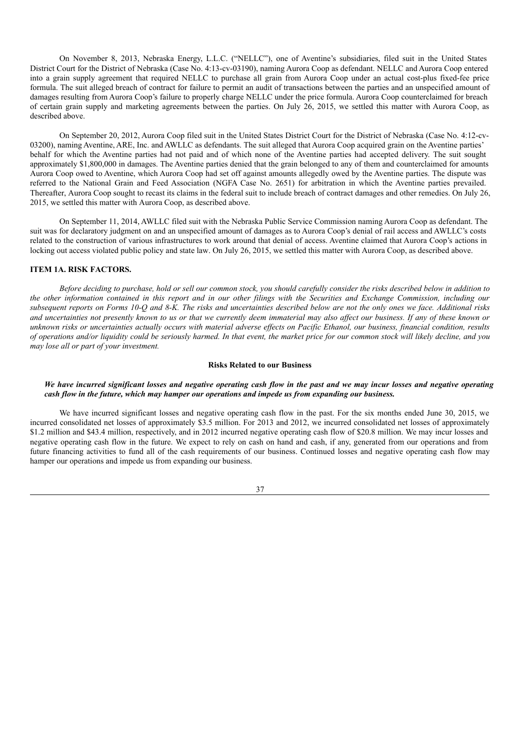On November 8, 2013, Nebraska Energy, L.L.C. ("NELLC"), one of Aventine's subsidiaries, filed suit in the United States District Court for the District of Nebraska (Case No. 4:13-cv-03190), naming Aurora Coop as defendant. NELLC and Aurora Coop entered into a grain supply agreement that required NELLC to purchase all grain from Aurora Coop under an actual cost-plus fixed-fee price formula. The suit alleged breach of contract for failure to permit an audit of transactions between the parties and an unspecified amount of damages resulting from Aurora Coop's failure to properly charge NELLC under the price formula. Aurora Coop counterclaimed for breach of certain grain supply and marketing agreements between the parties. On July 26, 2015, we settled this matter with Aurora Coop, as described above.

On September 20, 2012, Aurora Coop filed suit in the United States District Court for the District of Nebraska (Case No. 4:12-cv-03200), naming Aventine, ARE, Inc. and AWLLC as defendants. The suit alleged that Aurora Coop acquired grain on the Aventine parties' behalf for which the Aventine parties had not paid and of which none of the Aventine parties had accepted delivery. The suit sought approximately \$1,800,000 in damages. The Aventine parties denied that the grain belonged to any of them and counterclaimed for amounts Aurora Coop owed to Aventine, which Aurora Coop had set off against amounts allegedly owed by the Aventine parties. The dispute was referred to the National Grain and Feed Association (NGFA Case No. 2651) for arbitration in which the Aventine parties prevailed. Thereafter, Aurora Coop sought to recast its claims in the federal suit to include breach of contract damages and other remedies. On July 26, 2015, we settled this matter with Aurora Coop, as described above.

On September 11, 2014, AWLLC filed suit with the Nebraska Public Service Commission naming Aurora Coop as defendant. The suit was for declaratory judgment on and an unspecified amount of damages as to Aurora Coop's denial of rail access and AWLLC's costs related to the construction of various infrastructures to work around that denial of access. Aventine claimed that Aurora Coop's actions in locking out access violated public policy and state law. On July 26, 2015, we settled this matter with Aurora Coop, as described above.

## **ITEM 1A. RISK FACTORS.**

Before deciding to purchase, hold or sell our common stock, you should carefully consider the risks described below in addition to the other information contained in this report and in our other filings with the Securities and Exchange Commission, including our subsequent reports on Forms 10-O and 8-K. The risks and uncertainties described below are not the only ones we face. Additional risks and uncertainties not presently known to us or that we currently deem immaterial may also affect our business. If any of these known or unknown risks or uncertainties actually occurs with material adverse effects on Pacific Ethanol, our business, financial condition, results of operations and/or liquidity could be seriously harmed. In that event, the market price for our common stock will likely decline, and you *may lose all or part of your investment.*

# **Risks Related to our Business**

### We have incurred significant losses and negative operating cash flow in the past and we may incur losses and negative operating *cash flow in the future, which may hamper our operations and impede us from expanding our business.*

We have incurred significant losses and negative operating cash flow in the past. For the six months ended June 30, 2015, we incurred consolidated net losses of approximately \$3.5 million. For 2013 and 2012, we incurred consolidated net losses of approximately \$1.2 million and \$43.4 million, respectively, and in 2012 incurred negative operating cash flow of \$20.8 million. We may incur losses and negative operating cash flow in the future. We expect to rely on cash on hand and cash, if any, generated from our operations and from future financing activities to fund all of the cash requirements of our business. Continued losses and negative operating cash flow may hamper our operations and impede us from expanding our business.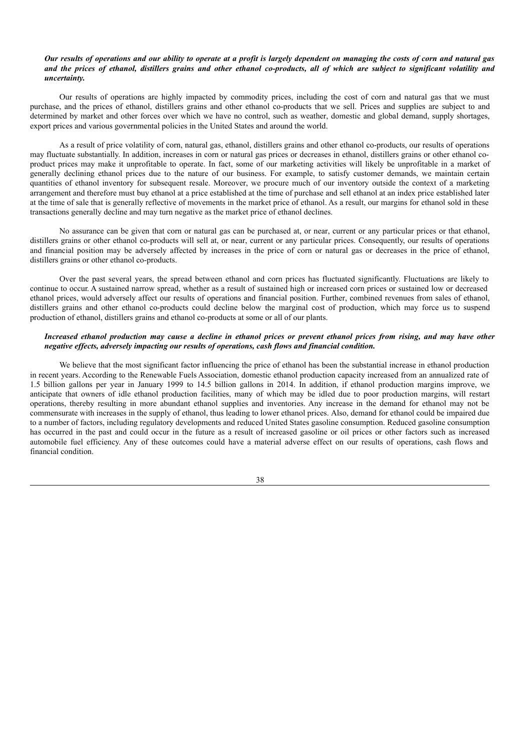## Our results of operations and our ability to operate at a profit is largely dependent on managing the costs of corn and natural gas and the prices of ethanol, distillers grains and other ethanol co-products, all of which are subject to significant volatility and *uncertainty.*

Our results of operations are highly impacted by commodity prices, including the cost of corn and natural gas that we must purchase, and the prices of ethanol, distillers grains and other ethanol co-products that we sell. Prices and supplies are subject to and determined by market and other forces over which we have no control, such as weather, domestic and global demand, supply shortages, export prices and various governmental policies in the United States and around the world.

As a result of price volatility of corn, natural gas, ethanol, distillers grains and other ethanol co-products, our results of operations may fluctuate substantially. In addition, increases in corn or natural gas prices or decreases in ethanol, distillers grains or other ethanol coproduct prices may make it unprofitable to operate. In fact, some of our marketing activities will likely be unprofitable in a market of generally declining ethanol prices due to the nature of our business. For example, to satisfy customer demands, we maintain certain quantities of ethanol inventory for subsequent resale. Moreover, we procure much of our inventory outside the context of a marketing arrangement and therefore must buy ethanol at a price established at the time of purchase and sell ethanol at an index price established later at the time of sale that is generally reflective of movements in the market price of ethanol. As a result, our margins for ethanol sold in these transactions generally decline and may turn negative as the market price of ethanol declines.

No assurance can be given that corn or natural gas can be purchased at, or near, current or any particular prices or that ethanol, distillers grains or other ethanol co-products will sell at, or near, current or any particular prices. Consequently, our results of operations and financial position may be adversely affected by increases in the price of corn or natural gas or decreases in the price of ethanol, distillers grains or other ethanol co-products.

Over the past several years, the spread between ethanol and corn prices has fluctuated significantly. Fluctuations are likely to continue to occur. A sustained narrow spread, whether as a result of sustained high or increased corn prices or sustained low or decreased ethanol prices, would adversely affect our results of operations and financial position. Further, combined revenues from sales of ethanol, distillers grains and other ethanol co-products could decline below the marginal cost of production, which may force us to suspend production of ethanol, distillers grains and ethanol co-products at some or all of our plants.

## Increased ethanol production may cause a decline in ethanol prices or prevent ethanol prices from rising, and may have other *negative ef ects, adversely impacting our results of operations, cash flows and financial condition.*

We believe that the most significant factor influencing the price of ethanol has been the substantial increase in ethanol production in recent years. According to the Renewable Fuels Association, domestic ethanol production capacity increased from an annualized rate of 1.5 billion gallons per year in January 1999 to 14.5 billion gallons in 2014. In addition, if ethanol production margins improve, we anticipate that owners of idle ethanol production facilities, many of which may be idled due to poor production margins, will restart operations, thereby resulting in more abundant ethanol supplies and inventories. Any increase in the demand for ethanol may not be commensurate with increases in the supply of ethanol, thus leading to lower ethanol prices. Also, demand for ethanol could be impaired due to a number of factors, including regulatory developments and reduced United States gasoline consumption. Reduced gasoline consumption has occurred in the past and could occur in the future as a result of increased gasoline or oil prices or other factors such as increased automobile fuel efficiency. Any of these outcomes could have a material adverse effect on our results of operations, cash flows and financial condition.

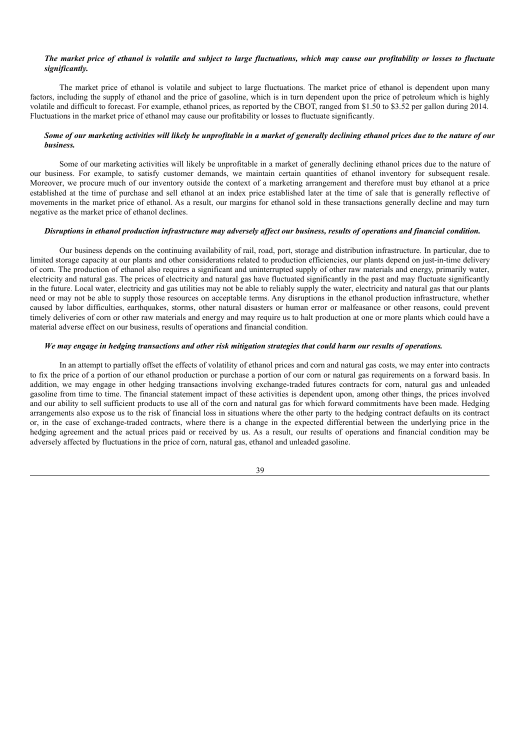### The market price of ethanol is volatile and subject to large fluctuations, which may cause our profitability or losses to fluctuate *significantly.*

The market price of ethanol is volatile and subject to large fluctuations. The market price of ethanol is dependent upon many factors, including the supply of ethanol and the price of gasoline, which is in turn dependent upon the price of petroleum which is highly volatile and difficult to forecast. For example, ethanol prices, as reported by the CBOT, ranged from \$1.50 to \$3.52 per gallon during 2014. Fluctuations in the market price of ethanol may cause our profitability or losses to fluctuate significantly.

## Some of our marketing activities will likely be unprofitable in a market of generally declining ethanol prices due to the nature of our *business.*

Some of our marketing activities will likely be unprofitable in a market of generally declining ethanol prices due to the nature of our business. For example, to satisfy customer demands, we maintain certain quantities of ethanol inventory for subsequent resale. Moreover, we procure much of our inventory outside the context of a marketing arrangement and therefore must buy ethanol at a price established at the time of purchase and sell ethanol at an index price established later at the time of sale that is generally reflective of movements in the market price of ethanol. As a result, our margins for ethanol sold in these transactions generally decline and may turn negative as the market price of ethanol declines.

### Disruptions in ethanol production infrastructure may adversely affect our business, results of operations and financial condition.

Our business depends on the continuing availability of rail, road, port, storage and distribution infrastructure. In particular, due to limited storage capacity at our plants and other considerations related to production efficiencies, our plants depend on just-in-time delivery of corn. The production of ethanol also requires a significant and uninterrupted supply of other raw materials and energy, primarily water, electricity and natural gas. The prices of electricity and natural gas have fluctuated significantly in the past and may fluctuate significantly in the future. Local water, electricity and gas utilities may not be able to reliably supply the water, electricity and natural gas that our plants need or may not be able to supply those resources on acceptable terms. Any disruptions in the ethanol production infrastructure, whether caused by labor difficulties, earthquakes, storms, other natural disasters or human error or malfeasance or other reasons, could prevent timely deliveries of corn or other raw materials and energy and may require us to halt production at one or more plants which could have a material adverse effect on our business, results of operations and financial condition.

# We may engage in hedging transactions and other risk mitigation strategies that could harm our results of operations.

In an attempt to partially offset the effects of volatility of ethanol prices and corn and natural gas costs, we may enter into contracts to fix the price of a portion of our ethanol production or purchase a portion of our corn or natural gas requirements on a forward basis. In addition, we may engage in other hedging transactions involving exchange-traded futures contracts for corn, natural gas and unleaded gasoline from time to time. The financial statement impact of these activities is dependent upon, among other things, the prices involved and our ability to sell sufficient products to use all of the corn and natural gas for which forward commitments have been made. Hedging arrangements also expose us to the risk of financial loss in situations where the other party to the hedging contract defaults on its contract or, in the case of exchange-traded contracts, where there is a change in the expected differential between the underlying price in the hedging agreement and the actual prices paid or received by us. As a result, our results of operations and financial condition may be adversely affected by fluctuations in the price of corn, natural gas, ethanol and unleaded gasoline.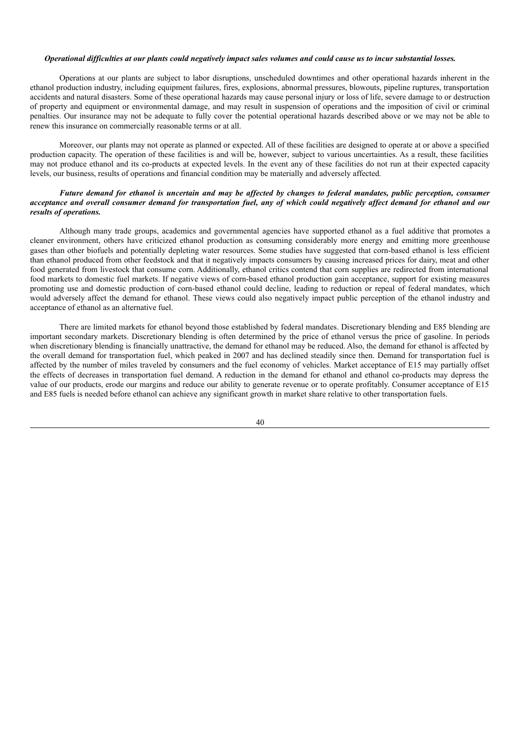### Operational difficulties at our plants could negatively impact sales volumes and could cause us to incur substantial losses.

Operations at our plants are subject to labor disruptions, unscheduled downtimes and other operational hazards inherent in the ethanol production industry, including equipment failures, fires, explosions, abnormal pressures, blowouts, pipeline ruptures, transportation accidents and natural disasters. Some of these operational hazards may cause personal injury or loss of life, severe damage to or destruction of property and equipment or environmental damage, and may result in suspension of operations and the imposition of civil or criminal penalties. Our insurance may not be adequate to fully cover the potential operational hazards described above or we may not be able to renew this insurance on commercially reasonable terms or at all.

Moreover, our plants may not operate as planned or expected. All of these facilities are designed to operate at or above a specified production capacity. The operation of these facilities is and will be, however, subject to various uncertainties. As a result, these facilities may not produce ethanol and its co-products at expected levels. In the event any of these facilities do not run at their expected capacity levels, our business, results of operations and financial condition may be materially and adversely affected.

# Future demand for ethanol is uncertain and may be affected by changes to federal mandates, public perception, consumer acceptance and overall consumer demand for transportation fuel, any of which could negatively affect demand for ethanol and our *results of operations.*

Although many trade groups, academics and governmental agencies have supported ethanol as a fuel additive that promotes a cleaner environment, others have criticized ethanol production as consuming considerably more energy and emitting more greenhouse gases than other biofuels and potentially depleting water resources. Some studies have suggested that corn-based ethanol is less efficient than ethanol produced from other feedstock and that it negatively impacts consumers by causing increased prices for dairy, meat and other food generated from livestock that consume corn. Additionally, ethanol critics contend that corn supplies are redirected from international food markets to domestic fuel markets. If negative views of corn-based ethanol production gain acceptance, support for existing measures promoting use and domestic production of corn-based ethanol could decline, leading to reduction or repeal of federal mandates, which would adversely affect the demand for ethanol. These views could also negatively impact public perception of the ethanol industry and acceptance of ethanol as an alternative fuel.

There are limited markets for ethanol beyond those established by federal mandates. Discretionary blending and E85 blending are important secondary markets. Discretionary blending is often determined by the price of ethanol versus the price of gasoline. In periods when discretionary blending is financially unattractive, the demand for ethanol may be reduced. Also, the demand for ethanol is affected by the overall demand for transportation fuel, which peaked in 2007 and has declined steadily since then. Demand for transportation fuel is affected by the number of miles traveled by consumers and the fuel economy of vehicles. Market acceptance of E15 may partially offset the effects of decreases in transportation fuel demand. A reduction in the demand for ethanol and ethanol co-products may depress the value of our products, erode our margins and reduce our ability to generate revenue or to operate profitably. Consumer acceptance of E15 and E85 fuels is needed before ethanol can achieve any significant growth in market share relative to other transportation fuels.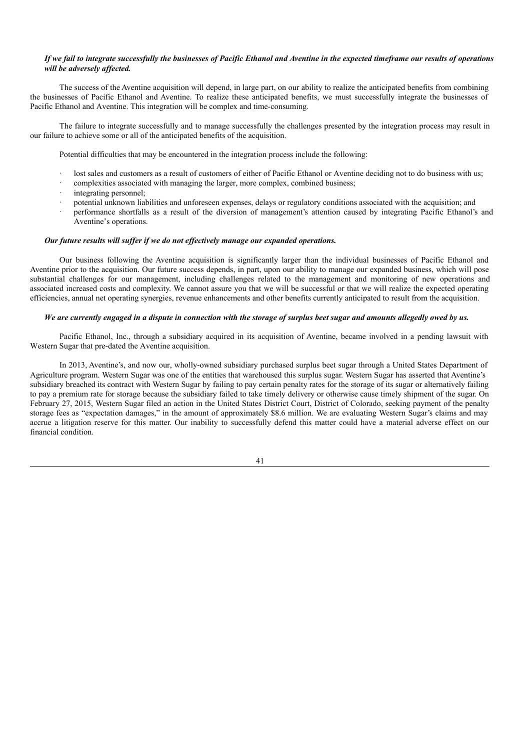## If we fail to integrate successfully the businesses of Pacific Ethanol and Aventine in the expected timeframe our results of operations *will be adversely af ected.*

The success of the Aventine acquisition will depend, in large part, on our ability to realize the anticipated benefits from combining the businesses of Pacific Ethanol and Aventine. To realize these anticipated benefits, we must successfully integrate the businesses of Pacific Ethanol and Aventine. This integration will be complex and time-consuming.

The failure to integrate successfully and to manage successfully the challenges presented by the integration process may result in our failure to achieve some or all of the anticipated benefits of the acquisition.

Potential difficulties that may be encountered in the integration process include the following:

- lost sales and customers as a result of customers of either of Pacific Ethanol or Aventine deciding not to do business with us;
- · complexities associated with managing the larger, more complex, combined business;
- integrating personnel:
- · potential unknown liabilities and unforeseen expenses, delays or regulatory conditions associated with the acquisition; and
- · performance shortfalls as a result of the diversion of management's attention caused by integrating Pacific Ethanol's and Aventine's operations.

# *Our future results will suf er if we do not ef ectively manage our expanded operations.*

Our business following the Aventine acquisition is significantly larger than the individual businesses of Pacific Ethanol and Aventine prior to the acquisition. Our future success depends, in part, upon our ability to manage our expanded business, which will pose substantial challenges for our management, including challenges related to the management and monitoring of new operations and associated increased costs and complexity. We cannot assure you that we will be successful or that we will realize the expected operating efficiencies, annual net operating synergies, revenue enhancements and other benefits currently anticipated to result from the acquisition.

### We are currently engaged in a dispute in connection with the storage of surplus beet sugar and amounts allegedly owed by us.

Pacific Ethanol, Inc., through a subsidiary acquired in its acquisition of Aventine, became involved in a pending lawsuit with Western Sugar that pre-dated the Aventine acquisition.

In 2013, Aventine's, and now our, wholly-owned subsidiary purchased surplus beet sugar through a United States Department of Agriculture program. Western Sugar was one of the entities that warehoused this surplus sugar. Western Sugar has asserted that Aventine's subsidiary breached its contract with Western Sugar by failing to pay certain penalty rates for the storage of its sugar or alternatively failing to pay a premium rate for storage because the subsidiary failed to take timely delivery or otherwise cause timely shipment of the sugar. On February 27, 2015, Western Sugar filed an action in the United States District Court, District of Colorado, seeking payment of the penalty storage fees as "expectation damages," in the amount of approximately \$8.6 million. We are evaluating Western Sugar's claims and may accrue a litigation reserve for this matter. Our inability to successfully defend this matter could have a material adverse effect on our financial condition.

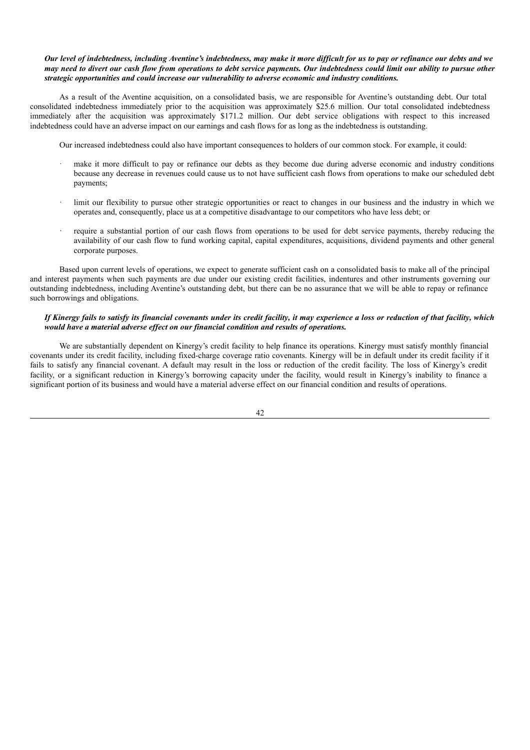# Our level of indebtedness, including Aventine's indebtedness, may make it more difficult for us to pay or refinance our debts and we may need to divert our cash flow from operations to debt service payments. Our indebtedness could limit our ability to pursue other *strategic opportunities and could increase our vulnerability to adverse economic and industry conditions.*

As a result of the Aventine acquisition, on a consolidated basis, we are responsible for Aventine's outstanding debt. Our total consolidated indebtedness immediately prior to the acquisition was approximately \$25.6 million. Our total consolidated indebtedness immediately after the acquisition was approximately \$171.2 million. Our debt service obligations with respect to this increased indebtedness could have an adverse impact on our earnings and cash flows for as long as the indebtedness is outstanding.

Our increased indebtedness could also have important consequences to holders of our common stock. For example, it could:

- make it more difficult to pay or refinance our debts as they become due during adverse economic and industry conditions because any decrease in revenues could cause us to not have sufficient cash flows from operations to make our scheduled debt payments;
- limit our flexibility to pursue other strategic opportunities or react to changes in our business and the industry in which we operates and, consequently, place us at a competitive disadvantage to our competitors who have less debt; or
- require a substantial portion of our cash flows from operations to be used for debt service payments, thereby reducing the availability of our cash flow to fund working capital, capital expenditures, acquisitions, dividend payments and other general corporate purposes.

Based upon current levels of operations, we expect to generate sufficient cash on a consolidated basis to make all of the principal and interest payments when such payments are due under our existing credit facilities, indentures and other instruments governing our outstanding indebtedness, including Aventine's outstanding debt, but there can be no assurance that we will be able to repay or refinance such borrowings and obligations.

# If Kinergy fails to satisfy its financial covenants under its credit facility, it may experience a loss or reduction of that facility, which *would have a material adverse ef ect on our financial condition and results of operations.*

We are substantially dependent on Kinergy's credit facility to help finance its operations. Kinergy must satisfy monthly financial covenants under its credit facility, including fixed-charge coverage ratio covenants. Kinergy will be in default under its credit facility if it fails to satisfy any financial covenant. A default may result in the loss or reduction of the credit facility. The loss of Kinergy's credit facility, or a significant reduction in Kinergy's borrowing capacity under the facility, would result in Kinergy's inability to finance a significant portion of its business and would have a material adverse effect on our financial condition and results of operations.

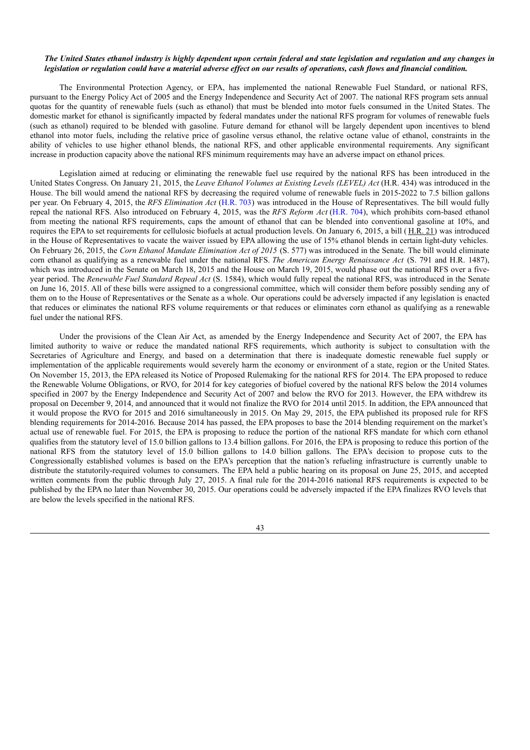### The United States ethanol industry is highly dependent upon certain federal and state legislation and regulation and any changes in legislation or regulation could have a material adverse effect on our results of operations, cash flows and financial condition.

The Environmental Protection Agency, or EPA, has implemented the national Renewable Fuel Standard, or national RFS, pursuant to the Energy Policy Act of 2005 and the Energy Independence and Security Act of 2007. The national RFS program sets annual quotas for the quantity of renewable fuels (such as ethanol) that must be blended into motor fuels consumed in the United States. The domestic market for ethanol is significantly impacted by federal mandates under the national RFS program for volumes of renewable fuels (such as ethanol) required to be blended with gasoline. Future demand for ethanol will be largely dependent upon incentives to blend ethanol into motor fuels, including the relative price of gasoline versus ethanol, the relative octane value of ethanol, constraints in the ability of vehicles to use higher ethanol blends, the national RFS, and other applicable environmental requirements. Any significant increase in production capacity above the national RFS minimum requirements may have an adverse impact on ethanol prices.

Legislation aimed at reducing or eliminating the renewable fuel use required by the national RFS has been introduced in the United States Congress. On January 21, 2015, the *Leave Ethanol Volumes at Existing Levels (LEVEL) Act* (H.R. 434) was introduced in the House. The bill would amend the national RFS by decreasing the required volume of renewable fuels in 2015-2022 to 7.5 billion gallons per year. On February 4, 2015, the *RFS Elimination Act* (H.R. 703) was introduced in the House of Representatives. The bill would fully repeal the national RFS. Also introduced on February 4, 2015, was the *RFS Reform Act* (H.R. 704), which prohibits corn-based ethanol from meeting the national RFS requirements, caps the amount of ethanol that can be blended into conventional gasoline at 10%, and requires the EPA to set requirements for cellulosic biofuels at actual production levels. On January 6, 2015, a bill ( H.R. 21) was introduced in the House of Representatives to vacate the waiver issued by EPA allowing the use of 15% ethanol blends in certain light-duty vehicles. On February 26, 2015, the *Corn Ethanol Mandate Elimination Act of 2015* (S. 577) was introduced in the Senate. The bill would eliminate corn ethanol as qualifying as a renewable fuel under the national RFS. *The American Energy Renaissance Act* (S. 791 and H.R. 1487), which was introduced in the Senate on March 18, 2015 and the House on March 19, 2015, would phase out the national RFS over a fiveyear period. The *Renewable Fuel Standard Repeal Act* (S. 1584), which would fully repeal the national RFS, was introduced in the Senate on June 16, 2015. All of these bills were assigned to a congressional committee, which will consider them before possibly sending any of them on to the House of Representatives or the Senate as a whole. Our operations could be adversely impacted if any legislation is enacted that reduces or eliminates the national RFS volume requirements or that reduces or eliminates corn ethanol as qualifying as a renewable fuel under the national RFS.

Under the provisions of the Clean Air Act, as amended by the Energy Independence and Security Act of 2007, the EPA has limited authority to waive or reduce the mandated national RFS requirements, which authority is subject to consultation with the Secretaries of Agriculture and Energy, and based on a determination that there is inadequate domestic renewable fuel supply or implementation of the applicable requirements would severely harm the economy or environment of a state, region or the United States. On November 15, 2013, the EPA released its Notice of Proposed Rulemaking for the national RFS for 2014. The EPA proposed to reduce the Renewable Volume Obligations, or RVO, for 2014 for key categories of biofuel covered by the national RFS below the 2014 volumes specified in 2007 by the Energy Independence and Security Act of 2007 and below the RVO for 2013. However, the EPA withdrew its proposal on December 9, 2014, and announced that it would not finalize the RVO for 2014 until 2015. In addition, the EPA announced that it would propose the RVO for 2015 and 2016 simultaneously in 2015. On May 29, 2015, the EPA published its proposed rule for RFS blending requirements for 2014-2016. Because 2014 has passed, the EPA proposes to base the 2014 blending requirement on the market's actual use of renewable fuel. For 2015, the EPA is proposing to reduce the portion of the national RFS mandate for which corn ethanol qualifies from the statutory level of 15.0 billion gallons to 13.4 billion gallons. For 2016, the EPA is proposing to reduce this portion of the national RFS from the statutory level of 15.0 billion gallons to 14.0 billion gallons. The EPA's decision to propose cuts to the Congressionally established volumes is based on the EPA's perception that the nation's refueling infrastructure is currently unable to distribute the statutorily-required volumes to consumers. The EPA held a public hearing on its proposal on June 25, 2015, and accepted written comments from the public through July 27, 2015. A final rule for the 2014-2016 national RFS requirements is expected to be published by the EPA no later than November 30, 2015. Our operations could be adversely impacted if the EPA finalizes RVO levels that are below the levels specified in the national RFS.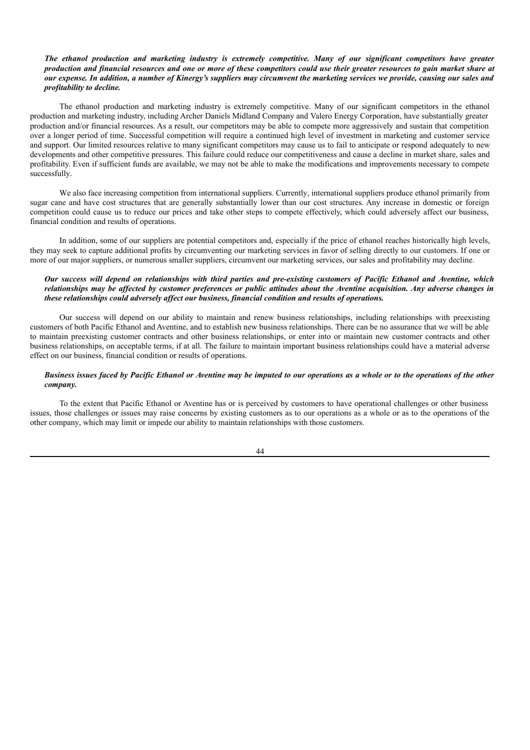# The ethanol production and marketing industry is extremely competitive. Many of our significant competitors have greater production and financial resources and one or more of these competitors could use their greater resources to gain market share at our expense. In addition, a number of Kinergy's suppliers may circumvent the marketing services we provide, causing our sales and *profitability to decline.*

The ethanol production and marketing industry is extremely competitive. Many of our significant competitors in the ethanol production and marketing industry, including Archer Daniels Midland Company and Valero Energy Corporation, have substantially greater production and/or financial resources. As a result, our competitors may be able to compete more aggressively and sustain that competition over a longer period of time. Successful competition will require a continued high level of investment in marketing and customer service and support. Our limited resources relative to many significant competitors may cause us to fail to anticipate or respond adequately to new developments and other competitive pressures. This failure could reduce our competitiveness and cause a decline in market share, sales and profitability. Even if sufficient funds are available, we may not be able to make the modifications and improvements necessary to compete successfully.

We also face increasing competition from international suppliers. Currently, international suppliers produce ethanol primarily from sugar cane and have cost structures that are generally substantially lower than our cost structures. Any increase in domestic or foreign competition could cause us to reduce our prices and take other steps to compete effectively, which could adversely affect our business, financial condition and results of operations.

In addition, some of our suppliers are potential competitors and, especially if the price of ethanol reaches historically high levels, they may seek to capture additional profits by circumventing our marketing services in favor of selling directly to our customers. If one or more of our major suppliers, or numerous smaller suppliers, circumvent our marketing services, our sales and profitability may decline.

# Our success will depend on relationships with third parties and pre-existing customers of Pacific Ethanol and Aventine, which relationships may be affected by customer preferences or public attitudes about the Aventine acquisition. Any adverse changes in *these relationships could adversely af ect our business, financial condition and results of operations.*

Our success will depend on our ability to maintain and renew business relationships, including relationships with preexisting customers of both Pacific Ethanol and Aventine, and to establish new business relationships. There can be no assurance that we will be able to maintain preexisting customer contracts and other business relationships, or enter into or maintain new customer contracts and other business relationships, on acceptable terms, if at all. The failure to maintain important business relationships could have a material adverse effect on our business, financial condition or results of operations.

# Business issues faced by Pacific Ethanol or Aventine may be imputed to our operations as a whole or to the operations of the other *company.*

To the extent that Pacific Ethanol or Aventine has or is perceived by customers to have operational challenges or other business issues, those challenges or issues may raise concerns by existing customers as to our operations as a whole or as to the operations of the other company, which may limit or impede our ability to maintain relationships with those customers.

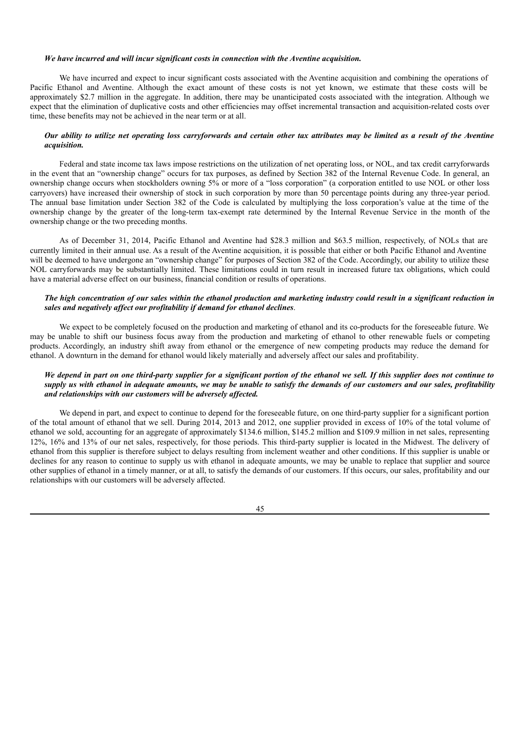#### *We have incurred and will incur significant costs in connection with the Aventine acquisition.*

We have incurred and expect to incur significant costs associated with the Aventine acquisition and combining the operations of Pacific Ethanol and Aventine. Although the exact amount of these costs is not yet known, we estimate that these costs will be approximately \$2.7 million in the aggregate. In addition, there may be unanticipated costs associated with the integration. Although we expect that the elimination of duplicative costs and other efficiencies may offset incremental transaction and acquisition-related costs over time, these benefits may not be achieved in the near term or at all.

## Our ability to utilize net operating loss carryforwards and certain other tax attributes may be limited as a result of the Aventine *acquisition.*

Federal and state income tax laws impose restrictions on the utilization of net operating loss, or NOL, and tax credit carryforwards in the event that an "ownership change" occurs for tax purposes, as defined by Section 382 of the Internal Revenue Code. In general, an ownership change occurs when stockholders owning 5% or more of a "loss corporation" (a corporation entitled to use NOL or other loss carryovers) have increased their ownership of stock in such corporation by more than 50 percentage points during any three-year period. The annual base limitation under Section 382 of the Code is calculated by multiplying the loss corporation's value at the time of the ownership change by the greater of the long-term tax-exempt rate determined by the Internal Revenue Service in the month of the ownership change or the two preceding months.

As of December 31, 2014, Pacific Ethanol and Aventine had \$28.3 million and \$63.5 million, respectively, of NOLs that are currently limited in their annual use. As a result of the Aventine acquisition, it is possible that either or both Pacific Ethanol and Aventine will be deemed to have undergone an "ownership change" for purposes of Section 382 of the Code. Accordingly, our ability to utilize these NOL carryforwards may be substantially limited. These limitations could in turn result in increased future tax obligations, which could have a material adverse effect on our business, financial condition or results of operations.

# The high concentration of our sales within the ethanol production and marketing industry could result in a significant reduction in *sales and negatively af ect our profitability if demand for ethanol declines*.

We expect to be completely focused on the production and marketing of ethanol and its co-products for the foreseeable future. We may be unable to shift our business focus away from the production and marketing of ethanol to other renewable fuels or competing products. Accordingly, an industry shift away from ethanol or the emergence of new competing products may reduce the demand for ethanol. A downturn in the demand for ethanol would likely materially and adversely affect our sales and profitability.

# We depend in part on one third-party supplier for a significant portion of the ethanol we sell. If this supplier does not continue to supply us with ethanol in adequate amounts, we may be unable to satisfy the demands of our customers and our sales, profitability *and relationships with our customers will be adversely af ected.*

We depend in part, and expect to continue to depend for the foreseeable future, on one third-party supplier for a significant portion of the total amount of ethanol that we sell. During 2014, 2013 and 2012, one supplier provided in excess of 10% of the total volume of ethanol we sold, accounting for an aggregate of approximately \$134.6 million, \$145.2 million and \$109.9 million in net sales, representing 12%, 16% and 13% of our net sales, respectively, for those periods. This third-party supplier is located in the Midwest. The delivery of ethanol from this supplier is therefore subject to delays resulting from inclement weather and other conditions. If this supplier is unable or declines for any reason to continue to supply us with ethanol in adequate amounts, we may be unable to replace that supplier and source other supplies of ethanol in a timely manner, or at all, to satisfy the demands of our customers. If this occurs, our sales, profitability and our relationships with our customers will be adversely affected.

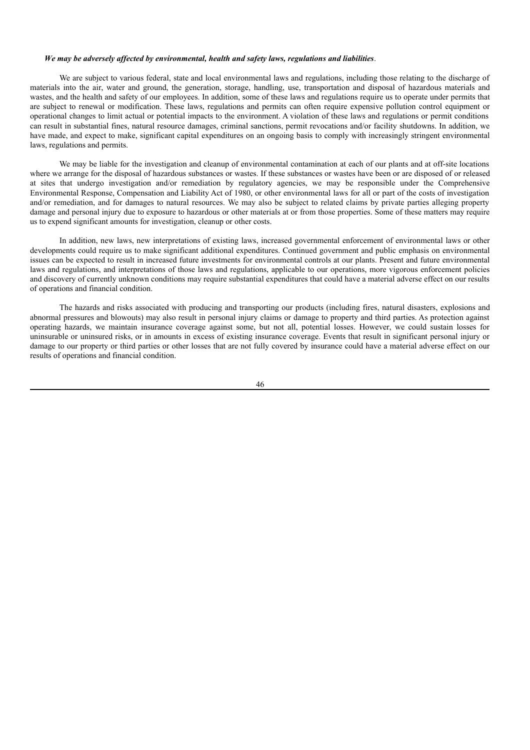### *We may be adversely af ected by environmental, health and safety laws, regulations and liabilities*.

We are subject to various federal, state and local environmental laws and regulations, including those relating to the discharge of materials into the air, water and ground, the generation, storage, handling, use, transportation and disposal of hazardous materials and wastes, and the health and safety of our employees. In addition, some of these laws and regulations require us to operate under permits that are subject to renewal or modification. These laws, regulations and permits can often require expensive pollution control equipment or operational changes to limit actual or potential impacts to the environment. A violation of these laws and regulations or permit conditions can result in substantial fines, natural resource damages, criminal sanctions, permit revocations and/or facility shutdowns. In addition, we have made, and expect to make, significant capital expenditures on an ongoing basis to comply with increasingly stringent environmental laws, regulations and permits.

We may be liable for the investigation and cleanup of environmental contamination at each of our plants and at off-site locations where we arrange for the disposal of hazardous substances or wastes. If these substances or wastes have been or are disposed of or released at sites that undergo investigation and/or remediation by regulatory agencies, we may be responsible under the Comprehensive Environmental Response, Compensation and Liability Act of 1980, or other environmental laws for all or part of the costs of investigation and/or remediation, and for damages to natural resources. We may also be subject to related claims by private parties alleging property damage and personal injury due to exposure to hazardous or other materials at or from those properties. Some of these matters may require us to expend significant amounts for investigation, cleanup or other costs.

In addition, new laws, new interpretations of existing laws, increased governmental enforcement of environmental laws or other developments could require us to make significant additional expenditures. Continued government and public emphasis on environmental issues can be expected to result in increased future investments for environmental controls at our plants. Present and future environmental laws and regulations, and interpretations of those laws and regulations, applicable to our operations, more vigorous enforcement policies and discovery of currently unknown conditions may require substantial expenditures that could have a material adverse effect on our results of operations and financial condition.

The hazards and risks associated with producing and transporting our products (including fires, natural disasters, explosions and abnormal pressures and blowouts) may also result in personal injury claims or damage to property and third parties. As protection against operating hazards, we maintain insurance coverage against some, but not all, potential losses. However, we could sustain losses for uninsurable or uninsured risks, or in amounts in excess of existing insurance coverage. Events that result in significant personal injury or damage to our property or third parties or other losses that are not fully covered by insurance could have a material adverse effect on our results of operations and financial condition.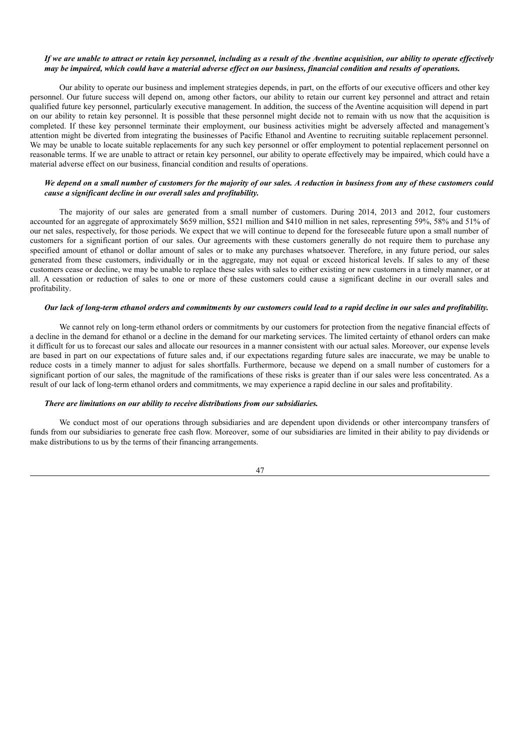## If we are unable to attract or retain key personnel, including as a result of the Aventine acquisition, our ability to operate effectively may be impaired, which could have a material adverse effect on our business, financial condition and results of operations.

Our ability to operate our business and implement strategies depends, in part, on the efforts of our executive officers and other key personnel. Our future success will depend on, among other factors, our ability to retain our current key personnel and attract and retain qualified future key personnel, particularly executive management. In addition, the success of the Aventine acquisition will depend in part on our ability to retain key personnel. It is possible that these personnel might decide not to remain with us now that the acquisition is completed. If these key personnel terminate their employment, our business activities might be adversely affected and management's attention might be diverted from integrating the businesses of Pacific Ethanol and Aventine to recruiting suitable replacement personnel. We may be unable to locate suitable replacements for any such key personnel or offer employment to potential replacement personnel on reasonable terms. If we are unable to attract or retain key personnel, our ability to operate effectively may be impaired, which could have a material adverse effect on our business, financial condition and results of operations.

# We depend on a small number of customers for the maiority of our sales. A reduction in business from any of these customers could *cause a significant decline in our overall sales and profitability.*

The majority of our sales are generated from a small number of customers. During 2014, 2013 and 2012, four customers accounted for an aggregate of approximately \$659 million, \$521 million and \$410 million in net sales, representing 59%, 58% and 51% of our net sales, respectively, for those periods. We expect that we will continue to depend for the foreseeable future upon a small number of customers for a significant portion of our sales. Our agreements with these customers generally do not require them to purchase any specified amount of ethanol or dollar amount of sales or to make any purchases whatsoever. Therefore, in any future period, our sales generated from these customers, individually or in the aggregate, may not equal or exceed historical levels. If sales to any of these customers cease or decline, we may be unable to replace these sales with sales to either existing or new customers in a timely manner, or at all. A cessation or reduction of sales to one or more of these customers could cause a significant decline in our overall sales and profitability.

# Our lack of long-term ethanol orders and commitments by our customers could lead to a rapid decline in our sales and profitability.

We cannot rely on long-term ethanol orders or commitments by our customers for protection from the negative financial effects of a decline in the demand for ethanol or a decline in the demand for our marketing services. The limited certainty of ethanol orders can make it difficult for us to forecast our sales and allocate our resources in a manner consistent with our actual sales. Moreover, our expense levels are based in part on our expectations of future sales and, if our expectations regarding future sales are inaccurate, we may be unable to reduce costs in a timely manner to adjust for sales shortfalls. Furthermore, because we depend on a small number of customers for a significant portion of our sales, the magnitude of the ramifications of these risks is greater than if our sales were less concentrated. As a result of our lack of long-term ethanol orders and commitments, we may experience a rapid decline in our sales and profitability.

# *There are limitations on our ability to receive distributions from our subsidiaries.*

We conduct most of our operations through subsidiaries and are dependent upon dividends or other intercompany transfers of funds from our subsidiaries to generate free cash flow. Moreover, some of our subsidiaries are limited in their ability to pay dividends or make distributions to us by the terms of their financing arrangements.

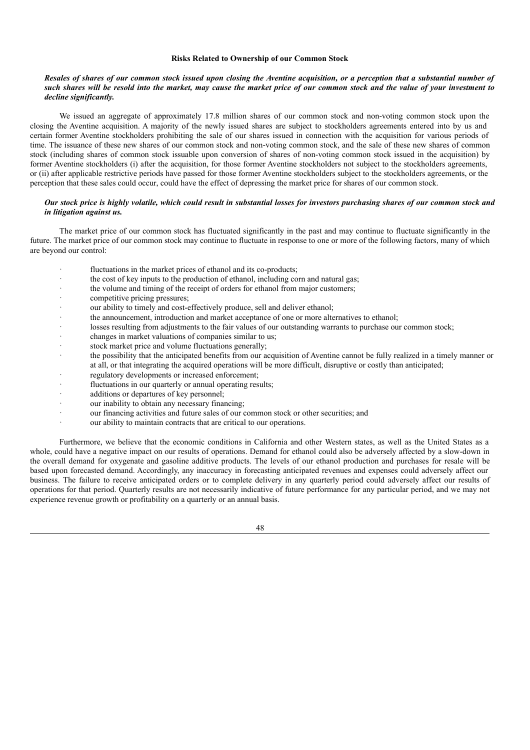### **Risks Related to Ownership of our Common Stock**

## Resales of shares of our common stock issued upon closing the Aventine acquisition, or a perception that a substantial number of such shares will be resold into the market, may cause the market price of our common stock and the value of your investment to *decline significantly.*

We issued an aggregate of approximately 17.8 million shares of our common stock and non-voting common stock upon the closing the Aventine acquisition. A majority of the newly issued shares are subject to stockholders agreements entered into by us and certain former Aventine stockholders prohibiting the sale of our shares issued in connection with the acquisition for various periods of time. The issuance of these new shares of our common stock and non-voting common stock, and the sale of these new shares of common stock (including shares of common stock issuable upon conversion of shares of non-voting common stock issued in the acquisition) by former Aventine stockholders (i) after the acquisition, for those former Aventine stockholders not subject to the stockholders agreements, or (ii) after applicable restrictive periods have passed for those former Aventine stockholders subject to the stockholders agreements, or the perception that these sales could occur, could have the effect of depressing the market price for shares of our common stock.

# Our stock price is highly volatile, which could result in substantial losses for investors purchasing shares of our common stock and *in litigation against us.*

The market price of our common stock has fluctuated significantly in the past and may continue to fluctuate significantly in the future. The market price of our common stock may continue to fluctuate in response to one or more of the following factors, many of which are beyond our control:

- fluctuations in the market prices of ethanol and its co-products;
- · the cost of key inputs to the production of ethanol, including corn and natural gas;
- the volume and timing of the receipt of orders for ethanol from major customers;
- competitive pricing pressures;
- our ability to timely and cost-effectively produce, sell and deliver ethanol;
- the announcement, introduction and market acceptance of one or more alternatives to ethanol;
- losses resulting from adjustments to the fair values of our outstanding warrants to purchase our common stock;
- changes in market valuations of companies similar to us;
- stock market price and volume fluctuations generally;
- the possibility that the anticipated benefits from our acquisition of Aventine cannot be fully realized in a timely manner or at all, or that integrating the acquired operations will be more difficult, disruptive or costly than anticipated;
- regulatory developments or increased enforcement;
- fluctuations in our quarterly or annual operating results;
- additions or departures of key personnel;
- our inability to obtain any necessary financing;
- our financing activities and future sales of our common stock or other securities; and
- our ability to maintain contracts that are critical to our operations.

Furthermore, we believe that the economic conditions in California and other Western states, as well as the United States as a whole, could have a negative impact on our results of operations. Demand for ethanol could also be adversely affected by a slow-down in the overall demand for oxygenate and gasoline additive products. The levels of our ethanol production and purchases for resale will be based upon forecasted demand. Accordingly, any inaccuracy in forecasting anticipated revenues and expenses could adversely affect our business. The failure to receive anticipated orders or to complete delivery in any quarterly period could adversely affect our results of operations for that period. Quarterly results are not necessarily indicative of future performance for any particular period, and we may not experience revenue growth or profitability on a quarterly or an annual basis.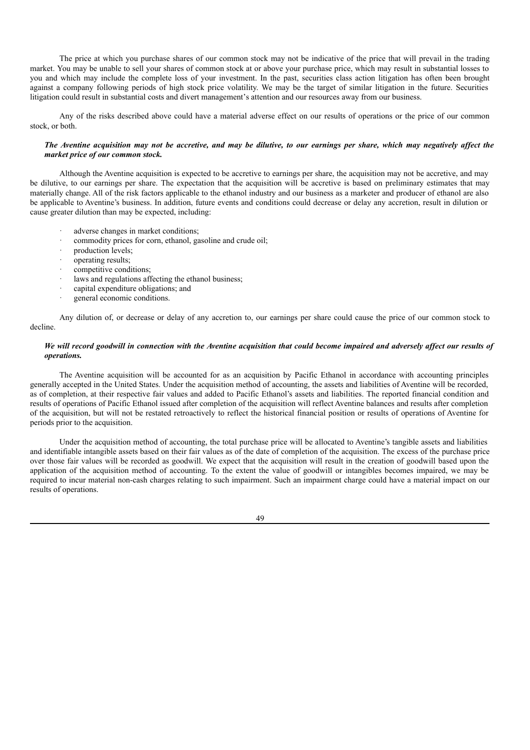The price at which you purchase shares of our common stock may not be indicative of the price that will prevail in the trading market. You may be unable to sell your shares of common stock at or above your purchase price, which may result in substantial losses to you and which may include the complete loss of your investment. In the past, securities class action litigation has often been brought against a company following periods of high stock price volatility. We may be the target of similar litigation in the future. Securities litigation could result in substantial costs and divert management's attention and our resources away from our business.

Any of the risks described above could have a material adverse effect on our results of operations or the price of our common stock, or both.

# The Aventine acquisition may not be accretive, and may be dilutive, to our earnings per share, which may negatively affect the *market price of our common stock.*

Although the Aventine acquisition is expected to be accretive to earnings per share, the acquisition may not be accretive, and may be dilutive, to our earnings per share. The expectation that the acquisition will be accretive is based on preliminary estimates that may materially change. All of the risk factors applicable to the ethanol industry and our business as a marketer and producer of ethanol are also be applicable to Aventine's business. In addition, future events and conditions could decrease or delay any accretion, result in dilution or cause greater dilution than may be expected, including:

- adverse changes in market conditions;
- commodity prices for corn, ethanol, gasoline and crude oil;
- production levels:
- · operating results;
- competitive conditions;
- laws and regulations affecting the ethanol business;
- capital expenditure obligations; and
- general economic conditions.

Any dilution of, or decrease or delay of any accretion to, our earnings per share could cause the price of our common stock to decline.

# We will record goodwill in connection with the Aventine acquisition that could become impaired and adversely affect our results of *operations.*

The Aventine acquisition will be accounted for as an acquisition by Pacific Ethanol in accordance with accounting principles generally accepted in the United States. Under the acquisition method of accounting, the assets and liabilities of Aventine will be recorded, as of completion, at their respective fair values and added to Pacific Ethanol's assets and liabilities. The reported financial condition and results of operations of Pacific Ethanol issued after completion of the acquisition will reflect Aventine balances and results after completion of the acquisition, but will not be restated retroactively to reflect the historical financial position or results of operations of Aventine for periods prior to the acquisition.

Under the acquisition method of accounting, the total purchase price will be allocated to Aventine's tangible assets and liabilities and identifiable intangible assets based on their fair values as of the date of completion of the acquisition. The excess of the purchase price over those fair values will be recorded as goodwill. We expect that the acquisition will result in the creation of goodwill based upon the application of the acquisition method of accounting. To the extent the value of goodwill or intangibles becomes impaired, we may be required to incur material non-cash charges relating to such impairment. Such an impairment charge could have a material impact on our results of operations.

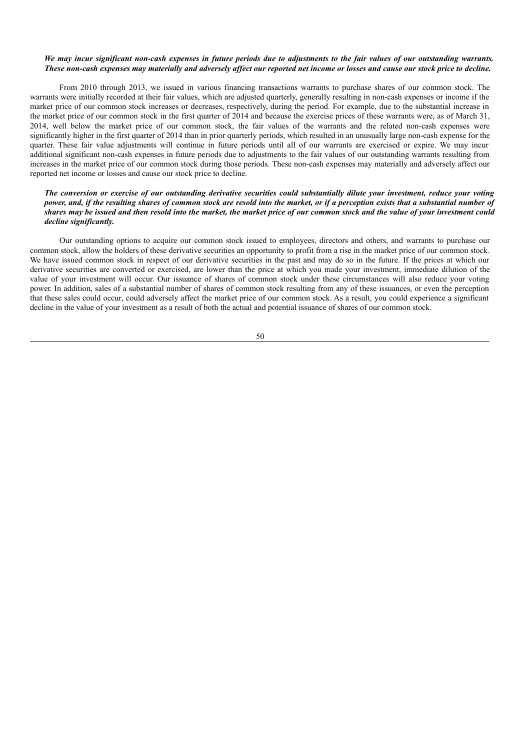## We may incur significant non-cash expenses in future periods due to adjustments to the fair values of our outstanding warrants. These non-cash expenses may materially and adversely affect our reported net income or losses and cause our stock price to decline.

From 2010 through 2013, we issued in various financing transactions warrants to purchase shares of our common stock. The warrants were initially recorded at their fair values, which are adjusted quarterly, generally resulting in non-cash expenses or income if the market price of our common stock increases or decreases, respectively, during the period. For example, due to the substantial increase in the market price of our common stock in the first quarter of 2014 and because the exercise prices of these warrants were, as of March 31, 2014, well below the market price of our common stock, the fair values of the warrants and the related non-cash expenses were significantly higher in the first quarter of 2014 than in prior quarterly periods, which resulted in an unusually large non-cash expense for the quarter. These fair value adjustments will continue in future periods until all of our warrants are exercised or expire. We may incur additional significant non-cash expenses in future periods due to adjustments to the fair values of our outstanding warrants resulting from increases in the market price of our common stock during those periods. These non-cash expenses may materially and adversely affect our reported net income or losses and cause our stock price to decline.

## The conversion or exercise of our outstanding derivative securities could substantially dilute your investment, reduce your voting power, and, if the resulting shares of common stock are resold into the market, or if a perception exists that a substantial number of shares may be issued and then resold into the market, the market price of our common stock and the value of your investment could *decline significantly.*

Our outstanding options to acquire our common stock issued to employees, directors and others, and warrants to purchase our common stock, allow the holders of these derivative securities an opportunity to profit from a rise in the market price of our common stock. We have issued common stock in respect of our derivative securities in the past and may do so in the future. If the prices at which our derivative securities are converted or exercised, are lower than the price at which you made your investment, immediate dilution of the value of your investment will occur. Our issuance of shares of common stock under these circumstances will also reduce your voting power. In addition, sales of a substantial number of shares of common stock resulting from any of these issuances, or even the perception that these sales could occur, could adversely affect the market price of our common stock. As a result, you could experience a significant decline in the value of your investment as a result of both the actual and potential issuance of shares of our common stock.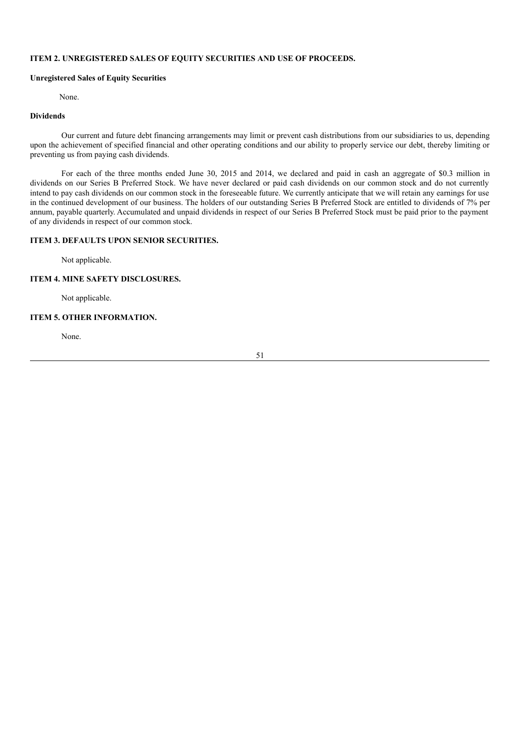# **ITEM 2. UNREGISTERED SALES OF EQUITY SECURITIES AND USE OF PROCEEDS.**

# **Unregistered Sales of Equity Securities**

### None.

# **Dividends**

Our current and future debt financing arrangements may limit or prevent cash distributions from our subsidiaries to us, depending upon the achievement of specified financial and other operating conditions and our ability to properly service our debt, thereby limiting or preventing us from paying cash dividends.

For each of the three months ended June 30, 2015 and 2014, we declared and paid in cash an aggregate of \$0.3 million in dividends on our Series B Preferred Stock. We have never declared or paid cash dividends on our common stock and do not currently intend to pay cash dividends on our common stock in the foreseeable future. We currently anticipate that we will retain any earnings for use in the continued development of our business. The holders of our outstanding Series B Preferred Stock are entitled to dividends of 7% per annum, payable quarterly. Accumulated and unpaid dividends in respect of our Series B Preferred Stock must be paid prior to the payment of any dividends in respect of our common stock.

# **ITEM 3. DEFAULTS UPON SENIOR SECURITIES.**

Not applicable.

# **ITEM 4. MINE SAFETY DISCLOSURES.**

Not applicable.

# **ITEM 5. OTHER INFORMATION.**

None.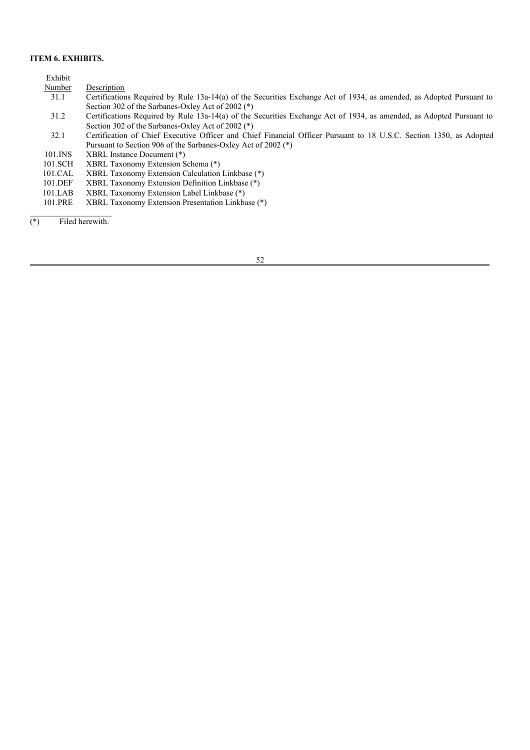# **ITEM 6. EXHIBITS.**

|       | Exhibit |                                                                                                                      |
|-------|---------|----------------------------------------------------------------------------------------------------------------------|
|       | Number  | Description                                                                                                          |
|       | 31.1    | Certifications Required by Rule 13a-14(a) of the Securities Exchange Act of 1934, as amended, as Adopted Pursuant to |
|       |         | Section 302 of the Sarbanes-Oxley Act of 2002 (*)                                                                    |
|       | 31.2    | Certifications Required by Rule 13a-14(a) of the Securities Exchange Act of 1934, as amended, as Adopted Pursuant to |
|       |         | Section 302 of the Sarbanes-Oxley Act of 2002 (*)                                                                    |
|       | 32.1    | Certification of Chief Executive Officer and Chief Financial Officer Pursuant to 18 U.S.C. Section 1350, as Adopted  |
|       |         | Pursuant to Section 906 of the Sarbanes-Oxley Act of 2002 (*)                                                        |
|       | 101.INS | XBRL Instance Document (*)                                                                                           |
|       | 101.SCH | XBRL Taxonomy Extension Schema (*)                                                                                   |
|       | 101.CAL | XBRL Taxonomy Extension Calculation Linkbase (*)                                                                     |
|       | 101.DEF | XBRL Taxonomy Extension Definition Linkbase (*)                                                                      |
|       | 101.LAB | XBRL Taxonomy Extension Label Linkbase (*)                                                                           |
|       | 101.PRE | XBRL Taxonomy Extension Presentation Linkbase (*)                                                                    |
|       |         |                                                                                                                      |
| $(*)$ |         | Filed herewith.                                                                                                      |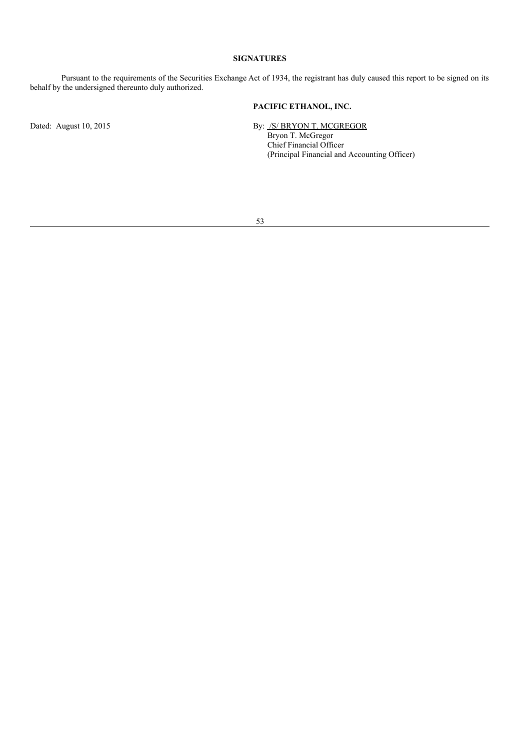# **SIGNATURES**

Pursuant to the requirements of the Securities Exchange Act of 1934, the registrant has duly caused this report to be signed on its behalf by the undersigned thereunto duly authorized.

# **PACIFIC ETHANOL, INC.**

Dated: August 10, 2015 By: /S/ BRYON T. MCGREGOR Bryon T. McGregor Chief Financial Officer (Principal Financial and Accounting Officer)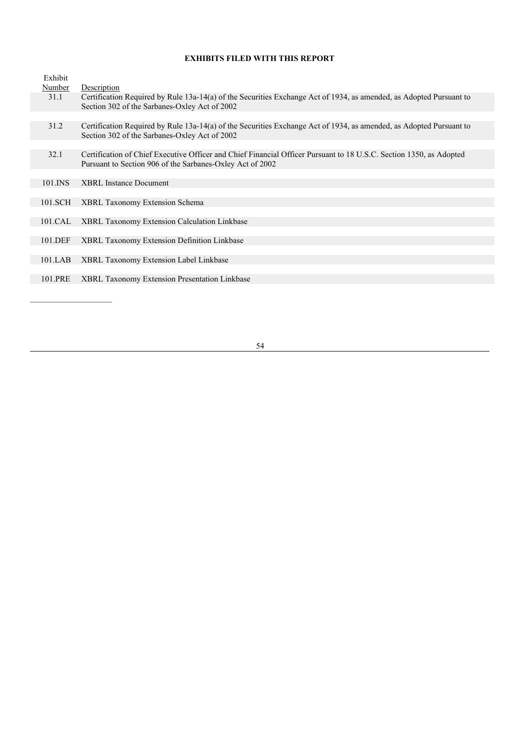# **EXHIBITS FILED WITH THIS REPORT**

| Exhibit |                                                                                                                                                                                  |
|---------|----------------------------------------------------------------------------------------------------------------------------------------------------------------------------------|
| Number  | Description                                                                                                                                                                      |
| 31.1    | Certification Required by Rule 13a-14(a) of the Securities Exchange Act of 1934, as amended, as Adopted Pursuant to<br>Section 302 of the Sarbanes-Oxley Act of 2002             |
|         |                                                                                                                                                                                  |
| 31.2    | Certification Required by Rule 13a-14(a) of the Securities Exchange Act of 1934, as amended, as Adopted Pursuant to<br>Section 302 of the Sarbanes-Oxley Act of 2002             |
|         |                                                                                                                                                                                  |
| 32.1    | Certification of Chief Executive Officer and Chief Financial Officer Pursuant to 18 U.S.C. Section 1350, as Adopted<br>Pursuant to Section 906 of the Sarbanes-Oxley Act of 2002 |
|         |                                                                                                                                                                                  |
| 101.INS | <b>XBRL</b> Instance Document                                                                                                                                                    |
|         |                                                                                                                                                                                  |
| 101.SCH | XBRL Taxonomy Extension Schema                                                                                                                                                   |
|         |                                                                                                                                                                                  |
| 101.CAL | <b>XBRL Taxonomy Extension Calculation Linkbase</b>                                                                                                                              |
|         |                                                                                                                                                                                  |
| 101.DEF | <b>XBRL Taxonomy Extension Definition Linkbase</b>                                                                                                                               |
|         |                                                                                                                                                                                  |
| 101.LAB | <b>XBRL Taxonomy Extension Label Linkbase</b>                                                                                                                                    |
|         |                                                                                                                                                                                  |
| 101.PRE | <b>XBRL Taxonomy Extension Presentation Linkbase</b>                                                                                                                             |
|         |                                                                                                                                                                                  |
|         |                                                                                                                                                                                  |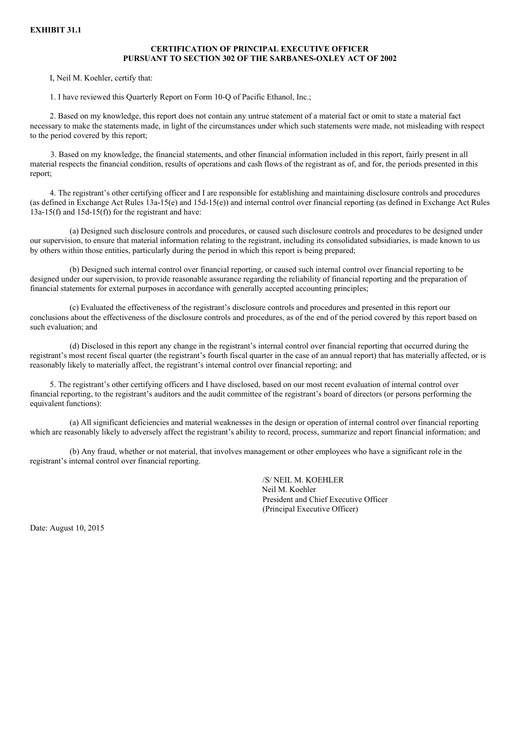# **CERTIFICATION OF PRINCIPAL EXECUTIVE OFFICER PURSUANT TO SECTION 302 OF THE SARBANES-OXLEY ACT OF 2002**

I, Neil M. Koehler, certify that:

1. I have reviewed this Quarterly Report on Form 10-Q of Pacific Ethanol, Inc.;

2. Based on my knowledge, this report does not contain any untrue statement of a material fact or omit to state a material fact necessary to make the statements made, in light of the circumstances under which such statements were made, not misleading with respect to the period covered by this report;

3. Based on my knowledge, the financial statements, and other financial information included in this report, fairly present in all material respects the financial condition, results of operations and cash flows of the registrant as of, and for, the periods presented in this report;

4. The registrant's other certifying officer and I are responsible for establishing and maintaining disclosure controls and procedures (as defined in Exchange Act Rules 13a-15(e) and 15d-15(e)) and internal control over financial reporting (as defined in Exchange Act Rules  $13a-15(f)$  and  $15d-15(f)$  for the registrant and have:

(a) Designed such disclosure controls and procedures, or caused such disclosure controls and procedures to be designed under our supervision, to ensure that material information relating to the registrant, including its consolidated subsidiaries, is made known to us by others within those entities, particularly during the period in which this report is being prepared;

(b) Designed such internal control over financial reporting, or caused such internal control over financial reporting to be designed under our supervision, to provide reasonable assurance regarding the reliability of financial reporting and the preparation of financial statements for external purposes in accordance with generally accepted accounting principles;

(c) Evaluated the effectiveness of the registrant's disclosure controls and procedures and presented in this report our conclusions about the effectiveness of the disclosure controls and procedures, as of the end of the period covered by this report based on such evaluation; and

(d) Disclosed in this report any change in the registrant's internal control over financial reporting that occurred during the registrant's most recent fiscal quarter (the registrant's fourth fiscal quarter in the case of an annual report) that has materially affected, or is reasonably likely to materially affect, the registrant's internal control over financial reporting; and

5. The registrant's other certifying officers and I have disclosed, based on our most recent evaluation of internal control over financial reporting, to the registrant's auditors and the audit committee of the registrant's board of directors (or persons performing the equivalent functions):

(a) All significant deficiencies and material weaknesses in the design or operation of internal control over financial reporting which are reasonably likely to adversely affect the registrant's ability to record, process, summarize and report financial information; and

(b) Any fraud, whether or not material, that involves management or other employees who have a significant role in the registrant's internal control over financial reporting.

> /S/ NEIL M. KOEHLER Neil M. Koehler President and Chief Executive Officer (Principal Executive Officer)

Date: August 10, 2015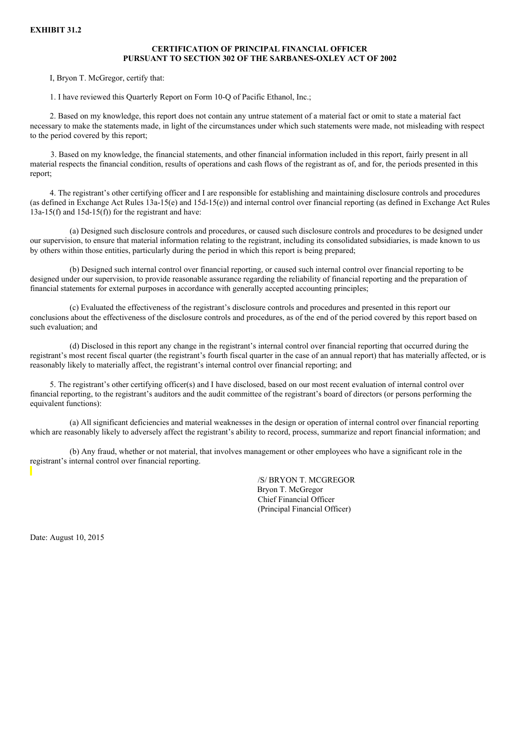### **CERTIFICATION OF PRINCIPAL FINANCIAL OFFICER PURSUANT TO SECTION 302 OF THE SARBANES-OXLEY ACT OF 2002**

I, Bryon T. McGregor, certify that:

1. I have reviewed this Quarterly Report on Form 10-Q of Pacific Ethanol, Inc.;

2. Based on my knowledge, this report does not contain any untrue statement of a material fact or omit to state a material fact necessary to make the statements made, in light of the circumstances under which such statements were made, not misleading with respect to the period covered by this report;

3. Based on my knowledge, the financial statements, and other financial information included in this report, fairly present in all material respects the financial condition, results of operations and cash flows of the registrant as of, and for, the periods presented in this report;

4. The registrant's other certifying officer and I are responsible for establishing and maintaining disclosure controls and procedures (as defined in Exchange Act Rules 13a-15(e) and 15d-15(e)) and internal control over financial reporting (as defined in Exchange Act Rules  $13a-15(f)$  and  $15d-15(f)$  for the registrant and have:

(a) Designed such disclosure controls and procedures, or caused such disclosure controls and procedures to be designed under our supervision, to ensure that material information relating to the registrant, including its consolidated subsidiaries, is made known to us by others within those entities, particularly during the period in which this report is being prepared;

(b) Designed such internal control over financial reporting, or caused such internal control over financial reporting to be designed under our supervision, to provide reasonable assurance regarding the reliability of financial reporting and the preparation of financial statements for external purposes in accordance with generally accepted accounting principles;

(c) Evaluated the effectiveness of the registrant's disclosure controls and procedures and presented in this report our conclusions about the effectiveness of the disclosure controls and procedures, as of the end of the period covered by this report based on such evaluation; and

(d) Disclosed in this report any change in the registrant's internal control over financial reporting that occurred during the registrant's most recent fiscal quarter (the registrant's fourth fiscal quarter in the case of an annual report) that has materially affected, or is reasonably likely to materially affect, the registrant's internal control over financial reporting; and

5. The registrant's other certifying officer(s) and I have disclosed, based on our most recent evaluation of internal control over financial reporting, to the registrant's auditors and the audit committee of the registrant's board of directors (or persons performing the equivalent functions):

(a) All significant deficiencies and material weaknesses in the design or operation of internal control over financial reporting which are reasonably likely to adversely affect the registrant's ability to record, process, summarize and report financial information; and

(b) Any fraud, whether or not material, that involves management or other employees who have a significant role in the registrant's internal control over financial reporting.

> /S/ BRYON T. MCGREGOR Bryon T. McGregor Chief Financial Officer (Principal Financial Officer)

Date: August 10, 2015